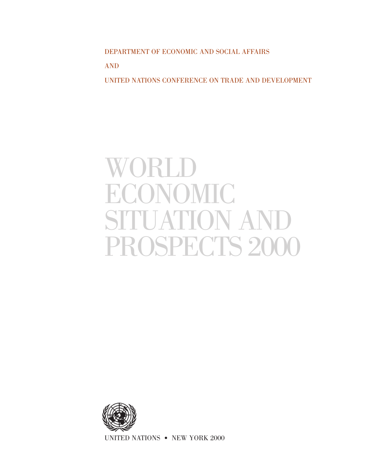DEPARTMENT OF ECONOMIC AND SOCIAL AFFAIRS AND UNITED NATIONS CONFERENCE ON TRADE AND DEVELOPMENT

# WORLD ECONOMIC SITUATION AND PROSPECTS 2000



UNITED NATIONS • NEW YORK 2000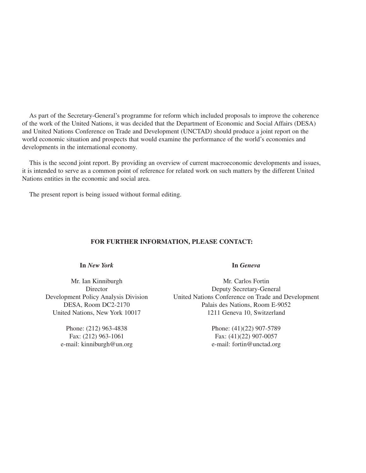As part of the Secretary-General's programme for reform which included proposals to improve the coherence of the work of the United Nations, it was decided that the Department of Economic and Social Affairs (DESA) and United Nations Conference on Trade and Development (UNCTAD) should produce a joint report on the world economic situation and prospects that would examine the performance of the world's economies and developments in the international economy.

This is the second joint report. By providing an overview of current macroeconomic developments and issues, it is intended to serve as a common point of reference for related work on such matters by the different United Nations entities in the economic and social area.

The present report is being issued without formal editing.

## **FOR FURTHER INFORMATION, PLEASE CONTACT:**

**In** *New York* **In** *Geneva*

Phone: (212) 963-4838 Phone: (41)(22) 907-5789 e-mail: kinniburgh@un.org e-mail: fortin@unctad.org

Mr. Ian Kinniburgh Mr. Carlos Fortin Director Deputy Secretary-General<br>Development Policy Analysis Division United Nations Conference on Trade and United Nations Conference on Trade and Development DESA, Room DC2-2170 Palais des Nations, Room E-9052 United Nations, New York 10017 1211 Geneva 10, Switzerland

Fax: (212) 963-1061 Fax: (41)(22) 907-0057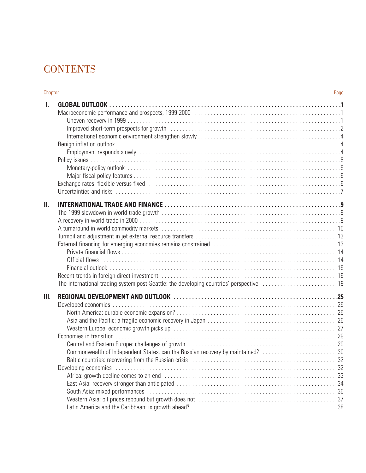# **CONTENTS**

| Chapter |                                                                                                        | Page |
|---------|--------------------------------------------------------------------------------------------------------|------|
| I.      |                                                                                                        |      |
| П.      | The international trading system post-Seattle: the developing countries' perspective 19                |      |
| III.    | Commonwealth of Independent States: can the Russian recovery by maintained? 30<br>Developing economies |      |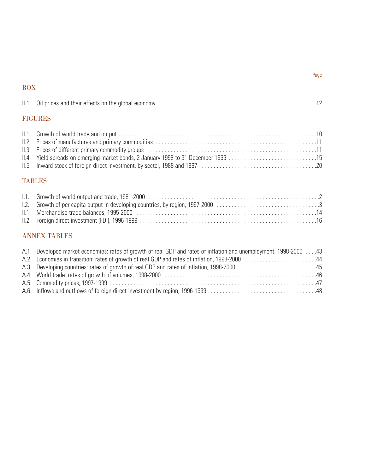## BOX

| <b>FIGURES</b>                                                                                                                                                                                                                                                                                              |  |
|-------------------------------------------------------------------------------------------------------------------------------------------------------------------------------------------------------------------------------------------------------------------------------------------------------------|--|
|                                                                                                                                                                                                                                                                                                             |  |
|                                                                                                                                                                                                                                                                                                             |  |
|                                                                                                                                                                                                                                                                                                             |  |
| $\mathbf{u}$ , $\mathbf{u}$ , $\mathbf{u}$ , $\mathbf{u}$ , $\mathbf{u}$ , $\mathbf{u}$ , $\mathbf{u}$ , $\mathbf{u}$ , $\mathbf{u}$ , $\mathbf{u}$ , $\mathbf{u}$ , $\mathbf{u}$ , $\mathbf{u}$ , $\mathbf{u}$ , $\mathbf{u}$ , $\mathbf{u}$ , $\mathbf{u}$ , $\mathbf{u}$ , $\mathbf{u}$ , $\mathbf{u}$ , |  |

| 11.3. Prices of different primary commodity groups ………………………………………………………………………… |  |
|---------------------------------------------------------------------------------|--|
|                                                                                 |  |
|                                                                                 |  |

## TABLES

## ANNEX TABLES

| 43 Developed market economies: rates of growth of real GDP and rates of inflation and unemployment, 1998-2000 |  |
|---------------------------------------------------------------------------------------------------------------|--|
| A.2. Economies in transition: rates of growth of real GDP and rates of inflation, 1998-2000 44                |  |
|                                                                                                               |  |
|                                                                                                               |  |
|                                                                                                               |  |
|                                                                                                               |  |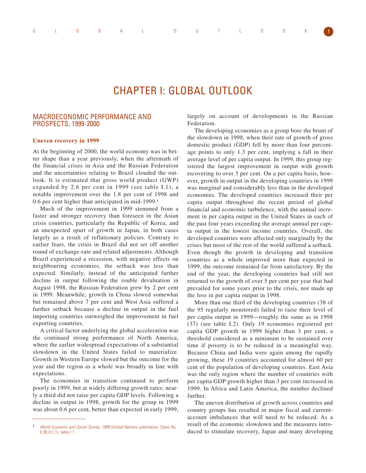# CHAPTER I: GLOBAL OUTLOOK

## MACROECONOMIC PERFORMANCE AND PROSPECTS, 1999-2000

#### **Uneven recovery in 1999**

At the beginning of 2000, the world economy was in better shape than a year previously, when the aftermath of the financial crises in Asia and the Russian Federation and the uncertainties relating to Brazil clouded the outlook. It is estimated that gross world product (GWP) expanded by 2.6 per cent in 1999 (see table I.1), a notable improvement over the 1.8 per cent of 1998 and 0.6 per cent higher than anticipated in mid-1999.**<sup>1</sup>**

Much of the improvement in 1999 stemmed from a faster and stronger recovery than foreseen in the Asian crisis countries, particularly the Republic of Korea, and an unexpected spurt of growth in Japan, in both cases largely as a result of reflationary policies. Contrary to earlier fears, the crisis in Brazil did not set off another round of exchange-rate and related adjustments. Although Brazil experienced a recession, with negative effects on neighbouring economies, the setback was less than expected. Similarly, instead of the anticipated further decline in output following the rouble devaluation in August 1998, the Russian Federation grew by 2 per cent in 1999. Meanwhile, growth in China slowed somewhat but remained above 7 per cent and West Asia suffered a further setback because a decline in output in the fuel importing countries outweighed the improvement in fuel exporting countries.

A critical factor underlying the global acceleration was the continued strong performance of North America, where the earlier widespread expectations of a substantial slowdown in the United States failed to materialize. Growth in Western Europe slowed but the outcome for the year and the region as a whole was broadly in line with expectations.

The economies in transition continued to perform poorly in 1999, but at widely differing growth rates; nearly a third did not raise per capita GDP levels. Following a decline in output in 1998, growth for the group in 1999 was about 0.6 per cent, better than expected in early 1999,

largely on account of developments in the Russian Federation.

The developing economies as a group bore the brunt of the slowdown in 1998, when their rate of growth of gross domestic product (GDP) fell by more than four percentage points to only 1.3 per cent, implying a fall in their average level of per capita output. In 1999, this group registered the largest improvement in output with growth recovering to over 3 per cent. On a per capita basis, however, growth in output in the developing countries in 1999 was marginal and considerably less than in the developed economies. The developed countries increased their per capita output throughout the recent period of global financial and economic turbulence, with the annual increment in per capita output in the United States in each of the past four years exceeding the average annual per capita output in the lowest income countries. Overall, the developed countries were affected only marginally by the crises but most of the rest of the world suffered a setback. Even though the growth in developing and transition countries as a whole improved more than expected in 1999, the outcome remained far from satisfactory. By the end of the year, the developing countries had still not returned to the growth of over 5 per cent per year that had prevailed for some years prior to the crisis, nor made up the loss in per capita output in 1998.

More than one third of the developing countries (38 of the 95 regularly monitored) failed to raise their level of per capita output in 1999—roughly the same as in 1998 (37) (see table I.2). Only 19 economies registered per capita GDP growth in 1999 higher than 3 per cent, a threshold considered as a minimum to be sustained over time if poverty is to be reduced in a meaningful way. Because China and India were again among the rapidly growing, these 19 countries accounted for almost 60 per cent of the population of developing countries. East Asia was the only region where the number of countries with per capita GDP growth higher than 3 per cent increased in 1999. In Africa and Latin America, the number declined further.

The uneven distribution of growth across countries and country groups has resulted in major fiscal and currentaccount imbalances that will need to be reduced. As a result of the economic slowdown and the measures introduced to stimulate recovery, Japan and many developing

**<sup>1</sup>** World Economic and Social Survey, 1999 (United Nations publication, Sales No. E.99.II.C.1), table I.1.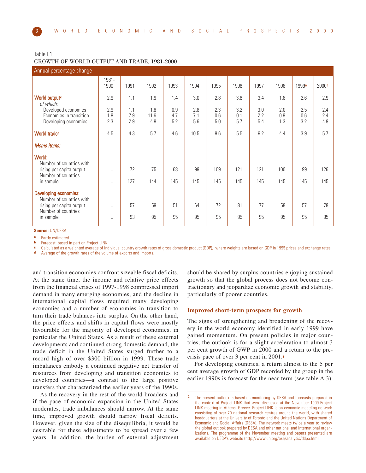#### Table I.1. GROWTH OF WORLD OUTPUT AND TRADE, 1981-2000

| Annual percentage change                                               |                        |                      |                       |                      |                      |                      |                      |                   |                      |                   |                   |
|------------------------------------------------------------------------|------------------------|----------------------|-----------------------|----------------------|----------------------|----------------------|----------------------|-------------------|----------------------|-------------------|-------------------|
|                                                                        | 1981-<br>1990          | 1991                 | 1992                  | 1993                 | 1994                 | 1995                 | 1996                 | 1997              | 1998                 | 1999a             | 2000b             |
| World output <sup>c</sup><br>of which:                                 | 2.9                    | 1.1                  | 1.9                   | 1.4                  | 3.0                  | 2.8                  | 3.6                  | 3.4               | 1.8                  | 2.6               | 2.9               |
| Developed economies<br>Economies in transition<br>Developing economies | 2.9<br>1.8<br>2.3      | 1.1<br>$-7.9$<br>2.9 | 1.8<br>$-11.6$<br>4.8 | 0.9<br>$-4.7$<br>5.2 | 2.8<br>$-7.1$<br>5.6 | 2.3<br>$-0.6$<br>5.0 | 3.2<br>$-0.1$<br>5.7 | 3.0<br>2.2<br>5.4 | 2.0<br>$-0.8$<br>1.3 | 2.5<br>0.6<br>3.2 | 2.4<br>2.4<br>4.9 |
| World trade <sup>d</sup>                                               | 4.5                    | 4.3                  | 5.7                   | 4.6                  | 10.5                 | 8.6                  | 5.5                  | 9.2               | 4.4                  | 3.9               | 5.7               |
| Memo items:                                                            |                        |                      |                       |                      |                      |                      |                      |                   |                      |                   |                   |
| World:<br>Number of countries with                                     |                        |                      |                       |                      |                      |                      |                      |                   |                      |                   |                   |
| rising per capita output<br>Number of countries<br>in sample           | $\ddotsc$<br>$\ddotsc$ | 72<br>127            | 75<br>144             | 68<br>145            | 99<br>145            | 109<br>145           | 121<br>145           | 121<br>145        | 100<br>145           | 99<br>145         | 126<br>145        |
| <b>Developing economies:</b><br>Number of countries with               |                        |                      |                       |                      |                      |                      |                      |                   |                      |                   |                   |
| rising per capita output<br>Number of countries                        | $\ddotsc$              | 57                   | 59                    | 51                   | 64                   | 72                   | 81                   | 77                | 58                   | 57                | 78                |
| in sample                                                              | $\cdots$               | 93                   | 95                    | 95                   | 95                   | 95                   | 95                   | 95                | 95                   | 95                | 95                |

**Source:** UN/DESA.

**a** Partly estimated.

Forecast, based in part on Project LINK.

**c** Calculated as a weighted average of individual country growth rates of gross domestic product (GDP), where weights are based on GDP in 1995 prices and exchange rates.

Average of the growth rates of the volume of exports and imports.

and transition economies confront sizeable fiscal deficits. At the same time, the income and relative price effects from the financial crises of 1997-1998 compressed import demand in many emerging economies, and the decline in international capital flows required many developing economies and a number of economies in transition to turn their trade balances into surplus. On the other hand, the price effects and shifts in capital flows were mostly favourable for the majority of developed economies, in particular the United States. As a result of these external developments and continued strong domestic demand, the trade deficit in the United States surged further to a record high of over \$300 billion in 1999. These trade imbalances embody a continued negative net transfer of resources from developing and transition economies to developed countries—a contrast to the large positive transfers that characterized the earlier years of the 1990s.

As the recovery in the rest of the world broadens and if the pace of economic expansion in the United States moderates, trade imbalances should narrow. At the same time, improved growth should narrow fiscal deficits. However, given the size of the disequilibria, it would be desirable for these adjustments to be spread over a few years. In addition, the burden of external adjustment should be shared by surplus countries enjoying sustained growth so that the global process does not become contractionary and jeopardize economic growth and stability, particularly of poorer countries.

#### **Improved short-term prospects for growth**

The signs of strengthening and broadening of the recovery in the world economy identified in early 1999 have gained momentum. On present policies in major countries, the outlook is for a slight acceleration to almost 3 per cent growth of GWP in 2000 and a return to the precrisis pace of over 3 per cent in 2001.**<sup>2</sup>**

For developing countries, a return almost to the 5 per cent average growth of GDP recorded by the group in the earlier 1990s is forecast for the near-term (see table A.3).

**<sup>2</sup>** The present outlook is based on monitoring by DESA and forecasts prepared in the context of Project LINK that were discussed at the November 1999 Project LINK meeting in Athens, Greece. Project LINK is an economic modeling network consisting of over 70 national research centres around the world, with shared headquarters at the University of Toronto and the United Nations Department of Economic and Social Affairs (DESA). The network meets twice a year to review the global outlook prepared by DESA and other national and international organizations. The programme of the November meeting and papers presented are available on DESA's website (http://www.un.org/esa/analysis/ddpa.htm).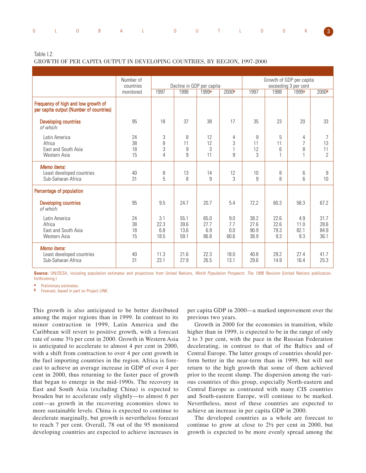|  |  | G L O B A L O U T L O O K 3 |  |  |  |  |
|--|--|-----------------------------|--|--|--|--|

Table I.2.

GROWTH OF PER CAPITA OUTPUT IN DEVELOPING COUNTRIES, BY REGION, 1997-2000

|                                                                                | Number of              |                                                                         |                              |                             |                                                                    |                              |                              | Growth of GDP per capita                   |                                 |
|--------------------------------------------------------------------------------|------------------------|-------------------------------------------------------------------------|------------------------------|-----------------------------|--------------------------------------------------------------------|------------------------------|------------------------------|--------------------------------------------|---------------------------------|
|                                                                                | countries<br>monitored | Decline in GDP per capita<br>1997<br>2000 <sub>b</sub><br>1998<br>1999a |                              |                             | exceeding 3 per cent<br>1997<br>1998<br>1999a<br>2000 <sub>b</sub> |                              |                              |                                            |                                 |
|                                                                                |                        |                                                                         |                              |                             |                                                                    |                              |                              |                                            |                                 |
| Frequency of high and low growth of<br>per capita output (Number of countries) |                        |                                                                         |                              |                             |                                                                    |                              |                              |                                            |                                 |
| <b>Developing countries</b><br>of which:                                       | 95                     | 18                                                                      | 37                           | 38                          | 17                                                                 | 35                           | 23                           | 20                                         | 33                              |
| Latin America<br>Africa<br>East and South Asia<br>Western Asia                 | 24<br>38<br>18<br>15   | 3<br>8<br>3<br>$\overline{4}$                                           | 8<br>11<br>9<br>9            | 12<br>12<br>3<br>11         | 4<br>3<br>1<br>9                                                   | 9<br>11<br>12<br>3           | 5<br>11<br>6<br>$\mathbf{1}$ | 4<br>$\overline{7}$<br>8<br>$\overline{1}$ | 7<br>13<br>11<br>$\overline{2}$ |
| Memo items:<br>Least developed countries<br>Sub-Saharan Africa                 | 40<br>31               | 8<br>5                                                                  | 13<br>8                      | 14<br>9                     | 12<br>3                                                            | 10<br>9                      | 8<br>8                       | 6<br>6                                     | 9<br>10                         |
| Percentage of population                                                       |                        |                                                                         |                              |                             |                                                                    |                              |                              |                                            |                                 |
| <b>Developing countries</b><br>of which:                                       | 95                     | 9.5                                                                     | 24.7                         | 20.7                        | 5.4                                                                | 72.2                         | 60.3                         | 58.3                                       | 67.2                            |
| Latin America<br>Africa<br>East and South Asia<br>Western Asia                 | 24<br>38<br>18<br>15   | 3.1<br>22.3<br>6.8<br>18.5                                              | 55.1<br>39.6<br>13.6<br>59.1 | 65.0<br>27.7<br>6.9<br>86.8 | 9.0<br>7.7<br>0.0<br>60.6                                          | 38.2<br>27.6<br>90.9<br>36.9 | 22.6<br>22.6<br>79.3<br>9.3  | 4.9<br>11.0<br>82.1<br>9.3                 | 31.7<br>28.6<br>84.9<br>36.1    |
| Memo items:<br>Least developed countries<br>Sub-Saharan Africa                 | 40<br>31               | 11.3<br>23.1                                                            | 21.6<br>27.9                 | 22.3<br>26.5                | 18.0<br>13.1                                                       | 40.8<br>29.6                 | 29.2<br>14.9                 | 27.4<br>16.4                               | 41.7<br>25.3                    |

**Source:** UN/DESA, including population estimates and projections from United Nations, World Population Prospects: The 1998 Revision (United Nations publication, forthcoming.)

**a** Preliminary estimates.

**b** Forecast, based in part on Project LINK.

This growth is also anticipated to be better distributed among the major regions than in 1999. In contrast to its minor contraction in 1999, Latin America and the Caribbean will revert to positive growth, with a forecast rate of some 3½ per cent in 2000. Growth in Western Asia is anticipated to accelerate to almost 4 per cent in 2000, with a shift from contraction to over 4 per cent growth in the fuel importing countries in the region. Africa is forecast to achieve an average increase in GDP of over 4 per cent in 2000, thus returning to the faster pace of growth that began to emerge in the mid-1990s. The recovery in East and South Asia (excluding China) is expected to broaden but to accelerate only slightly—to almost 6 per cent—as growth in the recovering economies slows to more sustainable levels. China is expected to continue to decelerate marginally, but growth is nevertheless forecast to reach 7 per cent. Overall, 78 out of the 95 monitored developing countries are expected to achieve increases in

per capita GDP in 2000—a marked improvement over the previous two years.

Growth in 2000 for the economies in transition, while higher than in 1999, is expected to be in the range of only 2 to 3 per cent, with the pace in the Russian Federation decelerating, in contrast to that of the Baltics and of Central Europe. The latter groups of countries should perform better in the near-term than in 1999, but will not return to the high growth that some of them achieved prior to the recent slump. The dispersion among the various countries of this group, especially North-eastern and Central Europe as contrasted with many CIS countries and South-eastern Europe, will continue to be marked. Nevertheless, most of these countries are expected to achieve an increase in per capita GDP in 2000.

The developed countries as a whole are forecast to continue to grow at close to 2½ per cent in 2000, but growth is expected to be more evenly spread among the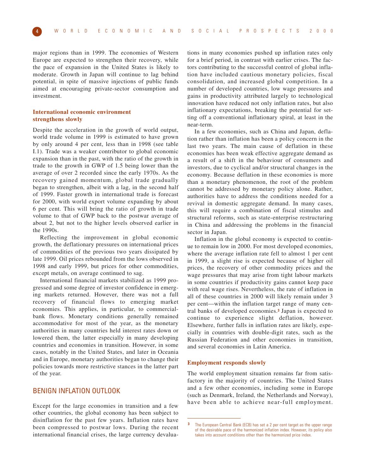major regions than in 1999. The economies of Western Europe are expected to strengthen their recovery, while the pace of expansion in the United States is likely to moderate. Growth in Japan will continue to lag behind potential, in spite of massive injections of public funds aimed at encouraging private-sector consumption and investment.

#### **International economic environment strengthens slowly**

Despite the acceleration in the growth of world output, world trade volume in 1999 is estimated to have grown by only around 4 per cent, less than in 1998 (see table I.1). Trade was a weaker contributor to global economic expansion than in the past, with the ratio of the growth in trade to the growth in GWP of 1.5 being lower than the average of over 2 recorded since the early 1970s. As the recovery gained momentum, global trade gradually began to strengthen, albeit with a lag, in the second half of 1999. Faster growth in international trade is forecast for 2000, with world export volume expanding by about 6 per cent. This will bring the ratio of growth in trade volume to that of GWP back to the postwar average of about 2, but not to the higher levels observed earlier in the 1990s.

Reflecting the improvement in global economic growth, the deflationary pressures on international prices of commodities of the previous two years dissipated by late 1999. Oil prices rebounded from the lows observed in 1998 and early 1999, but prices for other commodities, except metals, on average continued to sag.

International financial markets stabilized as 1999 progressed and some degree of investor confidence in emerging markets returned. However, there was not a full recovery of financial flows to emerging market economies. This applies, in particular, to commercialbank flows. Monetary conditions generally remained accommodative for most of the year, as the monetary authorities in many countries held interest rates down or lowered them, the latter especially in many developing countries and economies in transition. However, in some cases, notably in the United States, and later in Oceania and in Europe, monetary authorities began to change their policies towards more restrictive stances in the latter part of the year.

## BENIGN INFLATION OUTLOOK

Except for the large economies in transition and a few other countries, the global economy has been subject to disinflation for the past few years. Inflation rates have been compressed to postwar lows. During the recent international financial crises, the large currency devalua-

tions in many economies pushed up inflation rates only for a brief period, in contrast with earlier crises. The factors contributing to the successful control of global inflation have included cautious monetary policies, fiscal consolidation, and increased global competition. In a number of developed countries, low wage pressures and gains in productivity attributed largely to technological innovation have reduced not only inflation rates, but also inflationary expectations, breaking the potential for setting off a conventional inflationary spiral, at least in the near-term.

In a few economies, such as China and Japan, deflation rather than inflation has been a policy concern in the last two years. The main cause of deflation in these economies has been weak effective aggregate demand as a result of a shift in the behaviour of consumers and investors, due to cyclical and/or structural changes in the economy. Because deflation in these economies is more than a monetary phenomenon, the root of the problem cannot be addressed by monetary policy alone. Rather, authorities have to address the conditions needed for a revival in domestic aggregate demand. In many cases, this will require a combination of fiscal stimulus and structural reforms, such as state-enterprise restructuring in China and addressing the problems in the financial sector in Japan.

Inflation in the global economy is expected to continue to remain low in 2000. For most developed economies, where the average inflation rate fell to almost 1 per cent in 1999, a slight rise is expected because of higher oil prices, the recovery of other commodity prices and the wage pressures that may arise from tight labour markets in some countries if productivity gains cannot keep pace with real wage rises. Nevertheless, the rate of inflation in all of these countries in 2000 will likely remain under 3 per cent—within the inflation target range of many central banks of developed economies.**<sup>3</sup>** Japan is expected to continue to experience slight deflation, however. Elsewhere, further falls in inflation rates are likely, especially in countries with double-digit rates, such as the Russian Federation and other economies in transition, and several economies in Latin America.

#### **Employment responds slowly**

The world employment situation remains far from satisfactory in the majority of countries. The United States and a few other economies, including some in Europe (such as Denmark, Ireland, the Netherlands and Norway), have been able to achieve near-full employment.

**<sup>3</sup>** The European Central Bank (ECB) has set a 2 per cent target as the upper range of the desirable pace of the harmonized inflation index. However, its policy also takes into account conditions other than the harmonized price index.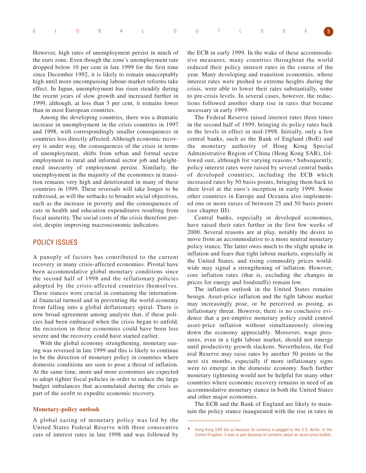|  |  | G L 0 B A L 0 U T L 0 0 K 5 |  |  |  |  |
|--|--|-----------------------------|--|--|--|--|
|  |  |                             |  |  |  |  |

However, high rates of unemployment persist in much of the euro zone. Even though the zone's unemployment rate dropped below 10 per cent in late 1999 for the first time since December 1992, it is likely to remain unacceptably high until more encompassing labour-market reforms take effect. In Japan, unemployment has risen steadily during the recent years of slow growth and increased further in 1999, although, at less than 5 per cent, it remains lower than in most European countries.

Among the developing countries, there was a dramatic increase in unemployment in the crisis countries in 1997 and 1998, with correspondingly smaller consequences in countries less directly affected. Although economic recovery is under way, the consequences of the crisis in terms of unemployment, shifts from urban and formal sector employment to rural and informal sector job and heightened insecurity of employment persist. Similarly, the unemployment in the majority of the economies in transition remains very high and deteriorated in many of these countries in 1999. These reversals will take longer to be redressed, as will the setbacks to broader social objectives, such as the increase in poverty and the consequences of cuts in health and education expenditures resulting from fiscal austerity. The social costs of the crisis therefore persist, despite improving macroeconomic indicators.

## POLICY ISSUES

A panoply of factors has contributed to the current recovery in many crisis-affected economies. Pivotal have been accommodative global monetary conditions since the second half of 1998 and the reflationary policies adopted by the crisis-affected countries themselves. These stances were crucial in containing the international financial turmoil and in preventing the world economy from falling into a global deflationary spiral. There is now broad agreement among analysts that, if these policies had been embraced when the crisis began to unfold, the recession in these economies could have been less severe and the recovery could have started earlier.

With the global economy strengthening, monetary easing was reversed in late 1999 and this is likely to continue to be the direction of monetary policy in countries where domestic conditions are seen to pose a threat of inflation. At the same time, more and more economies are expected to adopt tighter fiscal policies in order to reduce the large budget imbalances that accumulated during the crisis as part of the eeofrt to expedite economic recovery.

#### **Monetary-policy outlook**

A global easing of monetary policy was led by the United States Federal Reserve with three consecutive cuts of interest rates in late 1998 and was followed by

the ECB in early 1999. In the wake of these accommodative measures, many countries throughout the world reduced their policy interest rates in the course of the year. Many developing and transition economies, whose interest rates were pushed to extreme heights during the crisis, were able to lower their rates substantially, some to pre-crisis levels. In several cases, however, the reductions followed another sharp rise in rates that became necessary in early 1999.

The Federal Reserve raised interest rates three times in the second half of 1999, bringing its policy rates back to the levels in effect in mid-1998. Initially, only a few central banks, such as the Bank of England (BoE) and the monetary authority of Hong Kong Special Administrative Region of China (Hong Kong SAR), followed suit, although for varying reasons.**<sup>4</sup>** Subsequently, policy interest rates were raised by several central banks of developed countries, including the ECB which increased rates by 50 basis points, bringing them back to their level at the euro's inception in early 1999. Some other countries in Europe and Oceania also implemented one or more raises of between 25 and 50 basis points (see chapter III).

Central banks, especially in developed economies, have raised their rates further in the first few weeks of 2000. Several reasons are at play, notably the desire to move from an accommodative to a more neutral monetary policy stance. The latter owes much to the slight uptake in inflation and fears that tight labour markets, especially in the United States, and rising commodity prices worldwide may signal a strengthening of inflation. However, core inflation rates (that is, excluding the changes in prices for energy and foodstuffs) remain low.

The inflation outlook in the United States remains benign. Asset-price inflation and the tight labour market may increasingly pose, or be perceived as posing, as inflationary threat. However, there is no conclusive evidence that a pre-emptive monetary policy could control asset-price inflation without simultaneously slowing down the economy appreciably. Moreover, wage pressures, even in a tight labour market, should not emerge until productivity growth slackens. Nevertheless, the Fed eral Reserve may raise rates by another 50 points in the next six months, especially if more inflationary signs were to emerge in the domestic economy. Such further monetary tightening would not be helpful for many other countries where economic recovery remains in need of an accommodative monetary stance in both the United States and other major economies.

The ECB and the Bank of England are likely to maintain the policy stance inaugurated with the rise in rates in

**<sup>4</sup>** Hong Kong SAR did so because its currency is pegged to the U.S. dollar; in the United Kingdom, it was in part because of concerns about an asset-price bubble.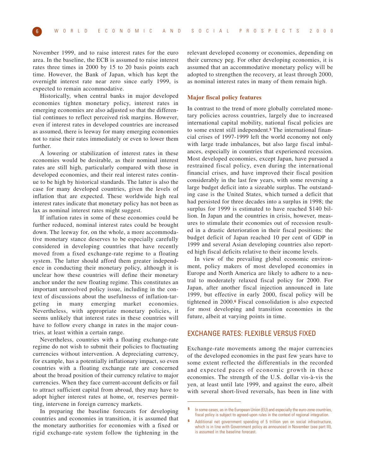November 1999, and to raise interest rates for the euro area. In the baseline, the ECB is assumed to raise interest rates three times in 2000 by 15 to 20 basis points each time. However, the Bank of Japan, which has kept the overnight interest rate near zero since early 1999, is expected to remain accommodative.

Historically, when central banks in major developed economies tighten monetary policy, interest rates in emerging economies are also adjusted so that the differential continues to reflect perceived risk margins. However, even if interest rates in developed countries are increased as assumed, there is leeway for many emerging economies not to raise their rates immediately or even to lower them further.

A lowering or stabilization of interest rates in these economies would be desirable, as their nominal interest rates are still high, particularly compared with those in developed economies, and their real interest rates continue to be high by historical standards. The latter is also the case for many developed countries, given the levels of inflation that are expected. These worldwide high real interest rates indicate that monetary policy has not been as lax as nominal interest rates might suggest.

If inflation rates in some of these economies could be further reduced, nominal interest rates could be brought down. The leeway for, on the whole, a more accommodative monetary stance deserves to be especially carefully considered in developing countries that have recently moved from a fixed exchange-rate regime to a floating system. The latter should afford them greater independence in conducting their monetary policy, although it is unclear how these countries will define their monetary anchor under the new floating regime. This constitutes an important unresolved policy issue, including in the context of discussions about the usefulnesss of inflation-targeting in many emerging market economies. Nevertheless, with appropriate monetary policies, it seems unlikely that interest rates in these countries will have to follow every change in rates in the major countries, at least within a certain range.

Nevertheless, countries with a floating exchange-rate regime do not wish to submit their policies to fluctuating currencies without intervention. A depreciating currency, for example, has a potentially inflationary impact, so even countries with a floating exchange rate are concerned about the broad position of their currency relative to major currencies. When they face current-account deficits or fail to attract sufficient capital from abroad, they may have to adopt higher interest rates at home, or, reserves permitting, intervene in foreign currency markets.

In preparing the baseline forecasts for developing countries and economies in transition, it is assumed that the monetary authorities for economies with a fixed or rigid exchange-rate system follow the tightening in the relevant developed economy or economies, depending on their currency peg. For other developing economies, it is assumed that an accommodative monetary policy will be adopted to strengthen the recovery, at least through 2000, as nominal interest rates in many of them remain high.

#### **Major fiscal policy features**

In contrast to the trend of more globally correlated monetary policies across countries, largely due to increased international capital mobility, national fiscal policies are to some extent still independent.**<sup>5</sup>** The international financial crises of 1997-1999 left the world economy not only with large trade imbalances, but also large fiscal imbalances, especially in countries that experienced recession. Most developed economies, except Japan, have pursued a restrained fiscal policy, even during the international financial crises, and have improved their fiscal position considerably in the last few years, with some reversing a large budget deficit into a sizeable surplus. The outstanding case is the United States, which turned a deficit that had persisted for three decades into a surplus in 1998; the surplus for 1999 is estimated to have reached \$140 billion. In Japan and the countries in crisis, however, measures to stimulate their economies out of recession resulted in a drastic deterioration in their fiscal positions: the budget deficit of Japan reached 10 per cent of GDP in 1999 and several Asian developing countries also reported high fiscal deficits relative to their income levels.

In view of the prevailing global economic environment, policy makers of most developed economies in Europe and North America are likely to adhere to a neutral to moderately relaxed fiscal policy for 2000. For Japan, after another fiscal injection announced in late 1999, but effective in early 2000, fiscal policy will be tightened in 2000.**<sup>6</sup>** Fiscal consolidation is also expected for most developing and transition economies in the future, albeit at varying points in time.

## EXCHANGE RATES: FLEXIBLE VERSUS FIXED

Exchange-rate movements among the major currencies of the developed economies in the past few years have to some extent reflected the differentials in the recorded and expected paces of economic growth in these economies. The strength of the U.S. dollar vis-à-vis the yen, at least until late 1999, and against the euro, albeit with several short-lived reversals, has been in line with

**<sup>5</sup>** In some cases, as in the European Union (EU) and especially the euro-zone countries, fiscal policy is subject to agreed-upon rules in the context of regional integration.

**<sup>6</sup>** Additional net government spending of 5 trillion yen on social infrastructure, which is in line with Government policy as announced in November (see part III), is assumed in the baseline forecast.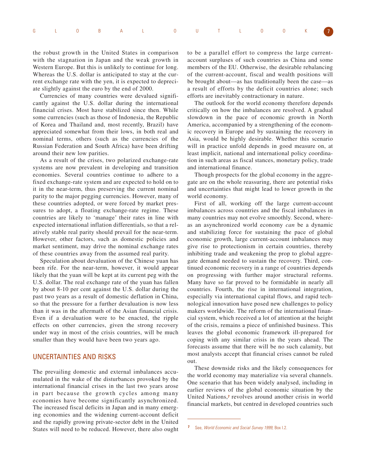|  |  | G L O B A L O U T L O O K 7 |  |  |  |  |
|--|--|-----------------------------|--|--|--|--|
|  |  |                             |  |  |  |  |

the robust growth in the United States in comparison with the stagnation in Japan and the weak growth in Western Europe. But this is unlikely to continue for long. Whereas the U.S. dollar is anticipated to stay at the current exchange rate with the yen, it is expected to depreciate slightly against the euro by the end of 2000.

Currencies of many countries were devalued significantly against the U.S. dollar during the international financial crises. Most have stabilized since then. While some currencies (such as those of Indonesia, the Republic of Korea and Thailand and, most recently, Brazil) have appreciated somewhat from their lows, in both real and nominal terms, others (such as the currencies of the Russian Federation and South Africa) have been drifting around their new low parities.

As a result of the crises, two polarized exchange-rate systems are now prevalent in developing and transition economies. Several countries continue to adhere to a fixed exchange-rate system and are expected to hold on to it in the near-term, thus preserving the current nominal parity to the major pegging currencies. However, many of these countries adopted, or were forced by market pressures to adopt, a floating exchange-rate regime. These countries are likely to 'manage' their rates in line with expected international inflation differentials, so that a relatively stable real parity should prevail for the near-term. However, other factors, such as domestic policies and market sentiment, may drive the nominal exchange rates of these countries away from the assumed real parity.

Speculation about devaluation of the Chinese yuan has been rife. For the near-term, however, it would appear likely that the yuan will be kept at its current peg with the U.S. dollar. The real exchange rate of the yuan has fallen by about 8-10 per cent against the U.S. dollar during the past two years as a result of domestic deflation in China, so that the pressure for a further devaluation is now less than it was in the aftermath of the Asian financial crisis. Even if a devaluation were to be enacted, the ripple effects on other currencies, given the strong recovery under way in most of the crisis countries, will be much smaller than they would have been two years ago.

## UNCERTAINTIES AND RISKS

The prevailing domestic and external imbalances accumulated in the wake of the disturbances provoked by the international financial crises in the last two years arose in part because the growth cycles among many economies have become significantly asynchronized. The increased fiscal deficits in Japan and in many emerging economies and the widening current-account deficit and the rapidly growing private-sector debt in the United States will need to be reduced. However, there also ought to be a parallel effort to compress the large currentaccount surpluses of such countries as China and some members of the EU. Otherwise, the desirable rebalancing of the current-account, fiscal and wealth positions will be brought about—as has traditionally been the case—as a result of efforts by the deficit countries alone; such efforts are inevitably contractionary in nature.

The outlook for the world economy therefore depends critically on how the imbalances are resolved. A gradual slowdown in the pace of economic growth in North America, accompanied by a strengthening of the economic recovery in Europe and by sustaining the recovery in Asia, would be highly desirable. Whether this scenario will in practice unfold depends in good measure on, at least implicit, national and international policy coordination in such areas as fiscal stances, monetary policy, trade and international finance.

Though prospects for the global economy in the aggregate are on the whole reassuring, there are potential risks and uncertainties that might lead to lower growth in the world economy.

First of all, working off the large current-account imbalances across countries and the fiscal imbalances in many countries may not evolve smoothly. Second, whereas an asynchronized world economy *can* be a dynamic and stabilizing force for sustaining the pace of global economic growth, large current-account imbalances may give rise to protectionism in certain countries, thereby inhibiting trade and weakening the prop to global aggregate demand needed to sustain the recovery. Third, continued economic recovery in a range of countries depends on progressing with further major structural reforms. Many have so far proved to be formidable in nearly all countries. Fourth, the rise in international integration, especially via international capital flows, and rapid technological innovation have posed new challenges to policy makers worldwide. The reform of the international financial system, which received a lot of attention at the height of the crisis, remains a piece of unfinished business. This leaves the global economic framework ill-prepared for coping with any similar crisis in the years ahead. The forecasts assume that there will be no such calamity, but most analysts accept that financial crises cannot be ruled out.

These downside risks and the likely consequences for the world economy may materialize via several channels. One scenario that has been widely analysed, including in earlier reviews of the global economic situation by the United Nations,**<sup>7</sup>** revolves around another crisis in world financial markets, but centred in developed countries such

**<sup>7</sup>** See, World Economic and Social Survey 1999, Box I.2.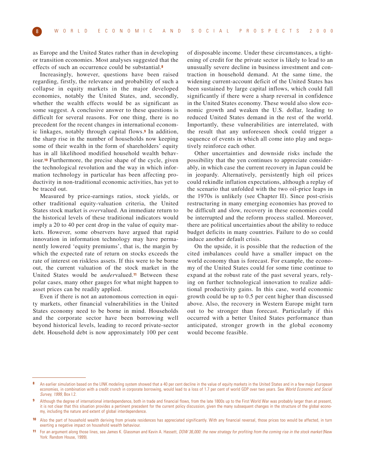as Europe and the United States rather than in developing or transition economies. Most analyses suggested that the effects of such an occurrence could be substantial.**<sup>8</sup>**

Increasingly, however, questions have been raised regarding, firstly, the relevance and probability of such a collapse in equity markets in the major developed economies, notably the United States, and, secondly, whether the wealth effects would be as significant as some suggest. A conclusive answer to these questions is difficult for several reasons. For one thing, there is no precedent for the recent changes in international economic linkages, notably through capital flows.**<sup>9</sup>** In addition, the sharp rise in the number of households now keeping some of their wealth in the form of shareholders' equity has in all likelihood modified household wealth behaviour.**<sup>10</sup>** Furthermore, the precise shape of the cycle, given the technological revolution and the way in which information technology in particular has been affecting productivity in non-traditional economic activities, has yet to be traced out.

Measured by price-earnings ratios, stock yields, or other traditional equity-valuation criteria, the United States stock market is *over*valued. An immediate return to the historical levels of these traditional indicators would imply a 20 to 40 per cent drop in the value of equity markets. However, some observers have argued that rapid innovation in information technology may have permanently lowered 'equity premiums', that is, the margin by which the expected rate of return on stocks exceeds the rate of interest on riskless assets. If this were to be borne out, the current valuation of the stock market in the United States would be *under*valued.**<sup>11</sup>** Between these polar cases, many other gauges for what might happen to asset prices can be readily applied.

Even if there is not an autonomous correction in equity markets, other financial vulnerabilities in the United States economy need to be borne in mind. Households and the corporate sector have been borrowing well beyond historical levels, leading to record private-sector debt. Household debt is now approximately 100 per cent

of disposable income. Under these circumstances, a tightening of credit for the private sector is likely to lead to an unusually severe decline in business investment and contraction in household demand. At the same time, the widening current-account deficit of the United States has been sustained by large capital inflows, which could fall significantly if there were a sharp reversal in confidence in the United States economy. These would also slow economic growth and weaken the U.S. dollar, leading to reduced United States demand in the rest of the world. Importantly, these vulnerabilities are interrelated, with the result that any unforeseen shock could trigger a sequence of events in which all come into play and negatively reinforce each other.

Other uncertainties and downside risks include the possibility that the yen continues to appreciate considerably, in which case the current recovery in Japan could be in jeopardy. Alternatively, persistently high oil prices could rekindle inflation expectations, although a replay of the scenario that unfolded with the two oil-price leaps in the 1970s is unlikely (see Chapter II). Since post-crisis restructuring in many emerging economies has proved to be difficult and slow, recovery in these economies could be interrupted and the reform process stalled. Moreover, there are political uncertainties about the ability to reduce budget deficits in many countries. Failure to do so could induce another default crisis.

On the upside, it is possible that the reduction of the cited imbalances could have a smaller impact on the world economy than is forecast. For example, the economy of the United States could for some time continue to expand at the robust rate of the past several years, relying on further technological innovation to realize additional productivity gains. In this case, world economic growth could be up to 0.5 per cent higher than discussed above. Also, the recovery in Western Europe might turn out to be stronger than forecast. Particularly if this occurred with a better United States performance than anticipated, stronger growth in the global economy would become feasible.

**<sup>8</sup>** An earlier simulation based on the LINK modeling system showed that a 40 per cent decline in the value of equity markets in the United States and in a few major European economies, in combination with a credit crunch in corporate borrowing, would lead to a loss of 1.7 per cent of world GDP over two years. See World Economic and Social Survey, 1999, Box I.2.

**<sup>9</sup>** Although the degree of international interdependence, both in trade and financial flows, from the late 1800s up to the First World War was probably larger than at present, it is not clear that this situation provides a pertinent precedent for the current policy discussion, given the many subsequent changes in the structure of the global economy, including the nature and extent of global interdependence.

<sup>10</sup> Also the part of household wealth deriving from private residences has appreciated significantly. With any financial reversal, those prices too would be affected, in turn exerting a negative impact on household wealth behaviour.

For an argument along those lines, see James K. Glassman and Kevin A. Hassett, DOW 36,000: the new strategy for profiting from the coming rise in the stock market (New York: Random House, 1999).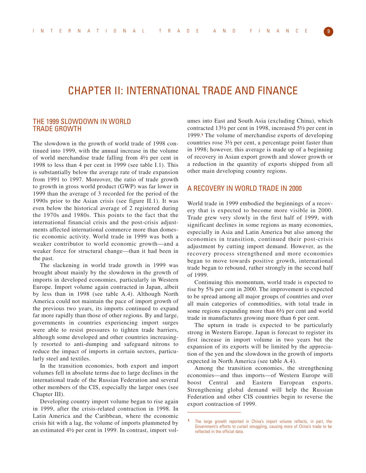## CHAPTER II: INTERNATIONAL TRADE AND FINANCE

## THE 1999 SLOWDOWN IN WORLD TRADE GROWTH

The slowdown in the growth of world trade of 1998 continued into 1999, with the annual increase in the volume of world merchandise trade falling from 4½ per cent in 1998 to less than 4 per cent in 1999 (see table I.1). This is substantially below the average rate of trade expansion from 1991 to 1997. Moreover, the ratio of trade growth to growth in gross world product (GWP) was far lower in 1999 than the average of 3 recorded for the period of the 1990s prior to the Asian crisis (see figure II.1). It was even below the historical average of 2 registered during the 1970s and 1980s. This points to the fact that the international financial crisis and the post-crisis adjustments affected international commerce more than domestic economic activity. World trade in 1999 was both a weaker contributor to world economic growth—and a weaker force for structural change—than it had been in the past.

The slackening in world trade growth in 1999 was brought about mainly by the slowdown in the growth of imports in developed economies, particularly in Western Europe. Import volume again contracted in Japan, albeit by less than in 1998 (see table A.4). Although North America could not maintain the pace of import growth of the previous two years, its imports continued to expand far more rapidly than those of other regions. By and large, governments in countries experiencing import surges were able to resist pressures to tighten trade barriers, although some developed and other countries increasingly resorted to anti-dumping and safeguard nitrons to reduce the impact of imports in certain sectors, particularly steel and textiles.

In the transition economies, both export and import volumes fell in absolute terms due to large declines in the international trade of the Russian Federation and several other members of the CIS, especially the larger ones (see Chapter III).

Developing country import volume began to rise again in 1999, after the crisis-related contraction in 1998. In Latin America and the Caribbean, where the economic crisis hit with a lag, the volume of imports plummeted by an estimated 4½ per cent in 1999. In contrast, import volumes into East and South Asia (excluding China), which contracted 13½ per cent in 1998, increased 5½ per cent in 1999.**<sup>1</sup>** The volume of merchandise exports of developing countries rose 3½ per cent, a percentage point faster than in 1998; however, this average is made up of a beginning of recovery in Asian export growth and slower growth or a reduction in the quantity of exports shipped from all other main developing country regions.

## A RECOVERY IN WORLD TRADE IN 2000

World trade in 1999 embodied the beginnings of a recovery that is expected to become more visible in 2000. Trade grew very slowly in the first half of 1999, with significant declines in some regions as many economies, especially in Asia and Latin America but also among the economies in transition, continued their post-crisis adjustment by cutting import demand. However, as the recovery process strengthened and more economies began to move towards positive growth, international trade began to rebound, rather strongly in the second half of 1999.

Continuing this momentum, world trade is expected to rise by 5¾ per cent in 2000. The improvement is expected to be spread among all major groups of countries and over all main categories of commodities, with total trade in some regions expanding more than 6½ per cent and world trade in manufactures growing more than 6 per cent.

The upturn in trade is expected to be particularly strong in Western Europe. Japan is forecast to register its first increase in import volume in two years but the expansion of its exports will be limited by the appreciation of the yen and the slowdown in the growth of imports expected in North America (see table A.4).

Among the transition economies, the strengthening economies—and thus imports—of Western Europe will boost Central and Eastern European exports. Strengthening global demand will help the Russian Federation and other CIS countries begin to reverse the export contraction of 1999.

**<sup>1</sup>** The large growth reported in China's import volume reflects, in part, the Government's efforts to curtail smuggling, causing more of China's trade to be reflected in the official data.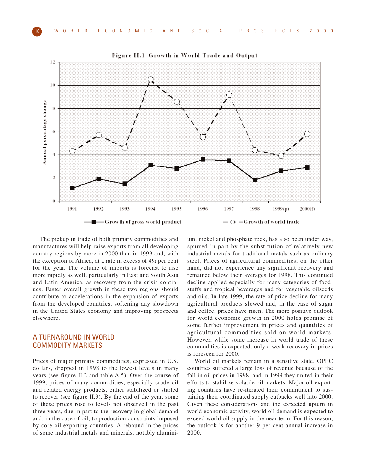

Figure II.1 Growth in World Trade and Output

The pickup in trade of both primary commodities and manufactures will help raise exports from all developing country regions by more in 2000 than in 1999 and, with the exception of Africa, at a rate in excess of 4½ per cent for the year. The volume of imports is forecast to rise more rapidly as well, particularly in East and South Asia and Latin America, as recovery from the crisis continues. Faster overall growth in these two regions should contribute to accelerations in the expansion of exports from the developed countries, softening any slowdown in the United States economy and improving prospects elsewhere.

## A TURNAROUND IN WORLD COMMODITY MARKETS

Prices of major primary commodities, expressed in U.S. dollars, dropped in 1998 to the lowest levels in many years (see figure II.2 and table A.5). Over the course of 1999, prices of many commodities, especially crude oil and related energy products, either stabilized or started to recover (see figure II.3). By the end of the year, some of these prices rose to levels not observed in the past three years, due in part to the recovery in global demand and, in the case of oil, to production constraints imposed by core oil-exporting countries. A rebound in the prices of some industrial metals and minerals, notably alumini-

um, nickel and phosphate rock, has also been under way, spurred in part by the substitution of relatively new industrial metals for traditional metals such as ordinary steel. Prices of agricultural commodities, on the other hand, did not experience any significant recovery and remained below their averages for 1998. This continued decline applied especially for many categories of foodstuffs and tropical beverages and for vegetable oilseeds and oils. In late 1999, the rate of price decline for many agricultural products slowed and, in the case of sugar and coffee, prices have risen. The more positive outlook for world economic growth in 2000 holds promise of some further improvement in prices and quantities of agricultural commodities sold on world markets. However, while some increase in world trade of these commodities is expected, only a weak recovery in prices is foreseen for 2000.

World oil markets remain in a sensitive state. OPEC countries suffered a large loss of revenue because of the fall in oil prices in 1998, and in 1999 they united in their efforts to stabilize volatile oil markets. Major oil-exporting countries have re-iterated their commitment to sustaining their coordinated supply cutbacks well into 2000. Given these considerations and the expected upturn in world economic activity, world oil demand is expected to exceed world oil supply in the near term. For this reason, the outlook is for another 9 per cent annual increase in 2000.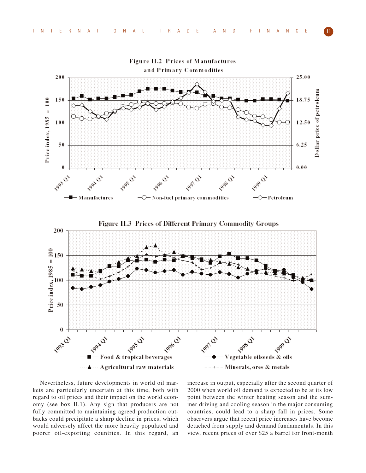

Nevertheless, future developments in world oil markets are particularly uncertain at this time, both with regard to oil prices and their impact on the world economy (see box II.1). Any sign that producers are not fully committed to maintaining agreed production cutbacks could precipitate a sharp decline in prices, which would adversely affect the more heavily populated and poorer oil-exporting countries. In this regard, an

increase in output, especially after the second quarter of 2000 when world oil demand is expected to be at its low point between the winter heating season and the summer driving and cooling season in the major consuming countries, could lead to a sharp fall in prices. Some observers argue that recent price increases have become detached from supply and demand fundamentals. In this view, recent prices of over \$25 a barrel for front-month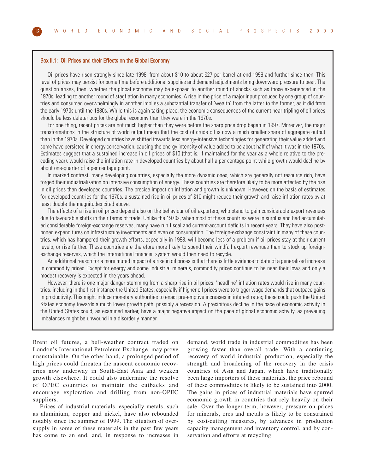#### Box II.1: Oil Prices and their Effects on the Global Economy

Oil prices have risen strongly since late 1998, from about \$10 to about \$27 per barrel at end-1999 and further since then. This level of prices may persist for some time before additional supplies and demand adjustments bring downward pressure to bear. The question arises, then, whether the global economy may be exposed to another round of shocks such as those experienced in the 1970s, leading to another round of stagflation in many economies. A rise in the price of a major input produced by one group of countries and consumed overwhelmingly in another implies a substantial transfer of 'wealth' from the latter to the former, as it did from the early 1970s until the 1980s. While this is again taking place, the economic consequences of the current near-tripling of oil prices should be less deleterious for the global economy than they were in the 1970s.

For one thing, recent prices are not much higher than they were before the sharp price drop began in 1997. Moreover, the major transformations in the structure of world output mean that the cost of crude oil is now a much smaller share of aggregate output than in the 1970s. Developed countries have shifted towards less energy-intensive technologies for generating their value added and some have persisted in energy conservation, causing the energy intensity of value added to be about half of what it was in the 1970s. Estimates suggest that a sustained increase in oil prices of \$10 (that is, if maintained for the year as a whole relative to the preceding year), would raise the inflation rate in developed countries by about half a per centage point while growth would decline by about one-quarter of a per centage point.

In marked contrast, many developing countries, especially the more dynamic ones, which are generally not resource rich, have forged their industrialization on intensive consumption of energy. These countries are therefore likely to be more affected by the rise in oil prices than developed countries. The precise impact on inflation and growth is unknown. However, on the basis of estimates for developed countries for the 1970s, a sustained rise in oil prices of \$10 might reduce their growth and raise inflation rates by at least double the magnitudes cited above.

The effects of a rise in oil prices depend also on the behaviour of oil exporters, who stand to gain considerable export revenues due to favourable shifts in their terms of trade. Unlike the 1970s, when most of these countries were in surplus and had accumulated considerable foreign-exchange reserves, many have run fiscal and current-account deficits in recent years. They have also postponed expenditures on infrastructure investments and even on consumption. The foreign-exchange constraint in many of these countries, which has hampered their growth efforts, especially in 1998, will become less of a problem if oil prices stay at their current levels, or rise further. These countries are therefore more likely to spend their windfall export revenues than to stock up foreignexchange reserves, which the international financial system would then need to recycle.

An additional reason for a more muted impact of a rise in oil prices is that there is little evidence to date of a generalized increase in commodity prices. Except for energy and some industrial minerals, commodity prices continue to be near their lows and only a modest recovery is expected in the years ahead.

However, there is one major danger stemming from a sharp rise in oil prices: 'headline' inflation rates would rise in many countries, including in the first instance the United States, especially if higher oil prices were to trigger wage demands that outpace gains in productivity. This might induce monetary authorities to enact pre-emptive increases in interest rates; these could push the United States economy towards a much lower growth path, possibly a recession. A precipitous decline in the pace of economic activity in the United States could, as examined earlier, have a major negative impact on the pace of global economic activity, as prevailing imbalances might be unwound in a disorderly manner.

Brent oil futures, a bell-weather contract traded on London's International Petroleum Exchange, may prove unsustainable. On the other hand, a prolonged period of high prices could threaten the nascent economic recoveries now underway in South-East Asia and weaken growth elsewhere. It could also undermine the resolve of OPEC countries to maintain the cutbacks and encourage exploration and drilling from non-OPEC suppliers.

Prices of industrial materials, especially metals, such as aluminium, copper and nickel, have also rebounded notably since the summer of 1999. The situation of oversupply in some of these materials in the past few years has come to an end, and, in response to increases in

demand, world trade in industrial commodities has been growing faster than overall trade. With a continuing recovery of world industrial production, especially the strength and broadening of the recovery in the crisis countries of Asia and Japan, which have traditionally been large importers of these materials, the price rebound of these commodities is likely to be sustained into 2000. The gains in prices of industrial materials have spurred economic growth in countries that rely heavily on their sale. Over the longer-term, however, pressure on prices for minerals, ores and metals is likely to be constrained by cost-cutting measures, by advances in production capacity management and inventory control, and by conservation and efforts at recycling.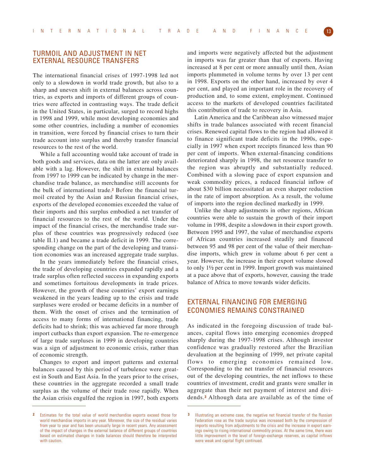## TURMOIL AND ADJUSTMENT IN NET EXTERNAL RESOURCE TRANSFERS

The international financial crises of 1997-1998 led not only to a slowdown in world trade growth, but also to a sharp and uneven shift in external balances across countries, as exports and imports of different groups of countries were affected in contrasting ways. The trade deficit in the United States, in particular, surged to record highs in 1998 and 1999, while most developing economies and some other countries, including a number of economies in transition, were forced by financial crises to turn their trade account into surplus and thereby transfer financial resources to the rest of the world.

While a full accounting would take account of trade in both goods and services, data on the latter are only available with a lag. However, the shift in external balances from 1997 to 1999 can be indicated by change in the merchandise trade balance, as merchandise still accounts for the bulk of international trade.**<sup>2</sup>** Before the financial turmoil created by the Asian and Russian financial crises, exports of the developed economies exceeded the value of their imports and this surplus embodied a net transfer of financial resources to the rest of the world. Under the impact of the financial crises, the merchandise trade surplus of these countries was progressively reduced (see table II.1) and became a trade deficit in 1999. The corresponding change on the part of the developing and transition economies was an increased aggregate trade surplus.

In the years immediately before the financial crises, the trade of developing countries expanded rapidly and a trade surplus often reflected success in expanding exports and sometimes fortuitous developments in trade prices. However, the growth of these countries' export earnings weakened in the years leading up to the crisis and trade surpluses were eroded or became deficits in a number of them. With the onset of crises and the termination of access to many forms of international financing, trade deficits had to shrink; this was achieved far more through import cutbacks than export expansion. The re-emergence of large trade surpluses in 1999 in developing countries was a sign of adjustment to economic crisis, rather than of economic strength.

Changes to export and import patterns and external balances caused by this period of turbulence were greatest in South and East Asia. In the years prior to the crises, these countries in the aggregate recorded a small trade surplus as the volume of their trade rose rapidly. When the Asian crisis engulfed the region in 1997, both exports and imports were negatively affected but the adjustment in imports was far greater than that of exports. Having increased at 8 per cent or more annually until then, Asian imports plummeted in volume terms by over 13 per cent in 1998. Exports on the other hand, increased by over 4 per cent, and played an important role in the recovery of production and, to some extent, employment. Continued access to the markets of developed countries facilitated this contribution of trade to recovery in Asia.

Latin America and the Caribbean also witnessed major shifts in trade balances associated with recent financial crises. Renewed capital flows to the region had allowed it to finance significant trade deficits in the 1990s, especially in 1997 when export receipts financed less than 90 per cent of imports. When external-financing conditions deteriorated sharply in 1998, the net resource transfer to the region was abruptly and substantially reduced. Combined with a slowing pace of export expansion and weak commodity prices, a reduced financial inflow of about \$30 billion necessitated an even sharper reduction in the rate of import absorption. As a result, the volume of imports into the region declined markedly in 1999.

Unlike the sharp adjustments in other regions, African countries were able to sustain the growth of their import volume in 1998, despite a slowdown in their export growth. Between 1995 and 1997, the value of merchandise exports of African countries increased steadily and financed between 95 and 98 per cent of the value of their merchandise imports, which grew in volume about 6 per cent a year. However, the increase in their export volume slowed to only 1½ per cent in 1999. Import growth was maintained at a pace above that of exports, however, causing the trade balance of Africa to move towards wider deficits.

## EXTERNAL FINANCING FOR EMERGING ECONOMIES REMAINS CONSTRAINED

As indicated in the foregoing discussion of trade balances, capital flows into emerging economies dropped sharply during the 1997-1998 crises. Although investor confidence was gradually restored after the Brazilian devaluation at the beginning of 1999, net private capital flows to emerging economies remained low. Corresponding to the net transfer of financial resources out of the developing countries, the net inflows to these countries of investment, credit and grants were smaller in aggregate than their net payment of interest and dividends.**<sup>3</sup>** Although data are available as of the time of

**<sup>2</sup>** Estimates for the total value of world merchandise exports exceed those for world merchandise imports in any year. Moreover, the size of the residual varies from year to year and has been unusually large in recent years. Any assessment of the impact of changes in the external balance of different groups of countries based on estimated changes in trade balances should therefore be interpreted with caution.

**<sup>3</sup>** Illustrating an extreme case, the negative net financial transfer of the Russian Federation rose as the trade surplus was increased both by the compression of imports resulting from adjustments to the crisis and the increase in export earnings owing to rising international commodity prices. At the same time, there was little improvement in the level of foreign-exchange reserves, as capital inflows were weak and capital flight continued.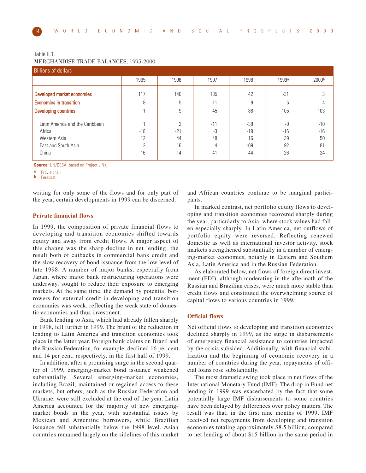#### Table II.1. MERCHANDISE TRADE BALANCES, 1995-2000

| <b>Billions of dollars</b>                |          |                        |               |                |             |                   |  |  |  |  |
|-------------------------------------------|----------|------------------------|---------------|----------------|-------------|-------------------|--|--|--|--|
|                                           | 1995     | 1996                   | 1997          | 1998           | 1999a       | 2000 <sub>b</sub> |  |  |  |  |
| Developed market economies                | 117      | 140                    | 135           | 42             | $-31$       |                   |  |  |  |  |
| <b>Economies in transition</b>            | 8        | 5                      | $-11$         | -9             | b           |                   |  |  |  |  |
| <b>Developing countries</b>               | $-1$     | 9                      | 45            | 88             | 105         | 103               |  |  |  |  |
| Latin America and the Caribbean<br>Africa | $-18$    | $\mathcal{P}$<br>$-21$ | $-11$<br>$-3$ | $-38$<br>$-19$ | -9<br>$-16$ | $-10$<br>$-16$    |  |  |  |  |
| Western Asia                              | 12       | 44                     | 48            | 16             | 39          | 50                |  |  |  |  |
| East and South Asia                       | $\Omega$ | 16                     | $-4$          | 109            | 92          | 81                |  |  |  |  |
| China                                     | 16       | 14                     | 41            | 44             | 26          | 24                |  |  |  |  |

**Source:** UN/DESA, based on Project LINK.

**a** Provisional.

**b** Forecast.

writing for only some of the flows and for only part of the year, certain developments in 1999 can be discerned.

#### **Private financial flows**

In 1999, the composition of private financial flows to developing and transition economies shifted towards equity and away from credit flows. A major aspect of this change was the sharp decline in net lending, the result both of cutbacks in commercial bank credit and the slow recovery of bond issuance from the low level of late 1998. A number of major banks, especially from Japan, where major bank restructuring operations were underway, sought to reduce their exposure to emerging markets. At the same time, the demand by potential borrowers for external credit in developing and transition economies was weak, reflecting the weak state of domestic economies and thus investment.

Bank lending to Asia, which had already fallen sharply in 1998, fell further in 1999. The brunt of the reduction in lending to Latin America and transition economies took place in the latter year. Foreign bank claims on Brazil and the Russian Federation, for example, declined 16 per cent and 14 per cent, respectively, in the first half of 1999.

In addition, after a promising surge in the second quarter of 1999, emerging-market bond issuance weakened substantially. Several emerging-market economies, including Brazil, maintained or regained access to these markets, but others, such as the Russian Federation and Ukraine, were still excluded at the end of the year. Latin America accounted for the majority of new emergingmarket bonds in the year, with substantial issues by Mexican and Argentine borrowers, while Brazilian issuance fell substantially below the 1998 level. Asian countries remained largely on the sidelines of this market

and African countries continue to be marginal participants.

In marked contrast, net portfolio equity flows to developing and transition economies recovered sharply during the year, particularly to Asia, where stock values had fallen especially sharply. In Latin America, net outflows of portfolio equity were reversed. Reflecting renewed domestic as well as international investor activity, stock markets strengthened substantially in a number of emerging-market economies, notably in Eastern and Southern Asia, Latin America and in the Russian Federation.

As elaborated below, net flows of foreign direct investment (FDI), although moderating in the aftermath of the Russian and Brazilian crises, were much more stable than credit flows and constituted the overwhelming source of capital flows to various countries in 1999.

#### **Official flows**

Net official flows to developing and transition economies declined sharply in 1999, as the surge in disbursements of emergency financial assistance to countries impacted by the crisis subsided. Additionally, with financial stabilization and the beginning of economic recovery in a number of countries during the year, repayments of official loans rose substantially.

The most dramatic swing took place in net flows of the International Monetary Fund (IMF). The drop in Fund net lending in 1999 was exacerbated by the fact that some potentially large IMF disbursements to some countries have been delayed by differences over policy matters. The result was that, in the first nine months of 1999, IMF received net repayments from developing and transition economies totaling approximately \$8.5 billion, compared to net lending of about \$15 billion in the same period in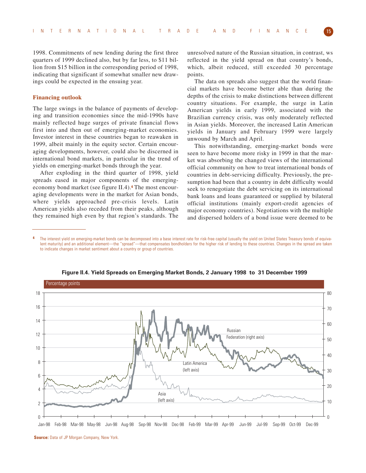1998. Commitments of new lending during the first three quarters of 1999 declined also, but by far less, to \$11 billion from \$15 billion in the corresponding period of 1998, indicating that significant if somewhat smaller new drawings could be expected in the ensuing year.

#### **Financing outlook**

The large swings in the balance of payments of developing and transition economies since the mid-1990s have mainly reflected huge surges of private financial flows first into and then out of emerging-market economies. Investor interest in these countries began to reawaken in 1999, albeit mainly in the equity sector. Certain encouraging developments, however, could also be discerned in international bond markets, in particular in the trend of yields on emerging-market bonds through the year.

After exploding in the third quarter of 1998, yield spreads eased in major components of the emergingeconomy bond market (see figure II.4).**<sup>4</sup>** The most encouraging developments were in the market for Asian bonds, where yields approached pre-crisis levels. Latin American yields also receded from their peaks, although they remained high even by that region's standards. The

unresolved nature of the Russian situation, in contrast, ws reflected in the yield spread on that country's bonds, which, albeit reduced, still exceeded 30 percentage points.

The data on spreads also suggest that the world financial markets have become better able than during the depths of the crisis to make distinctions between different country situations. For example, the surge in Latin American yields in early 1999, associated with the Brazilian currency crisis, was only moderately reflected in Asian yields. Moreover, the increased Latin American yields in January and February 1999 were largely unwound by March and April.

This notwithstanding, emerging-market bonds were seen to have become more risky in 1999 in that the market was absorbing the changed views of the international official community on how to treat international bonds of countries in debt-servicing difficulty. Previously, the presumption had been that a country in debt difficulty would seek to renegotiate the debt servicing on its international bank loans and loans guaranteed or supplied by bilateral official institutions (mainly export-credit agencies of major economy countries). Negotiations with the multiple and dispersed holders of a bond issue were deemed to be

**4** The interest yield on emerging-market bonds can be decomposed into a base interest rate for risk-free capital (usually the yield on United States Treasury bonds of equivalent maturity) and an additional element—the "spread"—that compensates bondholders for the higher risk of lending to these countries. Changes in the spread are taken to indicate changes in market sentiment about a country or group of countries.



**Figure II.4. Yield Spreads on Emerging Market Bonds, 2 January 1998 to 31 December 1999**

**Source:** Data of JP Morgan Company, New York.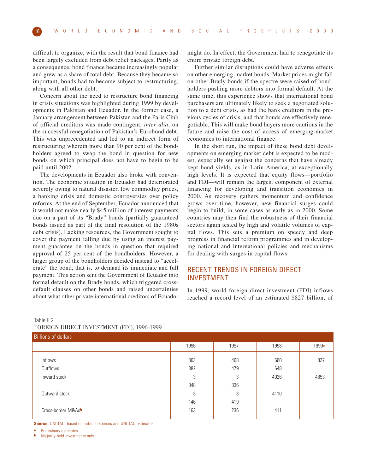difficult to organize, with the result that bond finance had been largely excluded from debt relief packages. Partly as a consequence, bond finance became increasingly popular and grew as a share of total debt. Because they became so important, bonds had to become subject to restructuring, along with all other debt.

Concern about the need to restructure bond financing in crisis situations was highlighted during 1999 by developments in Pakistan and Ecuador. In the former case, a January arrangement between Pakistan and the Paris Club of official creditors was made contingent, *inter alia*, on the successful renegotiation of Pakistan's Eurobond debt. This was unprecedented and led to an indirect form of restructuring wherein more than 90 per cent of the bondholders agreed to swap the bond in question for new bonds on which principal does not have to begin to be paid until 2002.

The developments in Ecuador also broke with convention. The economic situation in Ecuador had deteriorated severely owing to natural disaster, low commodity prices, a banking crisis and domestic controversies over policy reforms. At the end of September, Ecuador announced that it would not make nearly \$45 million of interest payments due on a part of its "Brady" bonds (partially guaranteed bonds issued as part of the final resolution of the 1980s debt crisis). Lacking resources, the Government sought to cover the payment falling due by using an interest payment guarantee on the bonds in question that required approval of 25 per cent of the bondholders. However, a larger group of the bondholders decided instead to "accelerate" the bond, that is, to demand its immediate and full payment. This action sent the Government of Ecuador into formal default on the Brady bonds, which triggered crossdefault clauses on other bonds and raised uncertainties about what other private international creditors of Ecuador

might do. In effect, the Government had to renegotiate its entire private foreign debt.

Further similar disruptions could have adverse effects on other emerging-market bonds. Market prices might fall on other Brady bonds if the spectre were raised of bondholders pushing more debtors into formal default. At the same time, this experience shows that international bond purchasers are ultimately likely to seek a negotiated solution to a debt crisis, as had the bank creditors in the previous cycles of crisis, and that bonds are effectively renegotiable. This will make bond buyers more cautious in the future and raise the cost of access of emerging-market economies to international finance.

In the short run, the impact of these bond debt developments on emerging market debt is expected to be modest, especially set against the concerns that have already kept bond yields, as in Latin America, at exceptionally high levels. It is expected that equity flows—portfolio and FDI—will remain the largest component of external financing for developing and transition economies in 2000. As recovery gathers momentum and confidence grows over time, however, new financial surges could begin to build, in some cases as early as in 2000. Some countries may then find the robustness of their financial sectors again tested by high and volatile volumes of capital flows. This sets a premium on speedy and deep progress in financial reform programmes and in developing national and international policies and mechanisms for dealing with surges in capital flows.

## RECENT TRENDS IN FOREIGN DIRECT INVESTMENT

In 1999, world foreign direct investment (FDI) inflows reached a record level of an estimated \$827 billion, of

## Table II.2. FOREIGN DIRECT INVESTMENT (FDI), 1996-1999

| $1.91$ and $1.91$ and $1.11$ and $1.01$ and $1.01$ and $1.01$ and $1.01$ and $1.01$ and $1.01$ and $1.01$ and $1.01$ and $1.01$ and $1.01$ and $1.01$ and $1.01$ and $1.01$ and $1.01$ and $1.01$ and $1.01$ and $1.01$ and |      |      |      |           |  |  |  |  |  |  |
|-----------------------------------------------------------------------------------------------------------------------------------------------------------------------------------------------------------------------------|------|------|------|-----------|--|--|--|--|--|--|
| <b>Billions of dollars</b>                                                                                                                                                                                                  |      |      |      |           |  |  |  |  |  |  |
|                                                                                                                                                                                                                             | 1996 | 1997 | 1998 | 1999a     |  |  |  |  |  |  |
| Inflows                                                                                                                                                                                                                     | 363  | 468  | 660  | 827       |  |  |  |  |  |  |
| Outflows                                                                                                                                                                                                                    | 382  | 479  | 648  | $\ddotsc$ |  |  |  |  |  |  |
| Inward stock                                                                                                                                                                                                                | 3    | 3    | 4026 | 4853      |  |  |  |  |  |  |
|                                                                                                                                                                                                                             | 048  | 336  |      |           |  |  |  |  |  |  |
| Outward stock                                                                                                                                                                                                               | 3    | 3    | 4110 | $\cdot$ . |  |  |  |  |  |  |
|                                                                                                                                                                                                                             | 146  | 419  |      |           |  |  |  |  |  |  |
| Cross-border M&Asb                                                                                                                                                                                                          | 163  | 236  | 411  | $\cdot$ . |  |  |  |  |  |  |
|                                                                                                                                                                                                                             |      |      |      |           |  |  |  |  |  |  |

**Source:** UNCTAD, based on national sources and UNCTAD estimates.

**Preliminary estimates.** 

**b** Majority-held investments only.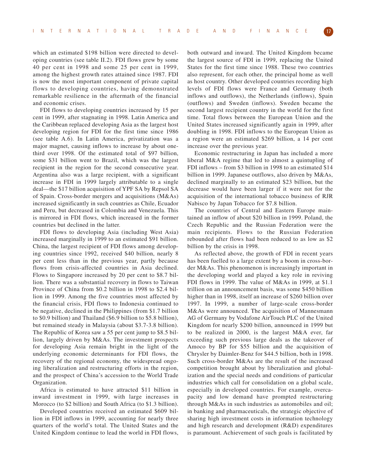which an estimated \$198 billion were directed to developing countries (see table II.2). FDI flows grew by some 40 per cent in 1998 and some 25 per cent in 1999, among the highest growth rates attained since 1987. FDI is now the most important component of private capital flows to developing countries, having demonstrated remarkable resilience in the aftermath of the financial and economic crises.

FDI flows to developing countries increased by 15 per cent in 1999, after stagnating in 1998. Latin America and the Caribbean replaced developing Asia as the largest host developing region for FDI for the first time since 1986 (see table A.6). In Latin America, privatization was a major magnet, causing inflows to increase by about onethird over 1998. Of the estimated total of \$97 billion, some \$31 billion went to Brazil, which was the largest recipient in the region for the second consecutive year. Argentina also was a large recipient, with a significant increase in FDI in 1999 largely attributable to a single deal—the \$17 billion acquisition of YPF SA by Repsol SA of Spain. Cross-border mergers and acquisitions (M&As) increased significantly in such countries as Chile, Ecuador and Peru, but decreased in Colombia and Venezuela. This is mirrored in FDI flows, which increased in the former countries but declined in the latter.

FDI flows to developing Asia (including West Asia) increased marginally in 1999 to an estimated \$91 billion. China, the largest recipient of FDI flows among developing countries since 1992, received \$40 billion, nearly 8 per cent less than in the previous year, partly because flows from crisis-affected countries in Asia declined. Flows to Singapore increased by 20 per cent to \$8.7 billion. There was a substantial recovery in flows to Taiwan Province of China from \$0.2 billion in 1998 to \$2.4 billion in 1999. Among the five countries most affected by the financial crisis, FDI flows to Indonesia continued to be negative, declined in the Philippines (from \$1.7 billion to \$0.9 billion) and Thailand (\$6.9 billion to \$5.8 billion), but remained steady in Malaysia (about \$3.7-3.8 billion). The Republic of Korea saw a 55 per cent jump to \$8.5 billion, largely driven by M&As. The investment prospects for developing Asia remain bright in the light of the underlying economic determinants for FDI flows, the recovery of the regional economy, the widespread ongoing liberalization and restructuring efforts in the region, and the prospect of China's accession to the World Trade Organization.

Africa is estimated to have attracted \$11 billion in inward investment in 1999, with large increases in Morocco (to \$2 billion) and South Africa (to \$1.3 billion).

Developed countries received an estimated \$609 billion in FDI inflows in 1999, accounting for nearly three quarters of the world's total. The United States and the United Kingdom continue to lead the world in FDI flows,

both outward and inward. The United Kingdom became the largest source of FDI in 1999, replacing the United States for the first time since 1988. These two countries also represent, for each other, the principal home as well as host country. Other developed countries recording high levels of FDI flows were France and Germany (both inflows and outflows), the Netherlands (inflows), Spain (outflows) and Sweden (inflows). Sweden became the second largest recipient country in the world for the first time. Total flows between the European Union and the United States increased significantly again in 1999, after doubling in 1998. FDI inflows to the European Union as a region were an estimated \$269 billion, a 14 per cent increase over the previous year.

Economic restructuring in Japan has included a more liberal M&A regime that led to almost a quintupling of FDI inflows – from \$3 billion in 1998 to an estimated \$14 billion in 1999. Japanese outflows, also driven by M&As, declined marginally to an estimated \$23 billion, but the decrease would have been larger if it were not for the acquisition of the international tobacco business of RJR Nabisco by Japan Tobacco for \$7.8 billion.

The countries of Central and Eastern Europe maintained an inflow of about \$20 billion in 1999. Poland, the Czech Republic and the Russian Federation were the main recipients. Flows to the Russian Federation rebounded after flows had been reduced to as low as \$2 billion by the crisis in 1998.

As reflected above, the growth of FDI in recent years has been fuelled to a large extent by a boom in cross-border M&As. This phenomenon is increasingly important in the developing world and played a key role in reviving FDI flows in 1999. The value of M&As in 1999, at \$1.1 trillion on an announcement basis, was some \$450 billion higher than in 1998, itself an increase of \$260 billion over 1997. In 1999, a number of large-scale cross-border M&As were announced. The acquisition of Mannesmann AG of Germany by Vodafone AirTouch PLC of the United Kingdom for nearly \$200 billion, announced in 1999 but to be realized in 2000, is the largest M&A ever, far exceeding such previous large deals as the takeover of Amoco by BP for \$55 billion and the acquisition of Chrysler by Daimler-Benz for \$44.5 billion, both in 1998. Such cross-border M&As are the result of the increased competition brought about by liberalization and globalization and the special needs and conditions of particular industries which call for consolidation on a global scale, especially in developed countries. For example, overcapacity and low demand have prompted restructuring through M&As in such industries as automobiles and oil; in banking and pharmaceuticals, the strategic objective of sharing high investment costs in information technology and high research and development (R&D) expenditures is paramount. Achievement of such goals is facilitated by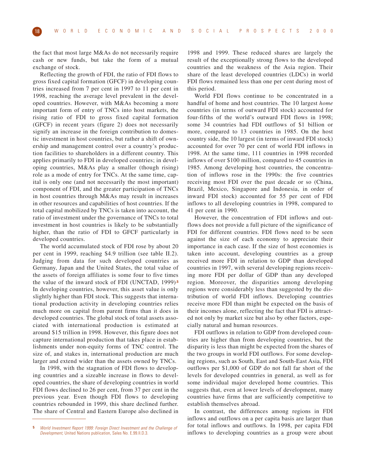the fact that most large M&As do not necessarily require cash or new funds, but take the form of a mutual exchange of stock.

Reflecting the growth of FDI, the ratio of FDI flows to gross fixed capital formation (GFCF) in developing countries increased from 7 per cent in 1997 to 11 per cent in 1998, reaching the average level prevalent in the developed countries. However, with M&As becoming a more important form of entry of TNCs into host markets, the rising ratio of FDI to gross fixed capital formation (GFCF) in recent years (figure 2) does not necessarily signify an increase in the foreign contribution to domestic investment in host countries, but rather a shift of ownership and management control over a country's production facilities to shareholders in a different country. This applies primarily to FDI in developed countries; in developing countries, M&As play a smaller (though rising) role as a mode of entry for TNCs. At the same time, capital is only one (and not necessarily the most important) component of FDI, and the greater participation of TNCs in host countries through M&As may result in increases in other resources and capabilities of host countries. If the total capital mobilized by TNCs is taken into account, the ratio of investment under the governance of TNCs to total investment in host countries is likely to be substantially higher, than the ratio of FDI to GFCF particularly in developed countries.

The world accumulated stock of FDI rose by about 20 per cent in 1999, reaching \$4.9 trillion (see table II.2). Judging from data for such developed countries as Germany, Japan and the United States, the total value of the assets of foreign affiliates is some four to five times the value of the inward stock of FDI (UNCTAD, 1999)**.5** In developing countries, however, this asset value is only slightly higher than FDI stock. This suggests that international production activity in developing countries relies much more on capital from parent firms than it does in developed countries. The global stock of total assets associated with international production is estimated at around \$15 trillion in 1998. However, this figure does not capture international production that takes place in establishments under non-equity forms of TNC control. The size of, and stakes in, international production are much larger and extend wider than the assets owned by TNCs.

In 1998, with the stagnation of FDI flows to developing countries and a sizeable increase in flows to developed countries, the share of developing countries in world FDI flows declined to 26 per cent, from 37 per cent in the previous year. Even though FDI flows to developing countries rebounded in 1999, this share declined further. The share of Central and Eastern Europe also declined in

1998 and 1999. These reduced shares are largely the result of the exceptionally strong flows to the developed countries and the weakness of the Asia region. Their share of the least developed countries (LDCs) in world FDI flows remained less than one per cent during most of this period.

World FDI flows continue to be concentrated in a handful of home and host countries. The 10 largest *home* countries (in terms of outward FDI stock) accounted for four-fifths of the world's outward FDI flows in 1998; some 34 countries had FDI outflows of \$1 billion or more, compared to 13 countries in 1985. On the host country side, the 10 largest (in terms of inward FDI stock) accounted for over 70 per cent of world FDI inflows in 1998. At the same time, 111 countries in 1998 recorded inflows of over \$100 million, compared to 45 countries in 1985. Among developing host countries, the concentration of inflows rose in the 1990s: the five countries receiving most FDI over the past decade or so (China, Brazil, Mexico, Singapore and Indonesia, in order of inward FDI stock) accounted for 55 per cent of FDI inflows to all developing countries in 1998, compared to 41 per cent in 1990.

However, the concentration of FDI inflows and outflows does not provide a full picture of the significance of FDI for different countries. FDI flows need to be seen against the size of each economy to appreciate their importance in each case. If the size of host economies is taken into account, developing countries as a group received more FDI in relation to GDP than developed countries in 1997, with several developing regions receiving more FDI per dollar of GDP than any developed region. Moreover, the disparities among developing regions were considerably less than suggested by the distribution of world FDI inflows. Developing countries receive more FDI than might be expected on the basis of their incomes alone, reflecting the fact that FDI is attracted not only by market size but also by other factors, especially natural and human resources.

FDI outflows in relation to GDP from developed countries are higher than from developing countries, but the disparity is less than might be expected from the shares of the two groups in world FDI outflows. For some developing regions, such as South, East and South-East Asia, FDI outflows per \$1,000 of GDP do not fall far short of the levels for developed countries in general, as well as for some individual major developed home countries. This suggests that, even at lower levels of development, many countries have firms that are sufficiently competitive to establish themselves abroad.

In contrast, the differences among regions in FDI inflows and outflows on a per capita basis are larger than for total inflows and outflows. In 1998, per capita FDI inflows to developing countries as a group were about

**<sup>5</sup>** World Investment Report 1999: Foreign Direct Investment and the Challenge of Development, United Nations publication, Sales No. E.99.II.D.3.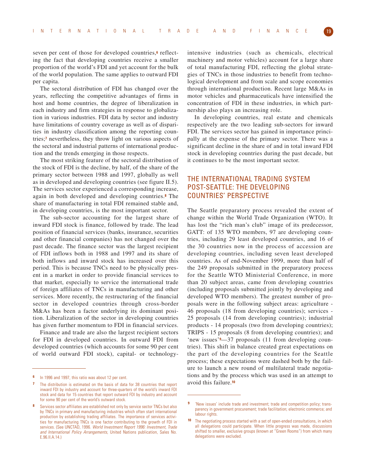seven per cent of those for developed countries,**<sup>6</sup>** reflecting the fact that developing countries receive a smaller proportion of the world's FDI and yet account for the bulk of the world population. The same applies to outward FDI per capita.

The sectoral distribution of FDI has changed over the years, reflecting the competitive advantages of firms in host and home countries, the degree of liberalization in each industry and firm strategies in response to globalization in various industries. FDI data by sector and industry have limitations of country coverage as well as of disparities in industry classification among the reporting countries;**<sup>7</sup>** nevertheless, they throw light on various aspects of the sectoral and industrial patterns of international production and the trends emerging in those respects.

The most striking feature of the sectoral distribution of the stock of FDI is the decline, by half, of the share of the primary sector between 1988 and 1997, globally as well as in developed and developing countries (see figure II.5). The services sector experienced a corresponding increase, again in both developed and developing countries.**<sup>8</sup>** The share of manufacturing in total FDI remained stable and, in developing countries, is the most important sector.

The sub-sector accounting for the largest share of inward FDI stock is finance, followed by trade. The lead position of financial services (banks, insurance, securities and other financial companies) has not changed over the past decade. The finance sector was the largest recipient of FDI inflows both in 1988 and 1997 and its share of both inflows and inward stock has increased over this period. This is because TNCs need to be physically present in a market in order to provide financial services to that market, especially to service the international trade of foreign affiliates of TNCs in manufacturing and other services. More recently, the restructuring of the financial sector in developed countries through cross-border M&As has been a factor underlying its dominant position. Liberalization of the sector in developing countries has given further momentum to FDI in financial services.

Finance and trade are also the largest recipient sectors for FDI in developed countries. In outward FDI from developed countries (which accounts for some 90 per cent of world outward FDI stock), capital- or technologyintensive industries (such as chemicals, electrical machinery and motor vehicles) account for a large share of total manufacturing FDI, reflecting the global strategies of TNCs in those industries to benefit from technological development and from scale and scope economies through international production. Recent large M&As in motor vehicles and pharmaceuticals have intensified the concentration of FDI in these industries, in which partnership also plays an increasing role.

In developing countries, real estate and chemicals respectively are the two leading sub-sectors for inward FDI. The services sector has gained in importance principally at the expense of the primary sector. There was a significant decline in the share of and in total inward FDI stock in developing countries during the past decade, but it continues to be the most important sector.

## THE INTERNATIONAL TRADING SYSTEM POST-SEATTLE: THE DEVELOPING COUNTRIES' PERSPECTIVE

The Seattle preparatory process revealed the extent of change within the World Trade Organization (WTO). It has lost the "rich man's club" image of its predecessor, GATT: of 135 WTO members, 97 are developing countries, including 29 least developed countries, and 16 of the 30 countries now in the process of accession are developing countries, including seven least developed countries. As of end-November 1999, more than half of the 249 proposals submitted in the preparatory process for the Seattle WTO Ministerial Conference, in more than 20 subject areas, came from developing countries (including proposals submitted jointly by developing and developed WTO members). The greatest number of proposals were in the following subject areas: agriculture - 46 proposals (18 from developing countries); services - 25 proposals (14 from developing countries); industrial products - 14 proposals (two from developing countries); TRIPS - 15 proposals (8 from developing countries); and 'new issues'**9**—37 proposals (11 from developing countries). This shift in balance created great expectations on the part of the developing countries for the Seattle process; these expectations were dashed both by the failure to launch a new round of multilateral trade negotiations and by the process which was used in an attempt to avoid this failure.**<sup>10</sup>**

**<sup>6</sup>** In 1996 and 1997, this ratio was about 12 per cent.

**<sup>7</sup>** The distribution is estimated on the basis of data for 38 countries that report inward FDI by industry and account for three-quarters of the world's inward FDI stock and data for 15 countries that report outward FDI by industry and account for some 90 per cent of the world's outward stock.

**<sup>8</sup>** Services sector affiliates are established not only by service sector TNCs but also by TNCs in primary and manufacturing industries which often start international production by establishing trading affiliates. The importance of services activities for manufacturing TNCs is one factor contributing to the growth of FDI in services. (See UNCTAD, 1996. World Investment Report 1996: Investment, Trade and International Policy Arrangements, United Nations publication, Sales No. E.96.II.A.14.)

**<sup>9</sup>** 'New issues' include trade and investment; trade and competition policy; transparency in government procurement; trade facilitation; electronic commerce; and labour rights.

**<sup>10</sup>** The negotiating process started with a set of open-ended consultations, in which all delegations could participate. When little progress was made, discussions shifted to smaller, exclusive groups (known at "Green Rooms") from which many delegations were excluded.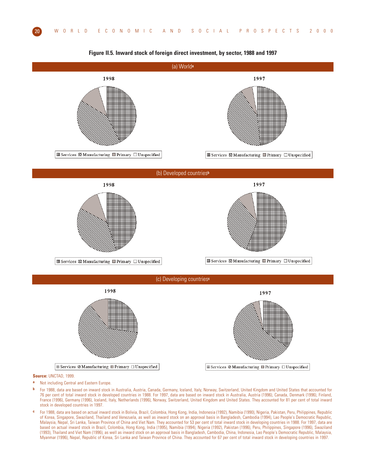

**Figure II.5. Inward stock of foreign direct investment, by sector, 1988 and 1997**

**Source:** UNCTAD, 1999.

- **a** Not including Central and Eastern Europe.
- **b** For 1988, data are based on inward stock in Australia, Austria, Canada, Germany, Iceland, Italy, Norway, Switzerland, United Kingdom and United States that accounted for 76 per cent of total inward stock in developed countries in 1988. For 1997, data are based on inward stock in Australia, Austria (1996), Canada, Denmark (1996), Finland, France (1996), Germany (1996), Iceland, Italy, Netherlands (1996), Norway, Switzerland, United Kingdom and United States. They accounted for 81 per cent of total inward stock in developed countries in 1997.
- **c** For 1988, data are based on actual inward stock in Bolivia, Brazil, Colombia, Hong Kong, India, Indonesia (1992), Namibia (1990), Nigeria, Pakistan, Peru, Philippines, Republic of Korea, Singapore, Swaziland, Thailand and Venezuela, as well as inward stock on an approval basis in Bangladesh, Cambodia (1994), Lao People's Democratic Republic, Malaysia, Nepal, Sri Lanka, Taiwan Province of China and Viet Nam. They accounted for 53 per cent of total inward stock in developing countries in 1988. For 1997, data are based on actual inward stock in Brazil, Colombia, Hong Kong, India (1995), Namibia (1994), Nigeria (1992), Pakistan (1996), Peru, Philippines, Singapore (1996), Swaziland (1993), Thailand and Viet Nam (1996), as well as inward stock on an approval basis in Bangladesh, Cambodia, China, Indonesia, Lao People's Democratic Republic, Malaysia, Myanmar (1996), Nepal, Republic of Korea, Sri Lanka and Taiwan Province of China. They accounted for 67 per cent of total inward stock in developing countries in 1997.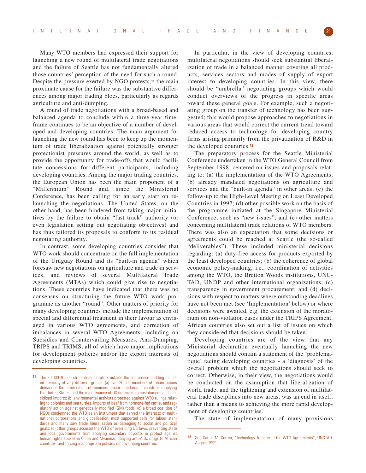Many WTO members had expressed their support for launching a new round of multilateral trade negotiations and the failure of Seattle has not fundamentally altered those countries' perception of the need for such a round. Despite the pressure exerted by NGO protests,**<sup>11</sup>** the main proximate cause for the failure was the substantive differences among major trading blocs, particularly as regards agriculture and anti-dumping.

A round of trade negotiations with a broad-based and balanced agenda to conclude within a three-year timeframe continues to be an objective of a number of developed and developing countries. The main argument for launching the new round has been to keep up the momentum of trade liberalization against potentially stronger protectionist pressures around the world, as well as to provide the opportunity for trade-offs that would facilitate concessions for different participants, including developing countries. Among the major trading countries, the European Union has been the main proponent of a "Millennium" Round and, since the Ministerial Conference, has been calling for an early start on relaunching the negotiations. The United States, on the other hand, has been hindered from taking major initiatives by the failure to obtain "fast track" authority (or even legislation setting out negotiating objectives) and has thus tailored its proposals to conform to its residual negotiating authority.

In contrast, some developing countries consider that WTO work should concentrate on the full implementation of the Uruguay Round and its "built-in agenda" which foresaw new negotiations on agriculture and trade in services, and reviews of several Multilateral Trade Agreements (MTAs) which could give rise to negotiations. These countries have indicated that there was no consensus on structuring the future WTO work programme as another "round". Other matters of priority for many developing countries include the implementation of special and differential treatment in their favour as envisaged in various WTO agreements, and correction of imbalances in several WTO Agreements, including on Subsidies and Countervailing Measures, Anti-Dumping, TRIPS and TRIMS, all of which have major implications for development policies and/or the export interests of developing countries.

In particular, in the view of developing countries, multilateral negotiations should seek substantial liberalization of trade in a balanced manner covering all products, services sectors and modes of supply of export interest to developing countries. In this view, there should be "umbrella" negotiating groups which would conduct overviews of the progress in specific areas toward these general goals. For example, such a negotiating group on the transfer of technology has been suggested; this would propose approaches to negotiations in various areas that would correct the current trend toward reduced access to technology for developing country firms arising primarily from the privatization of R&D in the developed countries.**<sup>12</sup>**

The preparatory process for the Seattle Ministerial Conference undertaken in the WTO General Council from September 1998, centered on issues and proposals relating to: (a) the implementation of the WTO Agreements; (b) already mandated negotiations on agriculture and services and the "built-in agenda" in other areas; (c) the follow-up to the High-Level Meeting on Least Developed Countries in 1997; (d) other possible work on the basis of the programme initiated at the Singapore Ministerial Conference, such as "new issues"; and (e) other matters concerning multilateral trade relations of WTO members. There was also an expectation that some decisions or agreements could be reached at Seattle (the so-called "deliverables"). These included ministerial decisions regarding: (a) duty-free access for products exported by the least developed countries; (b) the coherence of global economic policy-making, i.e., coordination of activities among the WTO, the Bretton Woods institutions, UNC-TAD, UNDP and other international organizations; (c) transparency in government procurement; and (d) decisions with respect to matters where outstanding deadlines have not been met (see 'Implementation' below) or where decisions were awaited, e.g. the extension of the moratorium on non-violation cases under the TRIPS Agreement. African countries also set out a list of issues on which they considered that decisions should be taken.

Developing countries are of the view that any Ministerial declaration eventually launching the new negotiations should contain a statement of the 'problematique' facing developing countries - a 'diagnosis' of the overall problem which the negotiations should seek to correct. Otherwise, in their view, the negotiations would be conducted on the assumption that liberalization of world trade, and the tightening and extension of multilateral trade disciplines into new areas, was an end in itself, rather than a means to achieving the more rapid development of developing countries.

The state of implementation of many provisions

**<sup>11</sup>** The 30,000-40,000 street demonstrators outside the conference building included a variety of very different groups: (a) over 20,000 members of labour unions demanded the enforcement of minimum labour standards in countries supplying the United States, and the maintenance of US defences against dumped and subsidised imports; (b) environmental activists protested against WTO rulings relating to dolphins and sea turtles, imports of beef from hormone-fed cattle, and regulatory action against genetically modified (GM) foods; (c) a broad coalition of NGOs condemned the WTO as an instrument that served the interests of multinational corporations and globalisation; most supported calls for labour standards and many saw trade liberalisation as damaging to social and political goals; (d) other groups accused the WTO of overriding US laws, preventing state and local governments from applying secondary boycotts in protest against human rights abuses in China and Myanmar, denying anti-AIDs drugs to African countries, and forcing inappropriate policies on developing countries.

**<sup>12</sup>** See Carlos M. Correa, "Technology Transfer in the WTO Agreements", UNCTAD August 1999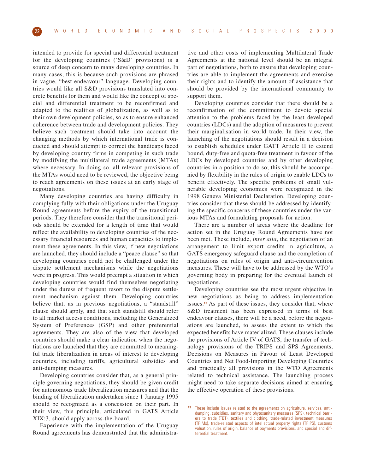intended to provide for special and differential treatment for the developing countries ('S&D' provisions) is a source of deep concern to many developing countries. In many cases, this is because such provisions are phrased in vague, "best endeavour" language. Developing countries would like all S&D provisions translated into concrete benefits for them and would like the concept of special and differential treatment to be reconfirmed and adapted to the realities of globalization, as well as to their own development policies, so as to ensure enhanced coherence between trade and development policies. They believe such treatment should take into account the changing methods by which international trade is conducted and should attempt to correct the handicaps faced by developing country firms in competing in such trade by modifying the multilateral trade agreements (MTAs) where necessary. In doing so, all relevant provisions of the MTAs would need to be reviewed, the objective being to reach agreements on these issues at an early stage of negotiations.

Many developing countries are having difficulty in complying fully with their obligations under the Uruguay Round agreements before the expiry of the transitional periods. They therefore consider that the transitional periods should be extended for a length of time that would reflect the availability to developing countries of the necessary financial resources and human capacities to implement these agreements. In this view, if new negotiations are launched, they should include a "peace clause" so that developing countries could not be challenged under the dispute settlement mechanisms while the negotiations were in progress. This would preempt a situation in which developing countries would find themselves negotiating under the duress of frequent resort to the dispute settlement mechanism against them. Developing countries believe that, as in previous negotiations, a "standstill" clause should apply, and that such standstill should refer to all market access conditions, including the Generalized System of Preferences (GSP) and other preferential agreements. They are also of the view that developed countries should make a clear indication when the negotiations are launched that they are committed to meaningful trade liberalization in areas of interest to developing countries, including tariffs, agricultural subsidies and anti-dumping measures.

Developing countries consider that, as a general principle governing negotiations, they should be given credit for autonomous trade liberalization measures and that the binding of liberalization undertaken since 1 January 1995 should be recognized as a concession on their part. In their view, this principle, articulated in GATS Article XIX:3, should apply across-the-board.

Experience with the implementation of the Uruguay Round agreements has demonstrated that the administrative and other costs of implementing Multilateral Trade Agreements at the national level should be an integral part of negotiations, both to ensure that developing countries are able to implement the agreements and exercise their rights and to identify the amount of assistance that should be provided by the international community to support them.

Developing countries consider that there should be a reconfirmation of the commitment to devote special attention to the problems faced by the least developed countries (LDCs) and the adoption of measures to prevent their marginalisation in world trade. In their view, the launching of the negotiations should result in a decision to establish schedules under GATT Article II to extend bound, duty-free and quota-free treatment in favour of the LDCs by developed countries and by other developing countries in a position to do so; this should be accompanied by flexibility in the rules of origin to enable LDCs to benefit effectively. The specific problems of small vulnerable developing economies were recognized in the 1998 Geneva Ministerial Declaration. Developing countries consider that these should be addressed by identifying the specific concerns of these countries under the various MTAs and formulating proposals for action.

There are a number of areas where the deadline for action set in the Uruguay Round Agreements have not been met. These include, *inter alia*, the negotiation of an arrangement to limit export credits in agriculture, a GATS emergency safeguard clause and the completion of negotiations on rules of origin and anti-circumvention measures. These will have to be addressed by the WTO's governing body in preparing for the eventual launch of negotiations.

Developing countries see the most urgent objective in new negotiations as being to address implementation issues.**<sup>13</sup>** As part of these issues, they consider that, where S&D treatment has been expressed in terms of best endeavour clauses, there will be a need, before the negotiations are launched, to assess the extent to which the expected benefits have materialized. These clauses include the provisions of Article IV of GATS, the transfer of technology provisions of the TRIPS and SPS Agreements, Decisions on Measures in Favour of Least Developed Countries and Net Food-Importing Developing Countries and practically all provisions in the WTO Agreements related to technical assistance. The launching process might need to take separate decisions aimed at ensuring the effective operation of these provisions.

**<sup>13</sup>** These include issues related to the agreements on agriculture, services, antidumping, subsidies, sanitary and phytosanitary measures (SPS), technical barriers to trade (TBT), textiles and clothing, trade-related investment measures (TRIMs), trade-related aspects of intellectual property rights (TRIPS), customs valuation, rules of origin, balance of payments provisions, and special and differential treatment.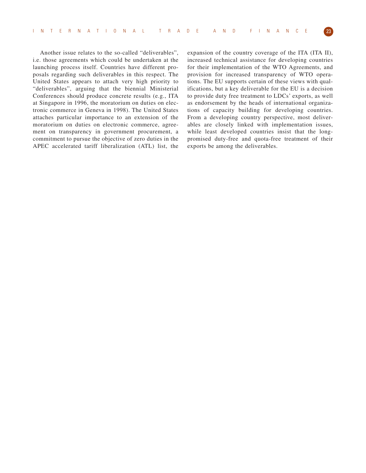Another issue relates to the so-called "deliverables", i.e. those agreements which could be undertaken at the launching process itself. Countries have different proposals regarding such deliverables in this respect. The United States appears to attach very high priority to "deliverables", arguing that the biennial Ministerial Conferences should produce concrete results (e.g., ITA at Singapore in 1996, the moratorium on duties on electronic commerce in Geneva in 1998). The United States attaches particular importance to an extension of the moratorium on duties on electronic commerce, agreement on transparency in government procurement, a commitment to pursue the objective of zero duties in the APEC accelerated tariff liberalization (ATL) list, the expansion of the country coverage of the ITA (ITA II), increased technical assistance for developing countries for their implementation of the WTO Agreements, and provision for increased transparency of WTO operations. The EU supports certain of these views with qualifications, but a key deliverable for the EU is a decision to provide duty free treatment to LDCs' exports, as well as endorsement by the heads of international organizations of capacity building for developing countries. From a developing country perspective, most deliverables are closely linked with implementation issues, while least developed countries insist that the longpromised duty-free and quota-free treatment of their exports be among the deliverables.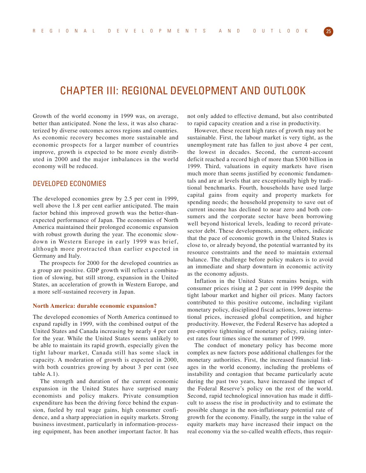# CHAPTER III: REGIONAL DEVELOPMENT AND OUTLOOK

Growth of the world economy in 1999 was, on average, better than anticipated. None the less, it was also characterized by diverse outcomes across regions and countries. As economic recovery becomes more sustainable and economic prospects for a larger number of countries improve, growth is expected to be more evenly distributed in 2000 and the major imbalances in the world economy will be reduced.

## DEVELOPED ECONOMIES

The developed economies grew by 2.5 per cent in 1999, well above the 1.8 per cent earlier anticipated. The main factor behind this improved growth was the better-thanexpected performance of Japan. The economies of North America maintained their prolonged economic expansion with robust growth during the year. The economic slowdown in Western Europe in early 1999 was brief, although more protracted than earlier expected in Germany and Italy.

The prospects for 2000 for the developed countries as a group are positive. GDP growth will reflect a combination of slowing, but still strong, expansion in the United States, an acceleration of growth in Western Europe, and a more self-sustained recovery in Japan.

#### **North America: durable economic expansion?**

The developed economies of North America continued to expand rapidly in 1999, with the combined output of the United States and Canada increasing by nearly 4 per cent for the year. While the United States seems unlikely to be able to maintain its rapid growth, especially given the tight labour market, Canada still has some slack in capacity. A moderation of growth is expected in 2000, with both countries growing by about 3 per cent (see table A.1).

The strength and duration of the current economic expansion in the United States have surprised many economists and policy makers. Private consumption expenditure has been the driving force behind the expansion, fueled by real wage gains, high consumer confidence, and a sharp appreciation in equity markets. Strong business investment, particularly in information-processing equipment, has been another important factor. It has

not only added to effective demand, but also contributed to rapid capacity creation and a rise in productivity.

However, these recent high rates of growth may not be sustainable. First, the labour market is very tight, as the unemployment rate has fallen to just above 4 per cent, the lowest in decades. Second, the current-account deficit reached a record high of more than \$300 billion in 1999. Third, valuations in equity markets have risen much more than seems justified by economic fundamentals and are at levels that are exceptionally high by traditional benchmarks. Fourth, households have used large capital gains from equity and property markets for spending needs; the household propensity to save out of current income has declined to near zero and both consumers and the corporate sector have been borrowing well beyond historical levels, leading to record privatesector debt. These developments, among others, indicate that the pace of economic growth in the United States is close to, or already beyond, the potential warranted by its resource constraints and the need to maintain external balance. The challenge before policy makers is to avoid an immediate and sharp downturn in economic activity as the economy adjusts.

Inflation in the United States remains benign, with consumer prices rising at 2 per cent in 1999 despite the tight labour market and higher oil prices. Many factors contributed to this positive outcome, including vigilant monetary policy, disciplined fiscal actions, lower international prices, increased global competition, and higher productivity. However, the Federal Reserve has adopted a pre-emptive tightening of monetary policy, raising interest rates four times since the summer of 1999.

The conduct of monetary policy has become more complex as new factors pose additional challenges for the monetary authorities. First, the increased financial linkages in the world economy, including the problems of instability and contagion that became particularly acute during the past two years, have increased the impact of the Federal Reserve's policy on the rest of the world. Second, rapid technological innovation has made it difficult to assess the rise in productivity and to estimate the possible change in the non-inflationary potential rate of growth for the economy. Finally, the surge in the value of equity markets may have increased their impact on the real economy via the so-called wealth effects, thus requir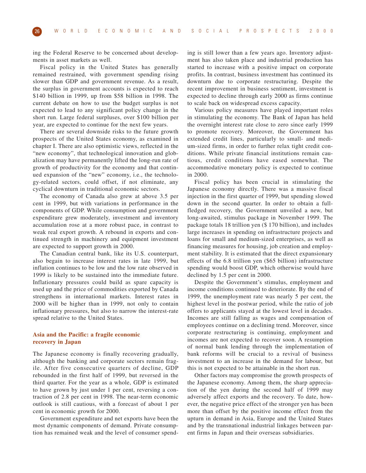ing the Federal Reserve to be concerned about developments in asset markets as well.

Fiscal policy in the United States has generally remained restrained, with government spending rising slower than GDP and government revenue. As a result, the surplus in government accounts is expected to reach \$140 billion in 1999, up from \$58 billion in 1998. The current debate on how to use the budget surplus is not expected to lead to any significant policy change in the short run. Large federal surpluses, over \$100 billion per year, are expected to continue for the next few years.

There are several downside risks to the future growth prospects of the United States economy, as examined in chapter I. There are also optimistic views, reflected in the "new economy", that technological innovation and globalization may have permanently lifted the long-run rate of growth of productivity for the economy and that continued expansion of the "new" economy, i.e., the technology-related sectors, could offset, if not eliminate, any cyclical downturn in traditional economic sectors.

The economy of Canada also grew at above 3.5 per cent in 1999, but with variations in performance in the components of GDP. While consumption and government expenditure grew moderately, investment and inventory accumulation rose at a more robust pace, in contrast to weak real export growth. A rebound in exports and continued strength in machinery and equipment investment are expected to support growth in 2000.

The Canadian central bank, like its U.S. counterpart, also begain to increase interest rates in late 1999, but inflation continues to be low and the low rate observed in 1999 is likely to be sustained into the immediate future. Inflationary pressures could build as spare capacity is used up and the price of commodities exported by Canada strengthens in international markets. Interest rates in 2000 will be higher than in 1999, not only to contain inflationary pressures, but also to narrow the interest-rate spread relative to the United States.

#### **Asia and the Pacific: a fragile economic recovery in Japan**

The Japanese economy is finally recovering gradually, although the banking and corporate sectors remain fragile. After five consecutive quarters of decline, GDP rebounded in the first half of 1999, but reversed in the third quarter. For the year as a whole, GDP is estimated to have grown by just under 1 per cent, reversing a contraction of 2.8 per cent in 1998. The near-term economic outlook is still cautious, with a forecast of about 1 per cent in economic growth for 2000.

Government expenditure and net exports have been the most dynamic components of demand. Private consumption has remained weak and the level of consumer spend-

ing is still lower than a few years ago. Inventory adjustment has also taken place and industrial production has started to increase with a positive impact on corporate profits. In contrast, business investment has continued its downturn due to corporate restructuring. Despite the recent improvement in business sentiment, investment is expected to decline through early 2000 as firms continue to scale back on widespread excess capacity.

Various policy measures have played important roles in stimulating the economy. The Bank of Japan has held the overnight interest rate close to zero since early 1999 to promote recovery. Moreover, the Government has extended credit lines, particularly to small- and medium-sized firms, in order to further relax tight credit conditions. While private financial institutions remain cautious, credit conditions have eased somewhat. The accommodative monetary policy is expected to continue in 2000.

Fiscal policy has been crucial in stimulating the Japanese economy directly. There was a massive fiscal injection in the first quarter of 1999, but spending slowed down in the second quarter. In order to obtain a fullfledged recovery, the Government unveiled a new, but long-awaited, stimulus package in November 1999. The package totals 18 trillion yen (\$ 170 billion), and includes large increases in spending on infrastructure projects and loans for small and medium-sized enterprises, as well as financing measures for housing, job creation and employment stability. It is estimated that the direct expansionary effects of the 6.8 trillion yen (\$65 billion) infrastructure spending would boost GDP, which otherwise would have declined by 1.5 per cent in 2000.

Despite the Government's stimulus, employment and income conditions continued to deteriorate. By the end of 1999, the unemployment rate was nearly 5 per cent, the highest level in the postwar period, while the ratio of job offers to applicants stayed at the lowest level in decades. Incomes are still falling as wages and compensation of employees continue on a declining trend. Moreover, since corporate restructuring is continuing, employment and incomes are not expected to recover soon. A resumption of normal bank lending through the implementation of bank reforms will be crucial to a revival of business investment to an increase in the demand for labour, but this is not expected to be attainable in the short run.

Other factors may compromise the growth prospects of the Japanese economy. Among them, the sharp appreciation of the yen during the second half of 1999 may adversely affect exports and the recovery. To date, however, the negative price effect of the stronger yen has been more than offset by the positive income effect from the upturn in demand in Asia, Europe and the United States and by the transnational industrial linkages between parent firms in Japan and their overseas subsidiaries.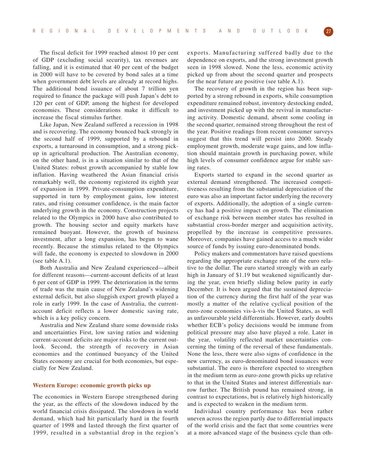The fiscal deficit for 1999 reached almost 10 per cent of GDP (excluding social security), tax revenues are falling, and it is estimated that 40 per cent of the budget in 2000 will have to be covered by bond sales at a time when government debt levels are already at record highs. The additional bond issuance of about 7 trillion yen required to finance the package will push Japan's debt to 120 per cent of GDP, among the highest for developed economies. These considerations make it difficult to increase the fiscal stimulus further.

Like Japan, New Zealand suffered a recession in 1998 and is recovering. The economy bounced back strongly in the second half of 1999, supported by a rebound in exports, a turnaround in consumption, and a strong pickup in agricultural production. The Australian economy, on the other hand, is in a situation similar to that of the United States: robust growth accompanied by stable low inflation. Having weathered the Asian financial crisis remarkably well, the economy registered its eighth year of expansion in 1999. Private-consumption expenditure, supported in turn by employment gains, low interest rates, and rising consumer confidence, is the main factor underlying growth in the economy. Construction projects related to the Olympics in 2000 have also contributed to growth. The housing sector and equity markets have remained buoyant. However, the growth of business investment, after a long expansion, has begun to wane recently. Because the stimulus related to the Olympics will fade, the economy is expected to slowdown in 2000 (see table A.1).

Both Australia and New Zealand experienced—albeit for different reasons—current-account deficits of at least 6 per cent of GDP in 1999. The deterioration in the terms of trade was the main cause of New Zealand's widening external deficit, but also sluggish export growth played a role in early 1999. In the case of Australia, the currentaccount deficit reflects a lower domestic saving rate, which is a key policy concern.

Australia and New Zealand share some downside risks and uncertainties First, low saving ratios and widening current-account deficits are major risks to the current outlook. Second, the strength of recovery in Asian economies and the continued buoyancy of the United States economy are crucial for both economies, but especially for New Zealand.

#### **Western Europe: economic growth picks up**

The economies in Western Europe strengthened during the year, as the effects of the slowdown induced by the world financial crisis dissipated. The slowdown in world demand, which had hit particularly hard in the fourth quarter of 1998 and lasted through the first quarter of 1999, resulted in a substantial drop in the region's

exports. Manufacturing suffered badly due to the dependence on exports, and the strong investment growth seen in 1998 slowed. None the less, economic activity picked up from about the second quarter and prospects for the near future are positive (see table A.1).

The recovery of growth in the region has been supported by a strong rebound in exports, while consumption expenditure remained robust, inventory destocking ended, and investment picked up with the revival in manufacturing activity. Domestic demand, absent some cooling in the second quarter, remained strong throughout the rest of the year. Positive readings from recent consumer surveys suggest that this trend will persist into 2000. Steady employment growth, moderate wage gains, and low inflation should maintain growth in purchasing power, while high levels of consumer confidence argue for stable saving rates.

Exports started to expand in the second quarter as external demand strengthened. The increased competitiveness resulting from the substantial depreciation of the euro was also an important factor underlying the recovery of exports. Additionally, the adoption of a single currency has had a positive impact on growth. The elimination of exchange risk between member states has resulted in substantial cross-border merger and acquisition activity, propelled by the increase in competitive pressures. Moreover, companies have gained access to a much wider source of funds by issuing euro-denominated bonds.

Policy makers and commentators have raised questions regarding the appropriate exchange rate of the euro relative to the dollar. The euro started strongly with an early high in January of \$1.19 but weakened significantly during the year, even briefly sliding below parity in early December. It is been argued that the sustained depreciation of the currency during the first half of the year was mostly a matter of the relative cyclical position of the euro-zone economies vis-à-vis the United States, as well as unfavourable yield differentials. However, early doubts whether ECB's policy decisions would be immune from political pressure may also have played a role. Later in the year, volatility reflected market uncertainties concerning the timing of the reversal of these fundamentals. None the less, there were also signs of confidence in the new currency, as euro-denominated bond issuances were substantial. The euro is therefore expected to strengthen in the medium term as euro-zone growth picks up relative to that in the United States and interest differentials narrow further. The British pound has remained strong, in contrast to expectations, but is relatively high historically and is expected to weaken in the medium term.

Individual country performance has been rather uneven across the region partly due to differential impacts of the world crisis and the fact that some countries were at a more advanced stage of the business cycle than oth-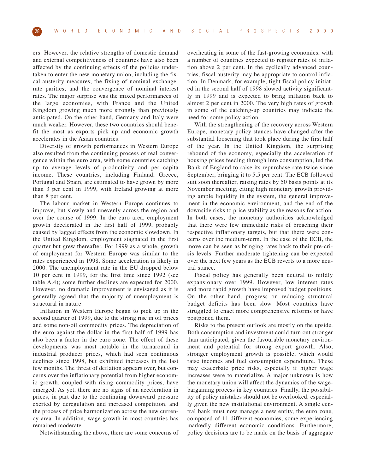ers. However, the relative strengths of domestic demand and external competitiveness of countries have also been affected by the continuing effects of the policies undertaken to enter the new monetary union, including the fiscal-austerity measures; the fixing of nominal exchangerate parities; and the convergence of nominal interest rates. The major surprise was the mixed performances of the large economies, with France and the United Kingdom growing much more strongly than previously anticipated. On the other hand, Germany and Italy were much weaker. However, these two countries should benefit the most as exports pick up and economic growth accelerates in the Asian countries.

Diversity of growth performances in Western Europe also resulted from the continuing process of real convergence within the euro area, with some countries catching up to average levels of productivity and per capita income. These countries, including Finland, Greece, Portugal and Spain, are estimated to have grown by more than 3 per cent in 1999, with Ireland growing at more than 8 per cent.

The labour market in Western Europe continues to improve, but slowly and unevenly across the region and over the course of 1999. In the euro area, employment growth decelerated in the first half of 1999, probably caused by lagged effects from the economic slowdown. In the United Kingdom, employment stagnated in the first quarter but grew thereafter. For 1999 as a whole, growth of employment for Western Europe was similar to the rates experienced in 1998. Some acceleration is likely in 2000. The unemployment rate in the EU dropped below 10 per cent in 1999, for the first time since 1992 (see table A.4); some further declines are expected for 2000. However, no dramatic improvement is envisaged as it is generally agreed that the majority of unemployment is structural in nature.

Inflation in Western Europe began to pick up in the second quarter of 1999, due to the strong rise in oil prices and some non-oil commodity prices. The depreciation of the euro against the dollar in the first half of 1999 has also been a factor in the euro zone. The effect of these developments was most notable in the turnaround in industrial producer prices, which had seen continuous declines since 1998, but exhibited increases in the last few months. The threat of deflation appears over, but concerns over the inflationary potential from higher economic growth, coupled with rising commodity prices, have emerged. As yet, there are no signs of an acceleration in prices, in part due to the continuing downward pressure exerted by deregulation and increased competition, and the process of price harmonization across the new currency area. In addition, wage growth in most countries has remained moderate.

Notwithstanding the above, there are some concerns of

overheating in some of the fast-growing economies, with a number of countries expected to register rates of inflation above 2 per cent. In the cyclically advanced countries, fiscal austerity may be appropriate to control inflation. In Denmark, for example, tight fiscal policy initiated in the second half of 1998 slowed activity significantly in 1999 and is expected to bring inflation back to almost 2 per cent in 2000. The very high rates of growth in some of the catching-up countries may indicate the need for some policy action.

With the strengthening of the recovery across Western Europe, monetary policy stances have changed after the substantial loosening that took place during the first half of the year. In the United Kingdom, the surprising rebound of the economy, especially the acceleration of housing prices feeding through into consumption, led the Bank of England to raise its repurchase rate twice since September, bringing it to 5.5 per cent. The ECB followed suit soon thereafter, raising rates by 50 basis points at its November meeting, citing high monetary growth providing ample liquidity in the system, the general improvement in the economic environment, and the end of the downside risks to price stability as the reasons for action. In both cases, the monetary authorities acknowledged that there were few immediate risks of breaching their respective inflationary targets, but that there were concerns over the medium-term. In the case of the ECB, the move can be seen as bringing rates back to their pre-crisis levels. Further moderate tightening can be expected over the next few years as the ECB reverts to a more neutral stance.

Fiscal policy has generally been neutral to mildly expansionary over 1999. However, low interest rates and more rapid growth have improved budget positions. On the other hand, progress on reducing structural budget deficits has been slow. Most countries have struggled to enact more comprehensive reforms or have postponed them.

Risks to the present outlook are mostly on the upside. Both consumption and investment could turn out stronger than anticipated, given the favourable monetary environment and potential for strong export growth. Also, stronger employment growth is possible, which would raise incomes and fuel consumption expenditure. These may exacerbate price risks, especially if higher wage increases were to materialize. A major unknown is how the monetary union will affect the dynamics of the wagebargaining process in key countries. Finally, the possibility of policy mistakes should not be overlooked, especially given the new institutional environment. A single central bank must now manage a new entity, the euro zone, composed of 11 different economies, some experiencing markedly different economic conditions. Furthermore, policy decisions are to be made on the basis of aggregate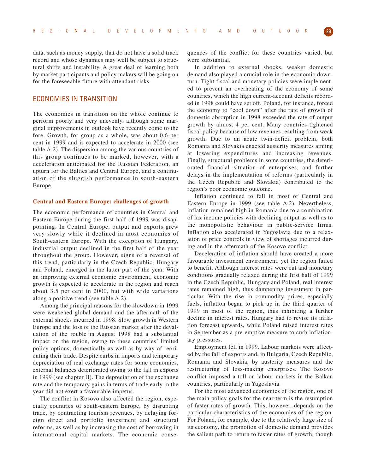data, such as money supply, that do not have a solid track record and whose dynamics may well be subject to structural shifts and instability. A great deal of learning both by market participants and policy makers will be going on for the foreseeable future with attendant risks.

## ECONOMIES IN TRANSITION

The economies in transition on the whole continue to perform poorly and very unevenly, although some marginal improvements in outlook have recently come to the fore. Growth, for group as a whole, was about 0.6 per cent in 1999 and is expected to accelerate in 2000 (see table A.2). The dispersion among the various countries of this group continues to be marked, however, with a deceleration anticipated for the Russian Federation, an upturn for the Baltics and Central Europe, and a continuation of the sluggish performance in south-eastern Europe.

#### **Central and Eastern Europe: challenges of growth**

The economic performance of countries in Central and Eastern Europe during the first half of 1999 was disappointing. In Central Europe, output and exports grew very slowly while it declined in most economies of South-eastern Europe. With the exception of Hungary, industrial output declined in the first half of the year throughout the group. However, signs of a reversal of this trend, particularly in the Czech Republic, Hungary and Poland, emerged in the latter part of the year. With an improving external economic environment, economic growth is expected to accelerate in the region and reach about 3.5 per cent in 2000, but with wide variations along a positive trend (see table A.2).

Among the principal reasons for the slowdown in 1999 were weakened global demand and the aftermath of the external shocks incurred in 1998. Slow growth in Western Europe and the loss of the Russian market after the devaluation of the rouble in August 1998 had a substantial impact on the region, owing to these countries' limited policy options, domestically as well as by way of reorienting their trade. Despite curbs in imports and temporary depreciation of real exchange rates for some economies, external balances deteriorated owing to the fall in exports in 1999 (see chapter II). The depreciation of the exchange rate and the temporary gains in terms of trade early in the year did not exert a favourable impetus.

The conflict in Kosovo also affected the region, especially countries of south-eastern Europe, by disrupting trade, by contracting tourism revenues, by delaying foreign direct and portfolio investment and structural reforms, as well as by increasing the cost of borrowing in international capital markets. The economic consequences of the conflict for these countries varied, but were substantial.

In addition to external shocks, weaker domestic demand also played a crucial role in the economic downturn. Tight fiscal and monetary policies were implemented to prevent an overheating of the economy of some countries, which the high current-account deficits recorded in 1998 could have set off. Poland, for instance, forced the economy to "cool down" after the rate of growth of domestic absorption in 1998 exceeded the rate of output growth by almost 4 per cent. Many countries tightened fiscal policy because of low revenues resulting from weak growth. Due to an acute twin-deficit problem, both Romania and Slovakia enacted austerity measures aiming at lowering expenditures and increasing revenues. Finally, structural problems in some countries, the deteriorated financial situation of enterprises, and further delays in the implementation of reforms (particularly in the Czech Republic and Slovakia) contributed to the region's poor economic outcome.

Inflation continued to fall in most of Central and Eastern Europe in 1999 (see table A.2). Nevertheless, inflation remained high in Romania due to a combination of lax income policies with declining output as well as to the monopolistic behaviour in public-service firms. Inflation also accelerated in Yugoslavia due to a relaxation of price controls in view of shortages incurred during and in the aftermath of the Kosovo conflict.

Deceleration of inflation should have created a more favourable investment environment, yet the region failed to benefit. Although interest rates were cut and monetary conditions gradually relaxed during the first half of 1999 in the Czech Republic, Hungary and Poland, real interest rates remained high, thus dampening investment in particular. With the rise in commodity prices, especially fuels, inflation began to pick up in the third quarter of 1999 in most of the region, thus inhibiting a further decline in interest rates. Hungary had to revise its inflation forecast upwards, while Poland raised interest rates in September as a pre-emptive measure to curb inflationary pressures.

Employment fell in 1999. Labour markets were affected by the fall of exports and, in Bulgaria, Czech Republic, Romania and Slovakia, by austerity measures and the restructuring of loss-making enterprises. The Kosovo conflict imposed a toll on labour markets in the Balkan countries, particularly in Yugoslavia.

For the most advanced economies of the region, one of the main policy goals for the near-term is the resumption of faster rates of growth. This, however, depends on the particular characteristics of the economies of the region. For Poland, for example, due to the relatively large size of its economy, the promotion of domestic demand provides the salient path to return to faster rates of growth, though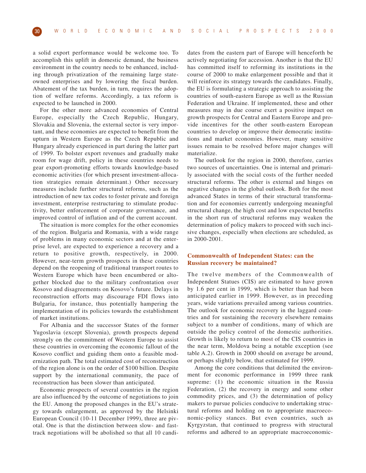a solid export performance would be welcome too. To accomplish this uplift in domestic demand, the business environment in the country needs to be enhanced, including through privatization of the remaining large stateowned enterprises and by lowering the fiscal burden. Abatement of the tax burden, in turn, requires the adoption of welfare reforms. Accordingly, a tax reform is expected to be launched in 2000.

For the other more advanced economies of Central Europe, especially the Czech Republic, Hungary, Slovakia and Slovenia, the external sector is very important, and these economies are expected to benefit from the upturn in Western Europe as the Czech Republic and Hungary already experienced in part during the latter part of 1999. To bolster export revenues and gradually make room for wage drift, policy in these countries needs to gear export-promoting efforts towards knowledge-based economic activities (for which present investment-allocation strategies remain determinant.) Other necessary measures include further structural reforms, such as the introduction of new tax codes to foster private and foreign investment, enterprise restructuring to stimulate productivity, better enforcement of corporate governance, and improved control of inflation and of the current account.

The situation is more complex for the other economies of the region. Bulgaria and Romania, with a wide range of problems in many economic sectors and at the enterprise level, are expected to experience a recovery and a return to positive growth, respectively, in 2000. However, near-term growth prospects in these countries depend on the reopening of traditional transport routes to Western Europe which have been encumbered or altogether blocked due to the military confrontation over Kosovo and disagreements on Kosovo's future. Delays in reconstruction efforts may discourage FDI flows into Bulgaria, for instance, thus potentially hampering the implementation of its policies towards the establishment of market institutions.

For Albania and the successor States of the former Yugoslavia (except Slovenia), growth prospects depend strongly on the commitment of Western Europe to assist these countries in overcoming the economic fallout of the Kosovo conflict and guiding them onto a feasible modernization path. The total estimated cost of reconstruction of the region alone is on the order of \$100 billion. Despite support by the international community, the pace of reconstruction has been slower than anticipated.

Economic prospects of several countries in the region are also influenced by the outcome of negotiations to join the EU. Among the proposed changes in the EU's strategy towards enlargement, as approved by the Helsinki European Council (10-11 December 1999), three are pivotal. One is that the distinction between slow- and fasttrack negotiations will be abolished so that all 10 candidates from the eastern part of Europe will henceforth be actively negotiating for accession. Another is that the EU has committed itself to reforming its institutions in the course of 2000 to make enlargement possible and that it will reinforce its strategy towards the candidates. Finally, the EU is formulating a strategic approach to assisting the countries of south-eastern Europe as well as the Russian Federation and Ukraine. If implemented, these and other measures may in due course exert a positive impact on growth prospects for Central and Eastern Europe and provide incentives for the other south-eastern European countries to develop or improve their democratic institutions and market economies. However, many sensitive issues remain to be resolved before major changes will materialize.

The outlook for the region in 2000, therefore, carries two sources of uncertainties. One is internal and primarily associated with the social costs of the further needed structural reforms. The other is external and hinges on negative changes in the global outlook. Both for the most advanced States in terms of their structural transformation and for economies currently undergoing meaningful structural change, the high cost and low expected benefits in the short run of structural reforms may weaken the determination of policy makers to proceed with such incisive changes, especially when elections are scheduled, as in 2000-2001.

#### **Commonwealth of Independent States: can the Russian recovery be maintained?**

The twelve members of the Commonwealth of Independent Statues (CIS) are estimated to have grown by 1.6 per cent in 1999, which is better than had been anticipated earlier in 1999. However, as in preceding years, wide variations prevailed among various countries. The outlook for economic recovery in the laggard countries and for sustaining the recovery elsewhere remains subject to a number of conditions, many of which are outside the policy control of the domestic authorities. Growth is likely to return to most of the CIS countries in the near term, Moldova being a notable exception (see table A.2). Growth in 2000 should on average be around, or perhaps slightly below, that estimated for 1999.

Among the core conditions that delimited the environment for economic performance in 1999 three rank supreme: (1) the economic situation in the Russia Federation, (2) the recovery in energy and some other commodity prices, and (3) the determination of policy makers to pursue policies conducive to undertaking structural reforms and holding on to appropriate macroeconomic-policy stances. But even countries, such as Kyrgyzstan, that continued to progress with structural reforms and adhered to an appropriate macroeconomic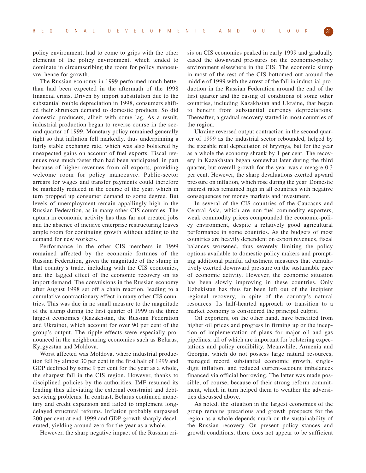policy environment, had to come to grips with the other elements of the policy environment, which tended to dominate in circumscribing the room for policy manoeuvre, hence for growth.

The Russian economy in 1999 performed much better than had been expected in the aftermath of the 1998 financial crisis. Driven by import substitution due to the substantial rouble depreciation in 1998, consumers shifted their shrunken demand to domestic products. So did domestic producers, albeit with some lag. As a result, industrial production began to reverse course in the second quarter of 1999. Monetary policy remained generally tight so that inflation fell markedly, thus underpinning a fairly stable exchange rate, which was also bolstered by unexpected gains on account of fuel exports. Fiscal revenues rose much faster than had been anticipated, in part because of higher revenues from oil exports, providing welcome room for policy manoeuvre. Public-sector arrears for wages and transfer payments could therefore be markedly reduced in the course of the year, which in turn propped up consumer demand to some degree. But levels of unemployment remain appallingly high in the Russian Federation, as in many other CIS countries. The upturn in economic activity has thus far not created jobs and the absence of incisive enterprise restructuring leaves ample room for continuing growth without adding to the demand for new workers.

Performance in the other CIS members in 1999 remained affected by the economic fortunes of the Russian Federation, given the magnitude of the slump in that country's trade, including with the CIS economies, and the lagged effect of the economic recovery on its import demand. The convulsions in the Russian economy after August 1998 set off a chain reaction, leading to a cumulative contractionary effect in many other CIS countries. This was due in no small measure to the magnitude of the slump during the first quarter of 1999 in the three largest economies (Kazakhstan, the Russian Federation and Ukraine), which account for over 90 per cent of the group's output. The ripple effects were especially pronounced in the neighbouring economies such as Belarus, Kyrgyzstan and Moldova.

Worst affected was Moldova, where industrial production fell by almost 30 per cent in the first half of 1999 and GDP declined by some 9 per cent for the year as a whole, the sharpest fall in the CIS region. However, thanks to disciplined policies by the authorities, IMF resumed its lending thus alleviating the external constraint and debtservicing problems. In contrast, Belarus continued monetary and credit expansion and failed to implement longdelayed structural reforms. Inflation probably surpassed 200 per cent at end-1999 and GDP growth sharply decelerated, yielding around zero for the year as a whole.

However, the sharp negative impact of the Russian cri-

sis on CIS economies peaked in early 1999 and gradually eased the downward pressures on the economic-policy environment elsewhere in the CIS. The economic slump in most of the rest of the CIS bottomed out around the middle of 1999 with the arrest of the fall in industrial production in the Russian Federation around the end of the first quarter and the easing of conditions of some other countries, including Kazakhstan and Ukraine, that began to benefit from substantial currency depreciations. Thereafter, a gradual recovery started in most countries of the region.

Ukraine reversed output contraction in the second quarter of 1999 as the industrial sector rebounded, helped by the sizeable real depreciation of hryvnya, but for the year as a whole the economy shrank by 1 per cent. The recovery in Kazakhstan began somewhat later during the third quarter, but overall growth for the year was a meagre 0.3 per cent. However, the sharp devaluations exerted upward pressure on inflation, which rose during the year. Domestic interest rates remained high in all countries with negative consequences for money markets and investment.

In several of the CIS countries of the Caucasus and Central Asia, which are non-fuel commodity exporters, weak commodity prices compounded the economic-policy environment, despite a relatively good agricultural performance in some countries. As the budgets of most countries are heavily dependent on export revenues, fiscal balances worsened, thus severely limiting the policy options available to domestic policy makers and prompting additional painful adjustment measures that cumulatively exerted downward pressure on the sustainable pace of economic activity. However, the economic situation has been slowly improving in these countries. Only Uzbekistan has thus far been left out of the incipient regional recovery, in spite of the country's natural resources. Its half-hearted approach to transition to a market economy is considered the principal culprit.

Oil exporters, on the other hand, have benefited from higher oil prices and progress in firming up or the inception of implementation of plans for major oil and gas pipelines, all of which are important for bolstering expectations and policy credibility. Meanwhile, Armenia and Georgia, which do not possess large natural resources, managed record substantial economic growth, singledigit inflation, and reduced current-account imbalances financed via official borrowing. The latter was made possible, of course, because of their strong reform commitment, which in turn helped them to weather the adversities discussed above.

As noted, the situation in the largest economies of the group remains precarious and growth prospects for the region as a whole depends much on the sustainability of the Russian recovery. On present policy stances and growth conditions, there does not appear to be sufficient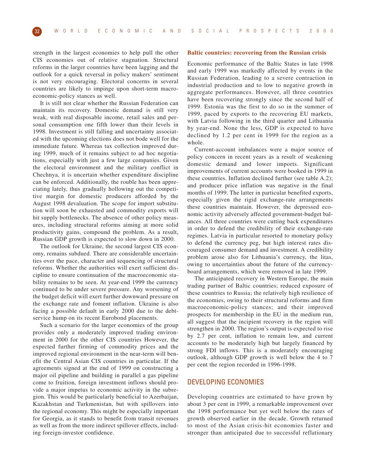strength in the largest economies to help pull the other CIS economies out of relative stagnation. Structural reforms in the larger countries have been lagging and the outlook for a quick reversal in policy makers' sentiment is not very encouraging. Electoral concerns in several countries are likely to impinge upon short-term macroeconomic-policy stances as well.

It is still not clear whether the Russian Federation can maintain its recovery. Domestic demand is still very weak, with real disposable income, retail sales and personal consumption one fifth lower than their levels in 1998. Investment is still falling and uncertainty associated with the upcoming elections does not bode well for the immediate future. Whereas tax collection improved during 1999, much of it remains subject to ad hoc negotiations, especially with just a few large companies. Given the electoral environment and the military conflict in Chechnya, it is uncertain whether expenditure discipline can be enforced. Additionally, the rouble has been appreciating lately, thus gradually hollowing out the competitive margin for domestic producers afforded by the August 1998 devaluation. The scope for import substitution will soon be exhausted and commodity exports will hit supply bottlenecks. The absence of other policy measures, including structural reforms aiming at more solid productivity gains, compound the problem. As a result, Russian GDP growth is expected to slow down in 2000.

The outlook for Ukraine, the second largest CIS economy, remains subdued. There are considerable uncertainties over the pace, character and sequencing of structural reforms. Whether the authorities will exert sufficient discipline to ensure continuation of the macroeconomic stability remains to be seen. At year-end 1999 the currency continued to be under severe pressure. Any worsening of the budget deficit will exert further downward pressure on the exchange rate and foment inflation. Ukraine is also facing a possible default in early 2000 due to the debtservice hump on its recent Eurobond placements.

Such a scenario for the larger economies of the group provides only a moderately improved trading environment in 2000 for the other CIS countries However, the expected further firming of commodity prices and the improved regional environment in the near-term will benefit the Central Asian CIS countries in particular. If the agreements signed at the end of 1999 on constructing a major oil pipeline and building in parallel a gas pipeline come to fruition, foreign investment inflows should provide a major impetus to economic activity in the subregion. This would be particularly beneficial to Azerbaijan, Kazakhstan and Turkmenistan, but with spillovers into the regional economy. This might be especially important for Georgia, as it stands to benefit from transit revenues as well as from the more indirect spillover effects, including foreign-investor confidence.

#### **Baltic countries: recovering from the Russian crisis**

Economic performance of the Baltic States in late 1998 and early 1999 was markedly affected by events in the Russian Federation, leading to a severe contraction in industrial production and to low to negative growth in aggregate performances. However, all three countries have been recovering strongly since the second half of 1999. Estonia was the first to do so in the summer of 1999, paced by exports to the recovering EU markets, with Latvia following in the third quarter and Lithuania by year-end. None the less, GDP is expected to have declined by 1.2 per cent in 1999 for the region as a whole.

Current-account imbalances were a major source of policy concern in recent years as a result of weakening domestic demand and lower imports. Significant improvements of current accounts were booked in 1999 in these countries. Inflation declined further (see table A.2); and producer price inflation was negative in the final months of 1999. The latter in particular benefited exports, especially given the rigid exchange-rate arrangements these countries maintain. However, the depressed economic activity adversely affected government-budget balances. All three countries were cutting back expenditures in order to defend the credibility of their exchange-rate regimes. Latvia in particular resorted to monetary policy to defend the currency peg, but high interest rates discouraged consumer demand and investment. A credibility problem arose also for Lithuania's currency, the litas, owing to uncertainties about the future of the currencyboard arrangements, which were removed in late 1999.

The anticipated recovery in Western Europe, the main trading partner of Baltic countries; reduced exposure of these countries to Russia; the relatively high resilience of the economies, owing to their structural reforms and firm macroeconomic-policy stances; and their improved prospects for membership in the EU in the medium run, all suggest that the incipient recovery in the region will strengthen in 2000. The region's output is expected to rise by 2.7 per cent, inflation to remain low, and current accounts to be moderately high but largely financed by strong FDI inflows. This is a moderately encouraging outlook, although GDP growth is well below the 4 to 7 per cent the region recorded in 1996-1998.

## DEVELOPING ECONOMIES

Developing countries are estimated to have grown by about 3 per cent in 1999, a remarkable improvement over the 1998 performance but yet well below the rates of growth observed earlier in the decade. Growth returned to most of the Asian crisis-hit economies faster and stronger than anticipated due to successful reflationary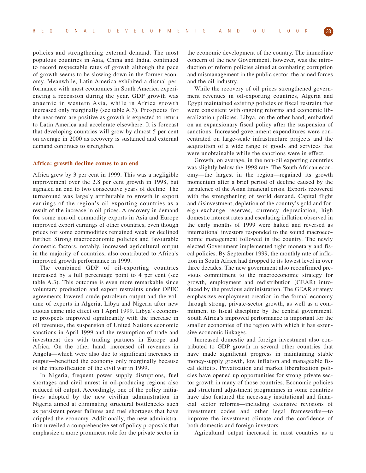policies and strengthening external demand. The most populous countries in Asia, China and India, continued to record respectable rates of growth although the pace of growth seems to be slowing down in the former economy. Meanwhile, Latin America exhibited a dismal performance with most economies in South America experiencing a recession during the year. GDP growth was anaemic in western Asia, while in Africa growth increased only marginally (see table A.3). Prospects for the near-term are positive as growth is expected to return to Latin America and accelerate elsewhere. It is forecast that developing countries will grow by almost 5 per cent on average in 2000 as recovery is sustained and external demand continues to strengthen.

#### **Africa: growth decline comes to an end**

Africa grew by 3 per cent in 1999. This was a negligible improvement over the 2.8 per cent growth in 1998, but signaled an end to two consecutive years of decline. The turnaround was largely attributable to growth in export earnings of the region's oil exporting countries as a result of the increase in oil prices. A recovery in demand for some non-oil commodity exports in Asia and Europe improved export earnings of other countries, even though prices for some commodities remained weak or declined further. Strong macroeconomic policies and favourable domestic factors, notably, increased agricultural output in the majority of countries, also contributed to Africa's improved growth performance in 1999.

The combined GDP of oil-exporting countries increased by a full percentage point to 4 per cent (see table A.3). This outcome is even more remarkable since voluntary production and export restraints under OPEC agreements lowered crude petroleum output and the volume of exports in Algeria, Libya and Nigeria after new quotas came into effect on 1 April 1999. Libya's economic prospects improved significantly with the increase in oil revenues, the suspension of United Nations economic sanctions in April 1999 and the resumption of trade and investment ties with trading partners in Europe and Africa. On the other hand, increased oil revenues in Angola—which were also due to significant increases in output—benefited the economy only marginally because of the intensification of the civil war in 1999.

In Nigeria, frequent power supply disruptions, fuel shortages and civil unrest in oil-producing regions also reduced oil output. Accordingly, one of the policy initiatives adopted by the new civilian administration in Nigeria aimed at eliminating structural bottlenecks such as persistent power failures and fuel shortages that have crippled the economy. Additionally, the new administration unveiled a comprehensive set of policy proposals that emphasize a more prominent role for the private sector in

the economic development of the country. The immediate concern of the new Government, however, was the introduction of reform policies aimed at combating corruption and mismanagement in the public sector, the armed forces and the oil industry.

While the recovery of oil prices strengthened government revenues in oil-exporting countries, Algeria and Egypt maintained existing policies of fiscal restraint that were consistent with ongoing reforms and economic liberalization policies. Libya, on the other hand, embarked on an expansionary fiscal policy after the suspension of sanctions. Increased government expenditures were concentrated on large-scale infrastructure projects and the acquisition of a wide range of goods and services that were unobtainable while the sanctions were in effect.

Growth, on average, in the non-oil exporting countries was slightly below the 1998 rate. The South African economy—the largest in the region—regained its growth momentum after a brief period of decline caused by the turbulence of the Asian financial crisis. Exports recovered with the strengthening of world demand. Capital flight and disinvestment, depletion of the country's gold and foreign-exchange reserves, currency depreciation, high domestic interest rates and escalating inflation observed in the early months of 1999 were halted and reversed as international investors responded to the sound macroeconomic management followed in the country. The newly elected Government implemented tight monetary and fiscal policies. By September 1999, the monthly rate of inflation in South Africa had dropped to its lowest level in over three decades. The new government also reconfirmed previous commitment to the macroeconomic strategy for growth, employment and redistribution (GEAR) introduced by the previous administration. The GEAR strategy emphasizes employment creation in the formal economy through strong, private-sector growth, as well as a commitment to fiscal discipline by the central government. South Africa's improved performance is important for the smaller economies of the region with which it has extensive economic linkages.

Increased domestic and foreign investment also contributed to GDP growth in several other countries that have made significant progress in maintaining stable money-supply growth, low inflation and manageable fiscal deficits. Privatization and market liberalization policies have opened up opportunities for strong private sector growth in many of those countries. Economic policies and structural adjustment programmes in some countries have also featured the necessary institutional and financial sector reforms—including extensive revisions of investment codes and other legal frameworks—to improve the investment climate and the confidence of both domestic and foreign investors.

Agricultural output increased in most countries as a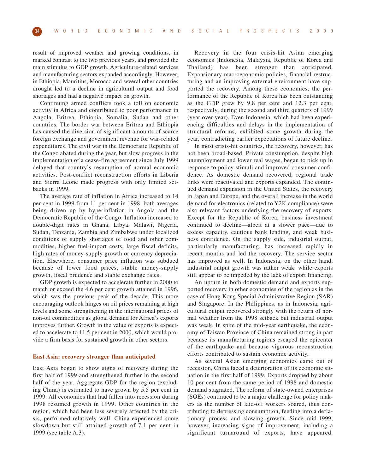result of improved weather and growing conditions, in marked contrast to the two previous years, and provided the main stimulus to GDP growth. Agriculture-related services and manufacturing sectors expanded accordingly. However, in Ethiopia, Mauritius, Morocco and several other countries drought led to a decline in agricultural output and food shortages and had a negative impact on growth.

Continuing armed conflicts took a toll on economic activity in Africa and contributed to poor performance in Angola, Eritrea, Ethiopia, Somalia, Sudan and other countries. The border war between Eritrea and Ethiopia has caused the diversion of significant amounts of scarce foreign exchange and government revenue for war-related expenditures. The civil war in the Democratic Republic of the Congo abated during the year, but slow progress in the implementation of a cease-fire agreement since July 1999 delayed that country's resumption of normal economic activities. Post-conflict reconstruction efforts in Liberia and Sierra Leone made progress with only limited setbacks in 1999.

The average rate of inflation in Africa increased to 14 per cent in 1999 from 11 per cent in 1998, both averages being driven up by hyperinflation in Angola and the Democratic Republic of the Congo. Inflation increased to double-digit rates in Ghana, Libya, Malawi, Nigeria, Sudan, Tanzania, Zambia and Zimbabwe under localized conditions of supply shortages of food and other commodities, higher fuel-import costs, large fiscal deficits, high rates of money-supply growth or currency depreciation. Elsewhere, consumer price inflation was subdued because of lower food prices, stable money-supply growth, fiscal prudence and stable exchange rates.

GDP growth is expected to accelerate further in 2000 to match or exceed the 4.6 per cent growth attained in 1996, which was the previous peak of the decade. This more encouraging outlook hinges on oil prices remaining at high levels and some strengthening in the international prices of non-oil commodities as global demand for Africa's exports improves further. Growth in the value of exports is expected to accelerate to 11.5 per cent in 2000, which would provide a firm basis for sustained growth in other sectors.

#### **East Asia: recovery stronger than anticipated**

East Asia began to show signs of recovery during the first half of 1999 and strengthened further in the second half of the year. Aggregate GDP for the region (excluding China) is estimated to have grown by 5.5 per cent in 1999. All economies that had fallen into recession during 1998 resumed growth in 1999. Other countries in the region, which had been less severely affected by the crisis, performed relatively well. China experienced some slowdown but still attained growth of 7.1 per cent in 1999 (see table A.3).

Recovery in the four crisis-hit Asian emerging economies (Indonesia, Malaysia, Republic of Korea and Thailand) has been stronger than anticipated. Expansionary macroeconomic policies, financial restructuring and an improving external environment have supported the recovery. Among these economies, the performance of the Republic of Korea has been outstanding as the GDP grew by 9.8 per cent and 12.3 per cent, respectively, during the second and third quarters of 1999 (year over year). Even Indonesia, which had been experiencing difficulties and delays in the implementation of structural reforms, exhibited some growth during the year, contradicting earlier expectations of future decline.

In most crisis-hit countries, the recovery, however, has not been broad-based. Private consumption, despite high unemployment and lower real wages, began to pick up in response to policy stimuli and improved consumer confidence. As domestic demand recovered, regional trade links were reactivated and exports expanded. The continued demand expansion in the United States, the recovery in Japan and Europe, and the overall increase in the world demand for electronics (related to Y2K compliance) were also relevant factors underlying the recovery of exports. Except for the Republic of Korea, business investment continued to decline—albeit at a slower pace—due to excess capacity, cautious bank lending, and weak business confidence. On the supply side, industrial output, particularly manufacturing, has increased rapidly in recent months and led the recovery. The service sector has improved as well. In Indonesia, on the other hand, industrial output growth was rather weak, while exports still appear to be impeded by the lack of export financing.

An upturn in both domestic demand and exports supported recovery in other economies of the region as in the case of Hong Kong Special Administrative Region (SAR) and Singapore. In the Philippines, as in Indonesia, agricultural output recovered strongly with the return of normal weather from the 1998 setback but industrial output was weak. In spite of the mid-year earthquake, the economy of Taiwan Province of China remained strong in part because its manufacturing regions escaped the epicenter of the earthquake and because vigorous reconstruction efforts contributed to sustain economic activity.

As several Asian emerging economies came out of recession, China faced a deterioration of its economic situation in the first half of 1999. Exports dropped by about 10 per cent from the same period of 1998 and domestic demand stagnated. The reform of state-owned enterprises (SOEs) continued to be a major challenge for policy makers as the number of laid-off workers soared, thus contributing to depressing consumption, feeding into a deflationary process and slowing growth. Since mid-1999, however, increasing signs of improvement, including a significant turnaround of exports, have appeared.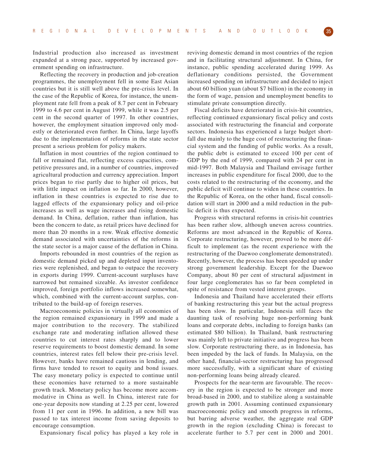Industrial production also increased as investment expanded at a strong pace, supported by increased government spending on infrastructure.

Reflecting the recovery in production and job-creation programmes, the unemployment fell in some East Asian countries but it is still well above the pre-crisis level. In the case of the Republic of Korea, for instance, the unemployment rate fell from a peak of 8.7 per cent in February 1999 to 4.6 per cent in August 1999, while it was 2.5 per cent in the second quarter of 1997. In other countries, however, the employment situation improved only modestly or deteriorated even further. In China, large layoffs due to the implementation of reforms in the state sector present a serious problem for policy makers.

Inflation in most countries of the region continued to fall or remained flat, reflecting excess capacities, competitive pressures and, in a number of countries, improved agricultural production and currency appreciation. Import prices began to rise partly due to higher oil prices, but with little impact on inflation so far. In 2000, however, inflation in these countries is expected to rise due to lagged effects of the expansionary policy and oil-price increases as well as wage increases and rising domestic demand. In China, deflation, rather than inflation, has been the concern to date, as retail prices have declined for more than 20 months in a row. Weak effective domestic demand associated with uncertainties of the reforms in the state sector is a major cause of the deflation in China.

Imports rebounded in most countries of the region as domestic demand picked up and depleted input inventories were replenished, and began to outpace the recovery in exports during 1999. Current-account surpluses have narrowed but remained sizeable. As investor confidence improved, foreign portfolio inflows increased somewhat, which, combined with the current-account surplus, contributed to the build-up of foreign reserves.

Macroeconomic policies in virtually all economies of the region remained expansionary in 1999 and made a major contribution to the recovery. The stabilized exchange rate and moderating inflation allowed these countries to cut interest rates sharply and to lower reserve requirements to boost domestic demand. In some countries, interest rates fell below their pre-crisis level. However, banks have remained cautious in lending, and firms have tended to resort to equity and bond issues. The easy monetary policy is expected to continue until these economies have returned to a more sustainable growth track. Monetary policy has become more accommodative in China as well. In China, interest rate for one-year deposits now standing at 2.25 per cent, lowered from 11 per cent in 1996. In addition, a new bill was passed to tax interest income from saving deposits to encourage consumption.

Expansionary fiscal policy has played a key role in

reviving domestic demand in most countries of the region and in facilitating structural adjustment. In China, for instance, public spending accelerated during 1999. As deflationary conditions persisted, the Government increased spending on infrastructure and decided to inject about 60 billion yuan (about \$7 billion) in the economy in the form of wage, pension and unemployment benefits to stimulate private consumption directly.

Fiscal deficits have deteriorated in crisis-hit countries, reflecting continued expansionary fiscal policy and costs associated with restructuring the financial and corporate sectors. Indonesia has experienced a large budget shortfall due mainly to the huge cost of restructuring the financial system and the funding of public works. As a result, the public debt is estimated to exceed 100 per cent of GDP by the end of 1999, compared with 24 per cent in mid-1997. Both Malaysia and Thailand envisage further increases in public expenditure for fiscal 2000, due to the costs related to the restructuring of the economy, and the public deficit will continue to widen in these countries. In the Republic of Korea, on the other hand, fiscal consolidation will start in 2000 and a mild reduction in the public deficit is thus expected.

Progress with structural reforms in crisis-hit countries has been rather slow, although uneven across countries. Reforms are most advanced in the Republic of Korea. Corporate restructuring, however, proved to be more difficult to implement (as the recent experience with the restructuring of the Daewoo conglomerate demonstrated). Recently, however, the process has been speeded up under strong government leadership. Except for the Daewoo Company, about 80 per cent of structural adjustment in four large conglomerates has so far been completed in spite of resistance from vested interest groups.

Indonesia and Thailand have accelerated their efforts of banking restructuring this year but the actual progress has been slow. In particular, Indonesia still faces the daunting task of resolving huge non-performing bank loans and corporate debts, including to foreign banks (an estimated \$80 billion). In Thailand, bank restructuring was mainly left to private initiative and progress has been slow. Corporate restructuring there, as in Indonesia, has been impeded by the lack of funds. In Malaysia, on the other hand, financial-sector restructuring has progressed more successfully, with a significant share of existing non-performing loans being already cleared.

Prospects for the near-term are favourable. The recovery in the region is expected to be stronger and more broad-based in 2000, and to stabilize along a sustainable growth path in 2001. Assuming continued expansionary macroeconomic policy and smooth progress in reforms, but barring adverse weather, the aggregate real GDP growth in the region (excluding China) is forecast to accelerate further to 5.7 per cent in 2000 and 2001.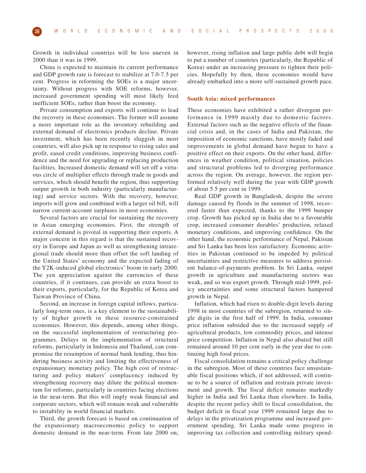Growth in individual countries will be less uneven in 2000 than it was in 1999.

China is expected to maintain its current performance and GDP growth rate is forecast to stabilize at 7.0-7.5 per cent. Progress in reforming the SOEs is a major uncertainty. Without progress with SOE reforms, however, increased government spending will most likely feed inefficient SOEs, rather than boost the economy.

Private consumption and exports will continue to lead the recovery in these economies. The former will assume a more important role as the inventory rebuilding and external demand of electronics products decline. Private investment, which has been recently sluggish in most countries, will also pick up in response to rising sales and profit, eased credit conditions, improving business confidence and the need for upgrading or replacing production facilities. Increased domestic demand will set off a virtuous circle of multiplier effects through trade in goods and services, which should benefit the region, thus supporting output growth in both industry (particularly manufacturing) and service sectors. With the recovery, however, imports will grow and combined with a larger oil bill, will narrow current-account surpluses in most economies.

Several factors are crucial for sustaining the recovery in Asian emerging economies. First, the strength of external demand is pivotal in supporting their exports. A major concern in this regard is that the sustained recovery in Europe and Japan as well as strengthening intraregional trade should more than offset the soft landing of the United States' economy and the expected fading of the Y2K-induced global electronics' boom in early 2000. The yen appreciation against the currencies of these countries, if it continues, can provide an extra boost to their exports, particularly, for the Republic of Korea and Taiwan Province of China.

Second, an increase in foreign capital inflows, particularly long-term ones, is a key element to the sustainability of higher growth in these resource-constrained economies. However, this depends, among other things, on the successful implementation of restructuring programmes. Delays in the implementation of structural reforms, particularly in Indonesia and Thailand, can compromise the resumption of normal bank lending, thus hindering business activity and limiting the effectiveness of expansionary monetary policy. The high cost of restructuring and policy makers' complacency induced by strengthening recovery may dilute the political momentum for reforms, particularly in countries facing elections in the near-term. But this will imply weak financial and corporate sectors, which will remain weak and vulnerable to instability in world financial markets.

Third, the growth forecast is based on continuation of the expansionary macroeconomic policy to support domestic demand in the near-term. From late 2000 on,

however, rising inflation and large public debt will begin to put a number of countries (particularly, the Republic of Korea) under an increasing pressure to tighten their policies. Hopefully by then, these economies would have already embarked into a more self-sustained growth pace.

#### **South Asia: mixed performances**

These economies have exhibited a rather divergent performance in 1999 mainly due to domestic factors. External factors such as the negative effects of the financial crisis and, in the cases of India and Pakistan, the imposition of economic sanctions, have mostly faded and improvements in global demand have begun to have a positive effect on their exports. On the other hand, differences in weather condition, political situation, policies and structural problems led to diverging performance across the region. On average, however, the region performed relatively well during the year with GDP growth of about 5.5 per cent in 1999.

Real GDP growth in Bangladesh, despite the severe damage caused by floods in the summer of 1998, recovered faster than expected, thanks to the 1999 bumper crop. Growth has picked up in India due to a favourable crop, increased consumer durables' production, relaxed monetary conditions, and improving confidence. On the other hand, the economic performance of Nepal, Pakistan and Sri Lanka has been less satisfactory. Economic activities in Pakistan continued to be impeded by political uncertainties and restrictive measures to address persistent balance-of-payments problem. In Sri Lanka, output growth in agriculture and manufacturing sectors was weak, and so was export growth. Through mid-1999, policy uncertainties and some structural factors hampered growth in Nepal.

Inflation, which had risen to double-digit levels during 1998 in most countries of the subregion, returned to single digits in the first half of 1999. In India, consumer price inflation subsided due to the increased supply of agricultural products, low commodity prices, and intense price competition. Inflation in Nepal also abated but still remained around 10 per cent early in the year due to continuing high food prices.

Fiscal consolidation remains a critical policy challenge in the subregion. Most of these countries face unsustainable fiscal positions which, if not addressed, will continue to be a source of inflation and restrain private investment and growth. The fiscal deficit remains markedly higher in India and Sri Lanka than elsewhere. In India, despite the recent policy shift to fiscal consolidation, the budget deficit in fiscal year 1999 remained large due to delays in the privatization programme and increased government spending. Sri Lanka made some progress in improving tax collection and controlling military spend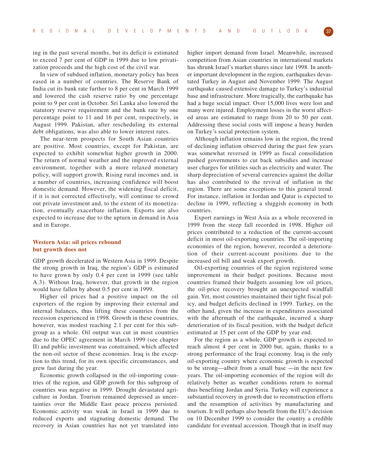ing in the past several months, but its deficit is estimated to exceed 7 per cent of GDP in 1999 due to low privatization proceeds and the high cost of the civil war.

In view of subdued inflation, monetary policy has been eased in a number of countries. The Reserve Bank of India cut its bank rate further to 8 per cent in March 1999 and lowered the cash reserve ratio by one percentage point to 9 per cent in October. Sri Lanka also lowered the statutory reserve requirement and the bank rate by one percentage point to 11 and 16 per cent, respectively, in August 1999. Pakistan, after rescheduling its external debt obligations, was also able to lower interest rates.

The near-term prospects for South Asian countries are positive. Most countries, except for Pakistan, are expected to exhibit somewhat higher growth in 2000. The return of normal weather and the improved external environment, together with a more relaxed monetary policy, will support growth. Rising rural incomes and, in a number of countries, increasing confidence will boost domestic demand. However, the widening fiscal deficit, if it is not corrected effectively, will continue to crowd out private investment and, to the extent of its monetization, eventually exacerbate inflation. Exports are also expected to increase due to the upturn in demand in Asia and in Europe.

#### **Western Asia: oil prices rebound but growth does not**

GDP growth decelerated in Western Asia in 1999. Despite the strong growth in Iraq, the region's GDP is estimated to have grown by only 0.4 per cent in 1999 (see table A.3). Without Iraq, however, that growth in the region would have fallen by about 0.5 per cent in 1999.

Higher oil prices had a positive impact on the oil exporters of the region by improving their external and internal balances, thus lifting these countries from the recession experienced in 1998. Growth in these countries, however, was modest reaching 2.1 per cent for this subgroup as a whole. Oil output was cut in most countries due to the OPEC agreement in March 1999 (see chapter II) and public investment was constrained, which affected the non-oil sector of these economies. Iraq is the exception to this trend, for its own specific circumstances, and grew fast during the year.

Economic growth collapsed in the oil-importing countries of the region, and GDP growth for this subgroup of countries was negative in 1999. Drought devastated agriculture in Jordan. Tourism remained depressed as uncertainties over the Middle East peace process persisted. Economic activity was weak in Israel in 1999 due to reduced exports and stagnating domestic demand. The recovery in Asian countries has not yet translated into higher import demand from Israel. Meanwhile, increased competition from Asian countries in international markets has shrunk Israel's market shares since late 1998. In another important development in the region, earthquakes devastated Turkey in August and November 1999. The August earthquake caused extensive damage to Turkey's industrial base and infrastructure. More tragically, the earthquake has had a huge social impact. Over 15,000 lives were lost and many were injured. Employment losses in the worst affected areas are estimated to range from 20 to 50 per cent. Addressing these social costs will impose a heavy burden on Turkey's social protection system.

Although inflation remains low in the region, the trend of declining inflation observed during the past few years was somewhat reversed in 1999 as fiscal consolidation pushed governments to cut back subsidies and increase user charges for utilities such as electricity and water. The sharp depreciation of several currencies against the dollar has also contributed to the revival of inflation in the region. There are some exceptions to this general trend. For instance, inflation in Jordan and Qatar is expected to decline in 1999, reflecting a sluggish economy in both countries.

Export earnings in West Asia as a whole recovered in 1999 from the steep fall recorded in 1998. Higher oil prices contributed to a reduction of the current-account deficit in most oil-exporting countries. The oil-importing economies of the region, however, recorded a deterioration of their current-account positions due to the increased oil bill and weak export growth.

Oil-exporting countries of the region registered some improvement in their budget positions. Because most countries framed their budgets assuming low oil prices, the oil-price recovery brought an unexpected windfall gain. Yet, most countries maintained their tight fiscal policy, and budget deficits declined in 1999. Turkey, on the other hand, given the increase in expenditures associated with the aftermath of the earthquake, incurred a sharp deterioration of its fiscal position, with the budget deficit estimated at 15 per cent of the GDP by year end.

For the region as a whole, GDP growth is expected to reach almost 4 per cent in 2000 but, again, thanks to a strong performance of the Iraqi economy. Iraq is the only oil-exporting country where economic growth is expected to be strong—albeit from a small base —in the next few years. The oil-importing economies of the region will do relatively better as weather conditions return to normal thus benefiting Jordan and Syria. Turkey will experience a substantial recovery in growth due to reconstruction efforts and the resumption of activities by manufacturing and tourism. It will perhaps also benefit from the EU's decision on 10 December 1999 to consider the country a credible candidate for eventual accession. Though that in itself may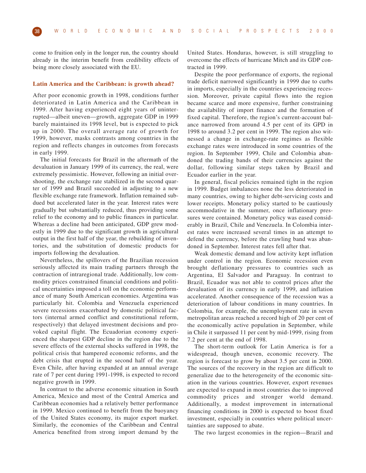come to fruition only in the longer run, the country should already in the interim benefit from credibility effects of being more closely associated with the EU.

#### **Latin America and the Caribbean: is growth ahead?**

After poor economic growth in 1998, conditions further deteriorated in Latin America and the Caribbean in 1999. After having experienced eight years of uninterrupted—albeit uneven—growth, aggregate GDP in 1999 barely maintained its 1998 level, but is expected to pick up in 2000. The overall average rate of growth for 1999, however, masks contrasts among countries in the region and reflects changes in outcomes from forecasts in early 1999.

The initial forecasts for Brazil in the aftermath of the devaluation in January 1999 of its currency, the real, were extremely pessimistic. However, following an initial overshooting, the exchange rate stabilized in the second quarter of 1999 and Brazil succeeded in adjusting to a new flexible exchange rate framework. Inflation remained subdued but accelerated later in the year. Interest rates were gradually but substantially reduced, thus providing some relief to the economy and to public finances in particular. Whereas a decline had been anticipated, GDP grew modestly in 1999 due to the significant growth in agricultural output in the first half of the year, the rebuilding of inventories, and the substitution of domestic products for imports following the devaluation.

Nevertheless, the spillovers of the Brazilian recession seriously affected its main trading partners through the contraction of intraregional trade. Additionally, low commodity prices constrained financial conditions and political uncertainties imposed a toll on the economic performance of many South American economies. Argentina was particularly hit. Colombia and Venezuela experienced severe recessions exacerbated by domestic political factors (internal armed conflict and constitutional reform, respectively) that delayed investment decisions and provoked capital flight. The Ecuadorian economy experienced the sharpest GDP decline in the region due to the severe effects of the external shocks suffered in 1998, the political crisis that hampered economic reforms, and the debt crisis that erupted in the second half of the year. Even Chile, after having expanded at an annual average rate of 7 per cent during 1991-1998, is expected to record negative growth in 1999.

In contrast to the adverse economic situation in South America, Mexico and most of the Central America and Caribbean economies had a relatively better performance in 1999. Mexico continued to benefit from the buoyancy of the United States economy, its major export market. Similarly, the economies of the Caribbean and Central America benefited from strong import demand by the

United States. Honduras, however, is still struggling to overcome the effects of hurricane Mitch and its GDP contracted in 1999.

Despite the poor performance of exports, the regional trade deficit narrowed significantly in 1999 due to curbs in imports, especially in the countries experiencing recession. Moreover, private capital flows into the region became scarce and more expensive, further constraining the availability of import finance and the formation of fixed capital. Therefore, the region's current-account balance narrowed from around 4.5 per cent of its GPD in 1998 to around 3.2 per cent in 1999. The region also witnessed a change in exchange-rate regimes as flexible exchange rates were introduced in some countries of the region. In September 1999, Chile and Colombia abandoned the trading bands of their currencies against the dollar, following similar steps taken by Brazil and Ecuador earlier in the year.

In general, fiscal policies remained tight in the region in 1999. Budget imbalances none the less deteriorated in many countries, owing to higher debt-servicing costs and lower receipts. Monetary policy started to be cautiously accommodative in the summer, once inflationary pressures were contained. Monetary policy was eased considerably in Brazil, Chile and Venezuela. In Colombia interest rates were increased several times in an attempt to defend the currency, before the crawling band was abandoned in September. Interest rates fell after that.

Weak domestic demand and low activity kept inflation under control in the region. Economic recession even brought deflationary pressures to countries such as Argentina, El Salvador and Paraguay. In contrast to Brazil, Ecuador was not able to control prices after the devaluation of its currency in early 1999, and inflation accelerated. Another consequence of the recession was a deterioration of labour conditions in many countries. In Colombia, for example, the unemployment rate in seven metropolitan areas reached a record high of 20 per cent of the economically active population in September, while in Chile it surpassed 11 per cent by mid-1999, rising from 7.2 per cent at the end of 1998.

The short-term outlook for Latin America is for a widespread, though uneven, economic recovery. The region is forecast to grow by about 3.5 per cent in 2000. The sources of the recovery in the region are difficult to generalize due to the heterogeneity of the economic situation in the various countries. However, export revenues are expected to expand in most countries due to improved commodity prices and stronger world demand. Additionally, a modest improvement in international financing conditions in 2000 is expected to boost fixed investment, especially in countries where political uncertainties are supposed to abate.

The two largest economies in the region—Brazil and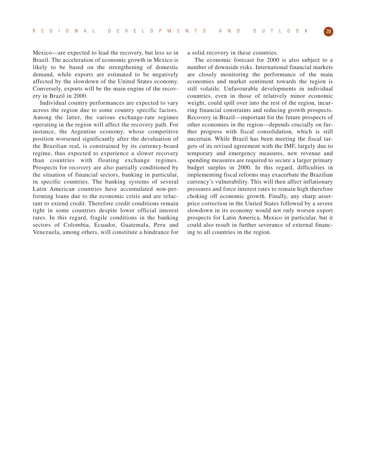Mexico—are expected to lead the recovery, but less so in Brazil. The acceleration of economic growth in Mexico is likely to be based on the strengthening of domestic demand, while exports are estimated to be negatively affected by the slowdown of the United States economy. Conversely, exports will be the main engine of the recovery in Brazil in 2000.

Individual country performances are expected to vary across the region due to some country specific factors. Among the latter, the various exchange-rate regimes operating in the region will affect the recovery path. For instance, the Argentine economy, whose competitive position worsened significantly after the devaluation of the Brazilian real, is constrained by its currency-board regime, thus expected to experience a slower recovery than countries with floating exchange regimes. Prospects for recovery are also partially conditioned by the situation of financial sectors, banking in particular, in specific countries. The banking systems of several Latin American countries have accumulated non-performing loans due to the economic crisis and are reluctant to extend credit. Therefore credit conditions remain tight in some countries despite lower official interest rates. In this regard, fragile conditions in the banking sectors of Colombia, Ecuador, Guatemala, Peru and Venezuela, among others, will constitute a hindrance for a solid recovery in these countries.

The economic forecast for 2000 is also subject to a number of downside risks. International financial markets are closely monitoring the performance of the main economies and market sentiment towards the region is still volatile. Unfavourable developments in individual countries, even in those of relatively minor economic weight, could spill over into the rest of the region, incurring financial constraints and reducing growth prospects. Recovery in Brazil—important for the future prospects of other economies in the region—depends crucially on further progress with fiscal consolidation, which is still uncertain. While Brazil has been meeting the fiscal targets of its revised agreement with the IMF, largely due to temporary and emergency measures, new revenue and spending measures are required to secure a larger primary budget surplus in 2000. In this regard, difficulties in implementing fiscal reforms may exacerbate the Brazilian currency's vulnerability. This will then affect inflationary pressures and force interest rates to remain high therefore choking off economic growth. Finally, any sharp assetprice correction in the United States followed by a severe slowdown in its economy would not only worsen export prospects for Latin America, Mexico in particular, but it could also result in further severance of external financing to all countries in the region.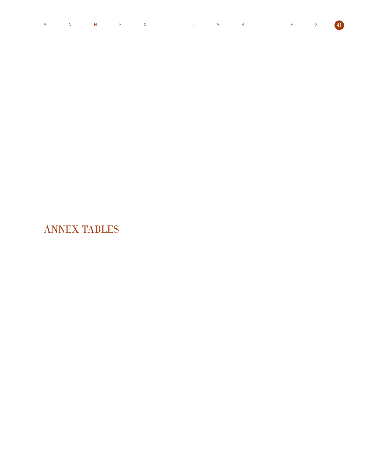|  |  | A N N E X T A B L E S 41 |  |  |  |  |
|--|--|--------------------------|--|--|--|--|
|  |  |                          |  |  |  |  |

ANNEX TABLES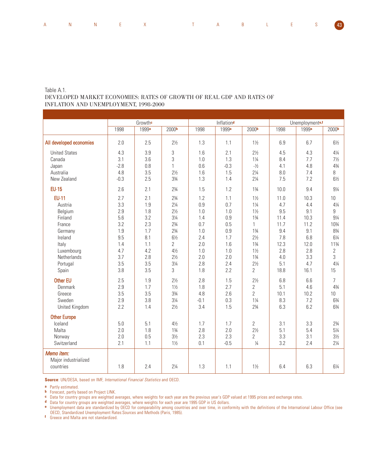| A N N E X T A B L E S <mark>43</mark> |  |  |  |  |  |  |  |  |  |
|---------------------------------------|--|--|--|--|--|--|--|--|--|
|---------------------------------------|--|--|--|--|--|--|--|--|--|

#### Table A.1.

## DEVELOPED MARKET ECONOMIES: RATES OF GROWTH OF REAL GDP AND RATES OF INFLATION AND UNEMPLOYMENT, 1998-2000

| 1998<br>2.0<br>4.3<br>3.1<br>$-2.8$<br>4.8<br>$-0.3$<br>2.6<br>2.7 | Growthe<br>1999 <sup>a</sup><br>2.5<br>3.9<br>3.6<br>0.8<br>3.5<br>2.5<br>2.1 | 2000b<br>$2\frac{1}{2}$<br>3<br>3<br>$\mathbf{1}$<br>$2\frac{1}{2}$<br>33/4      | 1998<br>1.3<br>1.6<br>1.0<br>0.6<br>1.6<br>1.3                                                                                                                              | Inflationd<br>1999 <sup>a</sup><br>1.1<br>2.1<br>1.3<br>$-0.3$               | 2000b<br>$1\frac{1}{2}$<br>$2\frac{1}{2}$<br>$1\frac{1}{4}$<br>$-1/2$                      | 1998<br>6.9<br>4.5<br>8.4<br>4.1                                                                                                                              | Unemploymente,f<br>1999 <sup>a</sup><br>6.7<br>4.3<br>7.7                                         | 2000b<br>$6\frac{1}{2}$<br>$4\frac{1}{4}$                                                  |
|--------------------------------------------------------------------|-------------------------------------------------------------------------------|----------------------------------------------------------------------------------|-----------------------------------------------------------------------------------------------------------------------------------------------------------------------------|------------------------------------------------------------------------------|--------------------------------------------------------------------------------------------|---------------------------------------------------------------------------------------------------------------------------------------------------------------|---------------------------------------------------------------------------------------------------|--------------------------------------------------------------------------------------------|
|                                                                    |                                                                               |                                                                                  |                                                                                                                                                                             |                                                                              |                                                                                            |                                                                                                                                                               |                                                                                                   |                                                                                            |
|                                                                    |                                                                               |                                                                                  |                                                                                                                                                                             |                                                                              |                                                                                            |                                                                                                                                                               |                                                                                                   |                                                                                            |
|                                                                    |                                                                               |                                                                                  |                                                                                                                                                                             |                                                                              |                                                                                            |                                                                                                                                                               |                                                                                                   |                                                                                            |
|                                                                    |                                                                               |                                                                                  |                                                                                                                                                                             |                                                                              |                                                                                            |                                                                                                                                                               |                                                                                                   |                                                                                            |
|                                                                    |                                                                               |                                                                                  |                                                                                                                                                                             |                                                                              |                                                                                            |                                                                                                                                                               |                                                                                                   | $7\frac{1}{2}$                                                                             |
|                                                                    |                                                                               |                                                                                  |                                                                                                                                                                             |                                                                              |                                                                                            |                                                                                                                                                               | 4.8                                                                                               | 43/4                                                                                       |
|                                                                    |                                                                               |                                                                                  |                                                                                                                                                                             | 1.5                                                                          | $2\frac{1}{4}$                                                                             | 8.0                                                                                                                                                           | 7.4                                                                                               | 8                                                                                          |
|                                                                    |                                                                               |                                                                                  |                                                                                                                                                                             | 1.4                                                                          | $2\frac{1}{4}$                                                                             | 7.5                                                                                                                                                           | 7.2                                                                                               | $6\frac{1}{2}$                                                                             |
|                                                                    |                                                                               |                                                                                  | 1.5                                                                                                                                                                         | 1.2                                                                          | $1\frac{3}{4}$                                                                             | 10.0                                                                                                                                                          | 9.4                                                                                               | $9\frac{1}{4}$                                                                             |
|                                                                    | 2.1                                                                           | $2\frac{3}{4}$                                                                   | 1.2                                                                                                                                                                         | 1.1                                                                          | $1\frac{1}{2}$                                                                             | 11.0                                                                                                                                                          | 10.3                                                                                              | 10                                                                                         |
| 3.3                                                                | 1.9                                                                           | $2\frac{1}{4}$                                                                   | 0.9                                                                                                                                                                         | 0.7                                                                          | $1\frac{1}{4}$                                                                             | 4.7                                                                                                                                                           | 4.4                                                                                               | $4\frac{1}{4}$                                                                             |
| 2.9                                                                | 1.8                                                                           | $2\frac{1}{2}$                                                                   | 1.0                                                                                                                                                                         | 1.0                                                                          | $1\frac{1}{2}$                                                                             | 9.5                                                                                                                                                           | 9.1                                                                                               | 9                                                                                          |
| 5.6                                                                | 3.2                                                                           | $3\frac{1}{4}$                                                                   | 1.4                                                                                                                                                                         | 0.9                                                                          | $1\frac{3}{4}$                                                                             | 11.4                                                                                                                                                          | 10.3                                                                                              | $9\frac{1}{4}$                                                                             |
| 3.2                                                                | 2.3                                                                           | $2\frac{3}{4}$                                                                   | 0.7                                                                                                                                                                         | 0.5                                                                          | $\mathbf{1}$                                                                               | 11.7                                                                                                                                                          | 11.2                                                                                              | 103/4                                                                                      |
| 1.9                                                                | 1.7                                                                           | $2\frac{3}{4}$                                                                   | 1.0                                                                                                                                                                         | 0.9                                                                          | $1\frac{3}{4}$                                                                             | 9.4                                                                                                                                                           | 9.1                                                                                               | 83/4                                                                                       |
|                                                                    |                                                                               |                                                                                  |                                                                                                                                                                             |                                                                              | $2\frac{1}{2}$                                                                             |                                                                                                                                                               |                                                                                                   | $6\frac{1}{4}$                                                                             |
| 1.4                                                                | 1.1                                                                           |                                                                                  | 2.0                                                                                                                                                                         |                                                                              | $1\frac{3}{4}$                                                                             |                                                                                                                                                               |                                                                                                   | 113/4                                                                                      |
| 4.7                                                                |                                                                               | $4\frac{1}{2}$                                                                   | 1.0                                                                                                                                                                         |                                                                              | $1\frac{1}{2}$                                                                             |                                                                                                                                                               |                                                                                                   | $\overline{2}$                                                                             |
|                                                                    |                                                                               |                                                                                  |                                                                                                                                                                             |                                                                              |                                                                                            |                                                                                                                                                               |                                                                                                   | 3                                                                                          |
|                                                                    |                                                                               |                                                                                  |                                                                                                                                                                             |                                                                              |                                                                                            |                                                                                                                                                               |                                                                                                   | $4\frac{1}{4}$                                                                             |
|                                                                    |                                                                               |                                                                                  |                                                                                                                                                                             |                                                                              |                                                                                            |                                                                                                                                                               |                                                                                                   | 15                                                                                         |
| 2.5                                                                | 1.9                                                                           | $2\frac{1}{2}$                                                                   | 2.8                                                                                                                                                                         | 1.5                                                                          | $2\frac{1}{2}$                                                                             | 6.8                                                                                                                                                           | 6.6                                                                                               | $\overline{7}$                                                                             |
|                                                                    |                                                                               |                                                                                  |                                                                                                                                                                             |                                                                              |                                                                                            |                                                                                                                                                               |                                                                                                   | 43/4                                                                                       |
|                                                                    |                                                                               |                                                                                  |                                                                                                                                                                             |                                                                              |                                                                                            |                                                                                                                                                               |                                                                                                   | 10                                                                                         |
|                                                                    |                                                                               |                                                                                  |                                                                                                                                                                             |                                                                              |                                                                                            |                                                                                                                                                               |                                                                                                   | 63⁄4                                                                                       |
|                                                                    |                                                                               |                                                                                  |                                                                                                                                                                             |                                                                              |                                                                                            |                                                                                                                                                               |                                                                                                   | 63⁄4                                                                                       |
|                                                                    |                                                                               |                                                                                  |                                                                                                                                                                             |                                                                              |                                                                                            |                                                                                                                                                               |                                                                                                   |                                                                                            |
|                                                                    |                                                                               | $4\frac{1}{2}$                                                                   | 1.7                                                                                                                                                                         | 1.7                                                                          | $\overline{2}$                                                                             |                                                                                                                                                               |                                                                                                   | $2\frac{3}{4}$                                                                             |
| 2.0                                                                | 1.8                                                                           | $1\frac{3}{4}$                                                                   |                                                                                                                                                                             |                                                                              |                                                                                            |                                                                                                                                                               |                                                                                                   | $5\frac{1}{4}$                                                                             |
| 2.0                                                                |                                                                               | $3\frac{1}{2}$                                                                   |                                                                                                                                                                             |                                                                              | $\overline{2}$                                                                             |                                                                                                                                                               | 3.1                                                                                               | $3\frac{1}{2}$                                                                             |
|                                                                    |                                                                               |                                                                                  |                                                                                                                                                                             |                                                                              |                                                                                            |                                                                                                                                                               |                                                                                                   | $2\frac{1}{4}$                                                                             |
| 1.8                                                                | 2.4                                                                           | $2\frac{1}{4}$                                                                   | 1.3                                                                                                                                                                         | 1.1                                                                          | $1\frac{1}{2}$                                                                             | 6.4                                                                                                                                                           | 6.3                                                                                               | 61⁄4                                                                                       |
|                                                                    | 9.5<br>3.7<br>3.5<br>3.8<br>2.9<br>3.5<br>2.9<br>2.2<br>5.0<br>2.1            | 8.1<br>4.2<br>2.8<br>3.5<br>3.5<br>1.7<br>3.5<br>3.8<br>1.4<br>5.1<br>0.5<br>1.1 | $2\frac{3}{4}$<br>$6\frac{1}{2}$<br>$\overline{2}$<br>$2\frac{1}{2}$<br>$3\frac{1}{4}$<br>3<br>$1\frac{1}{2}$<br>33/4<br>$3\frac{1}{4}$<br>$2\frac{1}{2}$<br>$1\frac{1}{2}$ | 2.4<br>2.0<br>2.8<br>1.8<br>1.8<br>4.8<br>$-0.1$<br>3.4<br>2.8<br>2.3<br>0.1 | 1.7<br>1.6<br>1.0<br>2.0<br>2.4<br>2.2<br>2.7<br>2.6<br>0.3<br>1.5<br>2.0<br>2.3<br>$-0.5$ | $1\frac{3}{4}$<br>$2\frac{1}{2}$<br>$\overline{2}$<br>$\overline{2}$<br>$\overline{2}$<br>$1\frac{1}{4}$<br>$2\frac{3}{4}$<br>$2\frac{1}{2}$<br>$\frac{1}{4}$ | 7.8<br>12.3<br>2.8<br>4.0<br>5.1<br>18.8<br>5.1<br>10.1<br>8.3<br>6.3<br>3.1<br>5.1<br>3.3<br>3.2 | 6.8<br>12.0<br>2.8<br>3.3<br>4.7<br>16.1<br>4.6<br>10.2<br>7.2<br>6.2<br>3.3<br>5.4<br>2.4 |

**Source**: UN/DESA, based on IMF, International Financial Statistics and OECD.

**a** Partly estimated.

**b** Forecast, partly based on Project LINK.

**c** Data for country groups are weighted averages, where weights for each year are the previous year's GDP valued at 1995 prices and exchange rates.

**d** Data for country groups are weighted averages, where weights for each year are 1995 GDP in US dollars. **e** Unemployment data are standardized by OECD for comparability among countries and over time, in conformity with the definitions of the International Labour Office (see

OECD, Standardized Unemployment Rates:Sources and Methods (Paris, 1985).

**f** Greece and Malta are not standardized.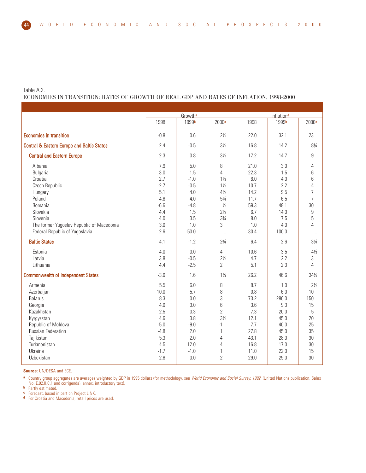Table A.2.

ECONOMIES IN TRANSITION: RATES OF GROWTH OF REAL GDP AND RATES OF INFLATION, 1998-2000

|                                                                                                                                                                                                | Growtha                                                                                |                                                                                        |                                                                                                                                                                    |                                                                                    |                                                                                       | Inflation <sup>d</sup>                                                                                                          |  |  |
|------------------------------------------------------------------------------------------------------------------------------------------------------------------------------------------------|----------------------------------------------------------------------------------------|----------------------------------------------------------------------------------------|--------------------------------------------------------------------------------------------------------------------------------------------------------------------|------------------------------------------------------------------------------------|---------------------------------------------------------------------------------------|---------------------------------------------------------------------------------------------------------------------------------|--|--|
|                                                                                                                                                                                                | 1998                                                                                   | 1999b                                                                                  | 2000 <sup>c</sup>                                                                                                                                                  | 1998                                                                               | 1999b                                                                                 | 2000 <sup>c</sup>                                                                                                               |  |  |
| <b>Economies in transition</b>                                                                                                                                                                 | $-0.8$                                                                                 | 0.6                                                                                    | $2\frac{1}{2}$                                                                                                                                                     | 22.0                                                                               | 32.1                                                                                  | 23                                                                                                                              |  |  |
| <b>Central &amp; Eastern Europe and Baltic States</b>                                                                                                                                          | 2.4                                                                                    | $-0.5$                                                                                 | $3\frac{1}{2}$                                                                                                                                                     | 16.8                                                                               | 14.2                                                                                  | 834                                                                                                                             |  |  |
| <b>Central and Eastern Europe</b>                                                                                                                                                              | 2.3                                                                                    | 0.8                                                                                    | $3\frac{1}{2}$                                                                                                                                                     | 17.2                                                                               | 14.7                                                                                  | $\boldsymbol{9}$                                                                                                                |  |  |
| Albania<br><b>Bulgaria</b><br>Croatia<br>Czech Republic<br>Hungary<br>Poland<br>Romania<br>Slovakia<br>Slovenia<br>The former Yugoslav Republic of Macedonia<br>Federal Republic of Yugoslavia | 7.9<br>3.0<br>2.7<br>$-2.7$<br>5.1<br>4.8<br>$-6.6$<br>4.4<br>4.0<br>3.0<br>2.6        | 5.0<br>1.5<br>$-1.0$<br>$-0.5$<br>4.0<br>4.0<br>$-4.8$<br>1.5<br>3.5<br>1.0<br>$-50.0$ | 8<br>$\overline{4}$<br>$1\frac{1}{2}$<br>$1\frac{1}{2}$<br>$4\frac{1}{2}$<br>$5\frac{1}{4}$<br>$\frac{1}{2}$<br>$2\frac{1}{2}$<br>$3\frac{3}{4}$<br>3<br>$\ddotsc$ | 21.0<br>22.3<br>6.0<br>10.7<br>14.2<br>11.7<br>59.3<br>6.7<br>8.0<br>1.0<br>30.4   | 3.0<br>1.5<br>4.0<br>2.2<br>9.5<br>6.5<br>48.1<br>14.0<br>7.5<br>4.0<br>100.0         | 4<br>6<br>6<br>$\overline{4}$<br>$\overline{7}$<br>$\overline{7}$<br>30<br>$\boldsymbol{9}$<br>5<br>$\overline{4}$<br>$\ddotsc$ |  |  |
| <b>Baltic States</b>                                                                                                                                                                           | 4.1                                                                                    | $-1.2$                                                                                 | $2\frac{3}{4}$                                                                                                                                                     | 6.4                                                                                | 2.6                                                                                   | 33⁄4                                                                                                                            |  |  |
| Estonia<br>Latvia<br>Lithuania                                                                                                                                                                 | 4.0<br>3.8<br>4.4                                                                      | 0.0<br>$-0.5$<br>$-2.5$                                                                | 4<br>$2\frac{1}{2}$<br>$\overline{2}$                                                                                                                              | 10.6<br>4.7<br>5.1                                                                 | 3.5<br>2.2<br>2.3                                                                     | $4\frac{1}{2}$<br>3<br>4                                                                                                        |  |  |
| <b>Commonwealth of Independent States</b>                                                                                                                                                      | $-3.6$                                                                                 | 1.6                                                                                    | $1\frac{1}{4}$                                                                                                                                                     | 26.2                                                                               | 46.6                                                                                  | 341/4                                                                                                                           |  |  |
| Armenia<br>Azerbaijan<br><b>Belarus</b><br>Georgia<br>Kazakhstan<br>Kyrgyzstan<br>Republic of Moldova<br><b>Russian Federation</b><br>Tajikistan<br>Turkmenistan<br>Ukraine                    | 5.5<br>10.0<br>8.3<br>4.0<br>$-2.5$<br>4.6<br>$-5.0$<br>$-4.8$<br>5.3<br>4.5<br>$-1.7$ | 6.0<br>5.7<br>0.0<br>3.0<br>0.3<br>3.8<br>$-9.0$<br>2.0<br>2.0<br>12.0<br>$-1.0$       | 8<br>8<br>3<br>6<br>$\overline{2}$<br>$3\frac{1}{2}$<br>-1<br>$\mathbf{1}$<br>4<br>4<br>1                                                                          | 8.7<br>$-0.8$<br>73.2<br>3.6<br>7.3<br>12.1<br>7.7<br>27.8<br>43.1<br>16.8<br>11.0 | 1.0<br>$-6.0$<br>280.0<br>9.3<br>20.0<br>45.0<br>40.0<br>45.0<br>28.0<br>17.0<br>22.0 | $2\frac{1}{2}$<br>10<br>150<br>15<br>5<br>20<br>25<br>35<br>30<br>30<br>15                                                      |  |  |
| Uzbekistan                                                                                                                                                                                     | 2.8                                                                                    | 0.0                                                                                    | $\overline{2}$                                                                                                                                                     | 29.0                                                                               | 29.0                                                                                  | 30                                                                                                                              |  |  |

**Source**: UN/DESA and ECE.

**a** Country group aggregates are averages weighted by GDP in 1995 dollars (for methodology, see World Economic and Social Survey, 1992. (United Nations publication, Sales No. E.92.II.C.1 and corrigenda), annex, introductory text).

**b** Partly estimated.

**c** Forecast, based in part on Project LINK.

**d** For Croatia and Macedonia, retail prices are used.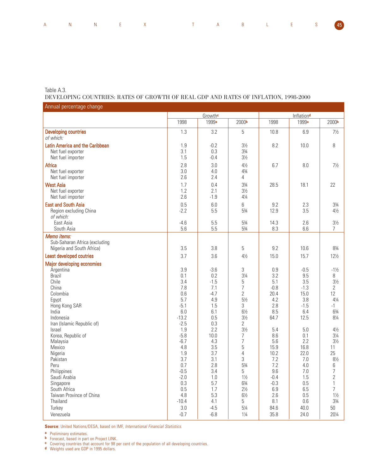| Annual percentage change                                                  |                                |                                |                                                                      |                                |                                |                                                                    |
|---------------------------------------------------------------------------|--------------------------------|--------------------------------|----------------------------------------------------------------------|--------------------------------|--------------------------------|--------------------------------------------------------------------|
|                                                                           | Growthe                        |                                |                                                                      |                                | Inflationd                     |                                                                    |
|                                                                           | 1998                           | 1999 <sup>a</sup>              | 2000 <sup>b</sup>                                                    | 1998                           | 1999 <sup>a</sup>              | 2000 <sup>b</sup>                                                  |
| <b>Developing countries</b><br>of which:                                  | 1.3                            | 3.2                            | 5                                                                    | 10.8                           | 6.9                            | $7\frac{1}{2}$                                                     |
| Latin America and the Caribbean<br>Net fuel exporter<br>Net fuel importer | 1.9<br>3.1<br>1.5              | $-0.2$<br>0.3<br>$-0.4$        | $3\frac{1}{2}$<br>$3\frac{3}{4}$<br>$3\frac{1}{2}$                   | 8.2                            | 10.0                           | 8                                                                  |
| Africa<br>Net fuel exporter<br>Net fuel importer                          | 2.8<br>3.0<br>2.6              | 3.0<br>4.0<br>2.4              | $4\frac{1}{2}$<br>43/4<br>4                                          | 6.7                            | 8.0                            | $7\frac{1}{2}$                                                     |
| <b>West Asia</b><br>Net fuel exporter<br>Net fuel importer                | 1.7<br>1.2<br>2.6              | 0.4<br>2.1<br>$-1.9$           | 33/4<br>$3\frac{1}{2}$<br>$4\frac{1}{4}$                             | 28.5                           | 18.1                           | 22                                                                 |
| <b>East and South Asia</b><br>Region excluding China<br>of which:         | 0.5<br>$-2.2$                  | 6.0<br>5.5                     | 6<br>53/4                                                            | 9.2<br>12.9                    | 2.3<br>3.5                     | $3\frac{3}{4}$<br>$4\frac{1}{2}$                                   |
| East Asia<br>South Asia                                                   | $-4.6$<br>5.6                  | 5.5<br>5.5                     | 53/4<br>53/4                                                         | 14.3<br>8.3                    | 2.6<br>6.6                     | $3\frac{1}{2}$<br>7                                                |
| Memo items:<br>Sub-Saharan Africa (excluding<br>Nigeria and South Africa) | 3.5                            | 3.8                            | 5                                                                    | 9.2                            | 10.6                           | 83/4                                                               |
| Least developed coutries                                                  | 3.7                            | 3.6                            | $4\frac{1}{2}$                                                       | 15.0                           | 15.7                           | 121/2                                                              |
| Major developing economies                                                |                                |                                |                                                                      |                                |                                |                                                                    |
| Argentina<br><b>Brazil</b><br>Chile<br>China                              | 3.9<br>0.1<br>3.4<br>7.8       | $-3.6$<br>0.2<br>$-1.5$<br>7.1 | 3<br>$3\frac{1}{4}$<br>5<br>$\overline{7}$                           | 0.9<br>3.2<br>5.1<br>$-0.8$    | $-0.5$<br>9.5<br>3.5<br>$-1.3$ | $-1\frac{1}{2}$<br>8<br>$3\frac{1}{2}$<br>$\overline{2}$           |
| Colombia<br>Egypt<br>Hong Kong SAR<br>India                               | 0.6<br>5.7<br>$-5.1$<br>6.0    | $-4.7$<br>4.9<br>1.5<br>6.1    | $\overline{2}$<br>$5\frac{1}{2}$<br>3<br>$6\frac{1}{2}$              | 20.4<br>4.2<br>2.8<br>8.5      | 15.0<br>3.8<br>$-1.5$<br>6.4   | 12<br>$4\frac{1}{4}$<br>-1<br>63⁄4                                 |
| Indonesia<br>Iran (Islamic Republic of)<br>Israel                         | $-13.2$<br>$-2.5$<br>1.9       | 0.5<br>0.3<br>2.2              | $3\frac{1}{2}$<br>2<br>$3\frac{1}{2}$                                | 64.7<br>5.4                    | 12.5<br>5.0                    | 81⁄4<br>$4\frac{1}{2}$                                             |
| Korea, Republic of<br>Malaysia<br>Mexico<br>Nigeria                       | $-5.8$<br>$-6.7$<br>4.8<br>1.9 | 10.0<br>4.3<br>3.5<br>3.7      | 7<br>$\overline{7}$<br>5<br>4                                        | 8.6<br>5.6<br>15.9<br>10.2     | 0.1<br>2.2<br>16.8<br>22.0     | $3\frac{1}{4}$<br>$3\frac{1}{2}$<br>11<br>25                       |
| Pakistan<br>Peru<br>Philippines                                           | 3.7<br>0.7<br>$-0.5$           | 3.1<br>2.8<br>3.4              | 3<br>53/4<br>5                                                       | 7.2<br>7.2<br>9.6              | 7.0<br>4.0<br>$7.0\,$          | $8\%$<br>6<br>$\overline{\mathcal{I}}$                             |
| Saudi Arabia<br>Singapore<br>South Africa<br>Taiwan Province of China     | $-2.0$<br>0.3<br>0.5<br>4.8    | 1.0<br>5.7<br>1.7<br>5.3       | $1\frac{1}{2}$<br>$6\frac{3}{4}$<br>$2\frac{1}{2}$<br>$6\frac{1}{2}$ | $-0.4$<br>$-0.3$<br>6.9<br>2.6 | 1.5<br>0.5<br>6.5<br>0.5       | $\overline{2}$<br>$\mathbf{1}$<br>$\overline{7}$<br>$1\frac{1}{2}$ |
| Thailand<br>Turkey<br>Venezuela                                           | $-10.4$<br>$3.0\,$<br>$-0.7$   | 4.1<br>$-4.5$<br>$-6.8$        | 5<br>$5\frac{1}{4}$<br>$1\frac{1}{4}$                                | 8.1<br>84.6<br>35.8            | 0.6<br>40.0<br>24.0            | $3\frac{3}{4}$<br>$50\,$<br>201/4                                  |

**Source**: United Nations/DESA, based on IMF, International Financial Statistics.

**a** Preliminary estimates.

Table A.3.

**b** Forecast, based in part on Project LINK.

**c** Covering countries that account for 98 per cent of the population of all developing countries.

**d** Weights used are GDP in 1995 dollars.

DEVELOPING COUNTRIES: RATES OF GROWTH OF REAL GDP AND RATES OF INFLATION, 1998-2000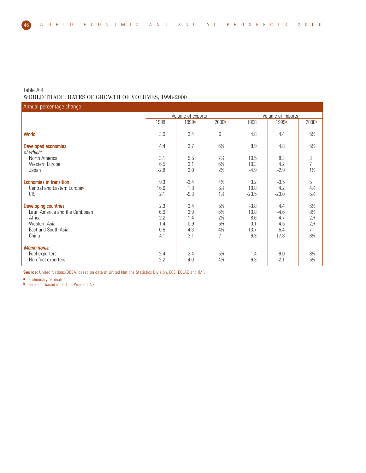Table A.4.

WORLD TRADE: RATES OF GROWTH OF VOLUMES, 1998-2000

| Annual percentage change                                                                                                 |                                           |                                           |                                                                         |                                                   |                                            |                                                                                                 |  |
|--------------------------------------------------------------------------------------------------------------------------|-------------------------------------------|-------------------------------------------|-------------------------------------------------------------------------|---------------------------------------------------|--------------------------------------------|-------------------------------------------------------------------------------------------------|--|
|                                                                                                                          |                                           | Volume of exports                         |                                                                         | Volume of imports                                 |                                            |                                                                                                 |  |
|                                                                                                                          | 1998                                      | 1999 <sup>a</sup>                         | 2000 <sup>b</sup>                                                       | 1998                                              | 1999 <sup>a</sup>                          | 2000 <sup>b</sup>                                                                               |  |
| <b>World</b>                                                                                                             | 3.9                                       | 3.4                                       | 6                                                                       | 4.8                                               | 4.4                                        | $5\frac{1}{2}$                                                                                  |  |
| Developed economies<br>of which:                                                                                         | 4.4                                       | 3.7                                       | $6\frac{1}{4}$                                                          | 8.9                                               | 4.8                                        | 51⁄4                                                                                            |  |
| North America<br>Western Europe<br>Japan                                                                                 | 3.1<br>6.5<br>$-2.8$                      | 5.5<br>3.1<br>3.0                         | $7\frac{3}{4}$<br>$6\frac{1}{4}$<br>$2\frac{1}{2}$                      | 10.5<br>10.3<br>$-4.9$                            | 8.3<br>4.2<br>$-2.9$                       | $\frac{3}{7}$<br>$1\frac{1}{2}$                                                                 |  |
| <b>Economies in transition</b><br>Central and Eastern Europec<br><b>CIS</b>                                              | 9.3<br>16.6<br>2.1                        | $-3.4$<br>1.8<br>$-9.3$                   | $4\frac{1}{2}$<br>63/4<br>$1\frac{3}{4}$                                | 3.2<br>19.8<br>$-23.5$                            | $-3.5$<br>4.2<br>$-23.0$                   | 5<br>43/4<br>$5\frac{3}{4}$                                                                     |  |
| <b>Developing countries</b><br>Latin America and the Caribbean<br>Africa<br>Western Asia<br>East and South Asia<br>China | 2.3<br>6.9<br>2.2<br>$-1.4$<br>0.5<br>4.1 | 3.4<br>3.9<br>1.4<br>$-0.9$<br>4.3<br>3.1 | 51⁄4<br>$6\frac{1}{2}$<br>$2\frac{1}{2}$<br>51⁄4<br>$4\frac{1}{2}$<br>7 | $-3.8$<br>10.8<br>8.6<br>$-0.1$<br>$-13.7$<br>6.3 | 4.4<br>$-4.6$<br>4.7<br>4.5<br>5.4<br>17.8 | $6\frac{1}{2}$<br>$8\%$<br>$2\frac{3}{4}$<br>$2\frac{3}{4}$<br>$\overline{7}$<br>$8\frac{1}{2}$ |  |
| Memo items:<br>Fuel exporters<br>Non fuel exporters                                                                      | 2.4<br>2.2                                | 2.4<br>4.0                                | 53/4<br>$4\frac{3}{4}$                                                  | 1.4<br>$-6.3$                                     | 9.0<br>2.1                                 | $8\frac{1}{2}$<br>$5\frac{1}{2}$                                                                |  |

**Source**: United Nations/DESA, based on data of United Nations Statistics Division, ECE, ECLAC and IMF.

**a** Preliminary estimates.

**b** Forecast, based in part on Project LINK.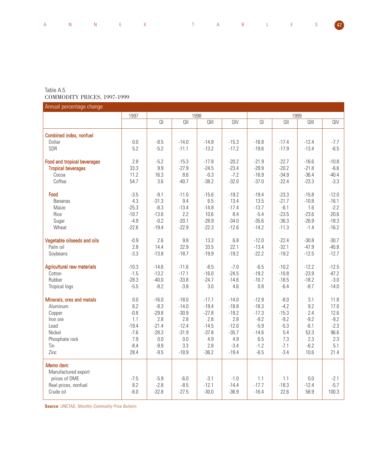|  |  | A N N E X T A B L E S <mark>47</mark> |  |  |  |  |
|--|--|---------------------------------------|--|--|--|--|
|  |  |                                       |  |  |  |  |

## Table A.5. COMMODITY PRICES, 1997-1999

| Annual percentage change           |         |                |         |         |         |         |         |         |         |
|------------------------------------|---------|----------------|---------|---------|---------|---------|---------|---------|---------|
|                                    | 1997    |                | 1998    |         |         | 1999    |         |         |         |
|                                    |         | Q <sub>l</sub> | $Q$     | QIII    | QIV     | QI      | $Q$     | QIII    | QIV     |
| Combined index, nonfuel            |         |                |         |         |         |         |         |         |         |
| Dollar                             | 0.0     | $-8.5$         | $-14.0$ | $-14.8$ | $-15.3$ | $-16.8$ | $-17.4$ | $-12.4$ | $-7.7$  |
| SDR                                | 5.2     | $-5.2$         | $-11.1$ | $-13.2$ | $-17.2$ | $-19.6$ | $-17.9$ | $-13.4$ | $-6.5$  |
| <b>Food and tropical beverages</b> | 2.8     | $-5.2$         | $-15.3$ | $-17.8$ | $-20.2$ | $-21.9$ | $-22.7$ | $-16.6$ | $-10.8$ |
| <b>Tropical beverages</b>          | 33.3    | 9.9            | $-27.9$ | $-24.5$ | $-23.4$ | $-29.9$ | $-20.2$ | $-21.8$ | $-6.6$  |
| Cocoa                              | 11.2    | 16.3           | 8.6     | $-0.3$  | $-7.2$  | $-16.9$ | $-34.9$ | $-36.4$ | $-40.4$ |
| Coffee                             | 54.7    | 3.6            | $-40.7$ | $-38.2$ | $-32.0$ | $-37.0$ | $-22.4$ | $-23.3$ | $-3.3$  |
| Food                               | $-3.5$  | $-9.1$         | $-11.0$ | $-15.6$ | $-19.2$ | $-19.4$ | $-23.3$ | $-15.8$ | $-12.0$ |
| <b>Bananas</b>                     | 4.3     | $-31.3$        | 9.4     | 6.5     | 13.4    | 13.5    | $-21.7$ | $-10.8$ | $-16.1$ |
| Maize                              | $-25.3$ | $-8.3$         | $-13.4$ | $-14.8$ | $-17.4$ | $-13.7$ | $-6.1$  | 1.6     | $-2.2$  |
| Rice                               | $-10.7$ | $-13.6$        | 2.2     | 10.6    | 8.4     | $-5.4$  | $-23.5$ | $-23.6$ | $-20.6$ |
| Sugar                              | $-4.9$  | $-0.2$         | $-20.1$ | $-28.9$ | $-34.0$ | $-35.6$ | $-36.3$ | $-26.9$ | $-18.3$ |
| Wheat                              | $-22.6$ | $-19.4$        | $-22.9$ | $-22.3$ | $-12.6$ | $-14.2$ | $-11.3$ | $-1.4$  | $-16.2$ |
| Vegetable oilseeds and oils        | $-0.9$  | 2.6            | 9.8     | 13.3    | 6.8     | $-12.0$ | $-22.4$ | $-30.8$ | $-30.7$ |
| Palm oil                           | 2.8     | 14.4           | 22.9    | 33.5    | 22.1    | $-13.4$ | $-32.1$ | $-47.9$ | $-45.8$ |
| Soybeans                           | $-3.3$  | $-13.8$        | $-18.7$ | $-19.9$ | $-19.2$ | $-22.2$ | $-19.2$ | $-12.5$ | $-12.7$ |
| <b>Agricultural raw materials</b>  | $-10.3$ | $-14.6$        | $-11.6$ | $-8.5$  | $-7.0$  | $-6.5$  | $-10.2$ | $-12.2$ | $-12.5$ |
| Cotton                             | $-1.5$  | $-13.2$        | $-17.1$ | $-16.0$ | $-24.5$ | $-19.2$ | $-10.8$ | $-23.9$ | $-47.2$ |
| Rubber                             | $-28.3$ | $-40.0$        | $-33.8$ | $-24.7$ | $-14.6$ | $-10.7$ | $-18.5$ | $-18.2$ | $-3.0$  |
| <b>Tropical logs</b>               | $-5.5$  | $-8.2$         | $-3.8$  | 3.0     | 4.6     | 0.8     | $-6.4$  | $-8.7$  | $-14.0$ |
| Minerals, ores and metals          | 0.0     | $-16.0$        | $-18.0$ | $-17.7$ | $-14.0$ | $-12.9$ | $-8.0$  | 3.1     | 11.8    |
| Aluminum                           | 6.2     | $-8.3$         | $-14.0$ | $-19.4$ | $-18.8$ | $-18.3$ | $-4.2$  | 9.2     | 17.0    |
| Copper                             | $-0.8$  | $-29.8$        | $-30.9$ | $-27.8$ | $-19.2$ | $-17.3$ | $-15.3$ | 2.4     | 12.6    |
| Iron ore                           | 1.1     | 2.8            | 2.8     | 2.8     | 2.8     | $-9.2$  | $-9.2$  | $-9.2$  | $-9.2$  |
| Lead                               | $-19.4$ | $-21.4$        | $-12.4$ | $-14.5$ | $-12.0$ | $-5.9$  | $-5.3$  | $-6.1$  | $-2.3$  |
| Nickel                             | $-7.6$  | $-28.3$        | $-31.9$ | $-37.8$ | $-35.7$ | $-14.6$ | 5.4     | 53.3    | 96.6    |
| Phosphate rock                     | 7.9     | 0.0            | 0.0     | 4.9     | 4.9     | 6.5     | 7.3     | 2.3     | 2.3     |
| Tin                                | $-8.4$  | $-9.9$         | 3.3     | 2.8     | $-3.4$  | $-1.2$  | $-7.1$  | $-6.2$  | 5.1     |
| Zinc                               | 28.4    | $-9.5$         | $-18.9$ | $-36.2$ | $-19.4$ | $-6.5$  | $-3.4$  | 10.6    | 21.4    |
| Memo item:                         |         |                |         |         |         |         |         |         |         |
| Manufactured export                |         |                |         |         |         |         |         |         |         |
| prices of DME                      | $-7.5$  | $-5.9$         | $-6.0$  | $-3.1$  | $-1.0$  | 1.1     | 1.1     | 0.0     | $-2.1$  |
| Real prices, nonfuel               | 8.2     | $-2.8$         | $-8.5$  | $-12.1$ | $-14.4$ | $-17.7$ | $-18.3$ | $-12.4$ | $-5.7$  |
| Crude oil                          | $-6.0$  | $-32.8$        | $-27.5$ | $-30.0$ | $-36.9$ | $-16.4$ | 22.6    | 58.9    | 100.3   |

**Source: UNCTAD, Monthly Commodity Price Bulletin.**